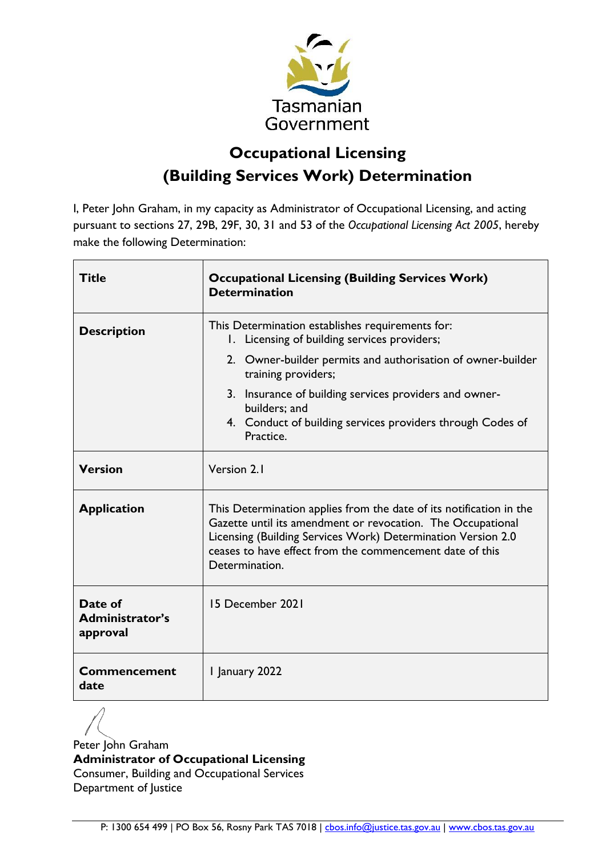

# **Occupational Licensing (Building Services Work) Determination**

I, Peter John Graham, in my capacity as Administrator of Occupational Licensing, and acting pursuant to sections 27, 29B, 29F, 30, 31 and 53 of the *Occupational Licensing Act 2005*, hereby make the following Determination:

| <b>Title</b>                           | <b>Occupational Licensing (Building Services Work)</b><br><b>Determination</b>                                                                                                                                                                                                   |  |
|----------------------------------------|----------------------------------------------------------------------------------------------------------------------------------------------------------------------------------------------------------------------------------------------------------------------------------|--|
| <b>Description</b>                     | This Determination establishes requirements for:<br>1. Licensing of building services providers;                                                                                                                                                                                 |  |
|                                        | 2. Owner-builder permits and authorisation of owner-builder<br>training providers;                                                                                                                                                                                               |  |
|                                        | 3. Insurance of building services providers and owner-<br>builders; and<br>4. Conduct of building services providers through Codes of<br>Practice.                                                                                                                               |  |
| <b>Version</b>                         | Version 2.1                                                                                                                                                                                                                                                                      |  |
| <b>Application</b>                     | This Determination applies from the date of its notification in the<br>Gazette until its amendment or revocation. The Occupational<br>Licensing (Building Services Work) Determination Version 2.0<br>ceases to have effect from the commencement date of this<br>Determination. |  |
| Date of<br>Administrator's<br>approval | 15 December 2021                                                                                                                                                                                                                                                                 |  |
| <b>Commencement</b><br>date            | 1 January 2022                                                                                                                                                                                                                                                                   |  |

Peter John Graham **Administrator of Occupational Licensing** Consumer, Building and Occupational Services Department of Justice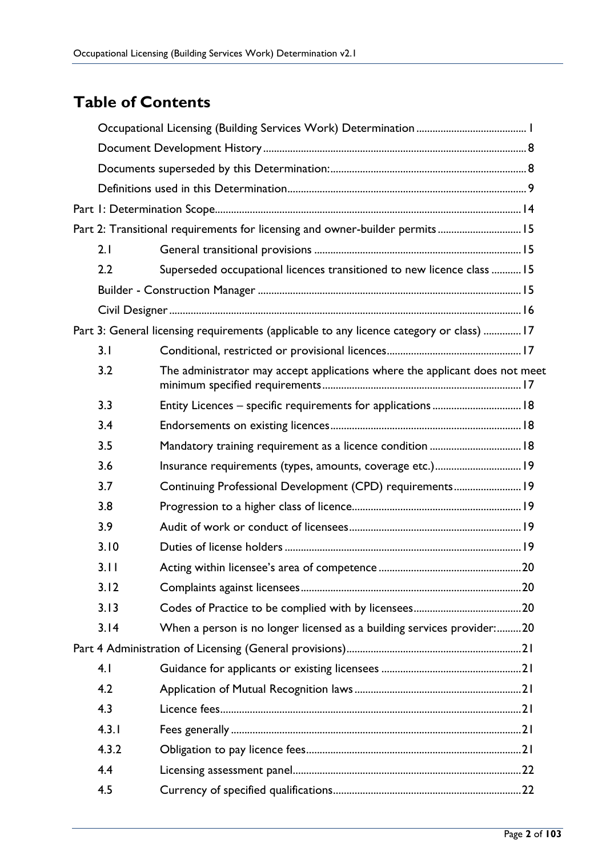# **Table of Contents**

|       | Part 2: Transitional requirements for licensing and owner-builder permits 15             |  |
|-------|------------------------------------------------------------------------------------------|--|
| 2.1   |                                                                                          |  |
| 2.2   | Superseded occupational licences transitioned to new licence class  15                   |  |
|       |                                                                                          |  |
|       |                                                                                          |  |
|       | Part 3: General licensing requirements (applicable to any licence category or class)  17 |  |
| 3.1   |                                                                                          |  |
| 3.2   | The administrator may accept applications where the applicant does not meet              |  |
| 3.3   |                                                                                          |  |
| 3.4   |                                                                                          |  |
| 3.5   | Mandatory training requirement as a licence condition  18                                |  |
| 3.6   | Insurance requirements (types, amounts, coverage etc.) 19                                |  |
| 3.7   | Continuing Professional Development (CPD) requirements 19                                |  |
| 3.8   |                                                                                          |  |
| 3.9   |                                                                                          |  |
| 3.10  |                                                                                          |  |
| 3.11  |                                                                                          |  |
| 3.12  |                                                                                          |  |
| 3.13  |                                                                                          |  |
| 3.14  | When a person is no longer licensed as a building services provider:20                   |  |
|       |                                                                                          |  |
| 4.1   |                                                                                          |  |
| 4.2   |                                                                                          |  |
| 4.3   |                                                                                          |  |
| 4.3.1 |                                                                                          |  |
| 4.3.2 |                                                                                          |  |
| 4.4   |                                                                                          |  |
| 4.5   |                                                                                          |  |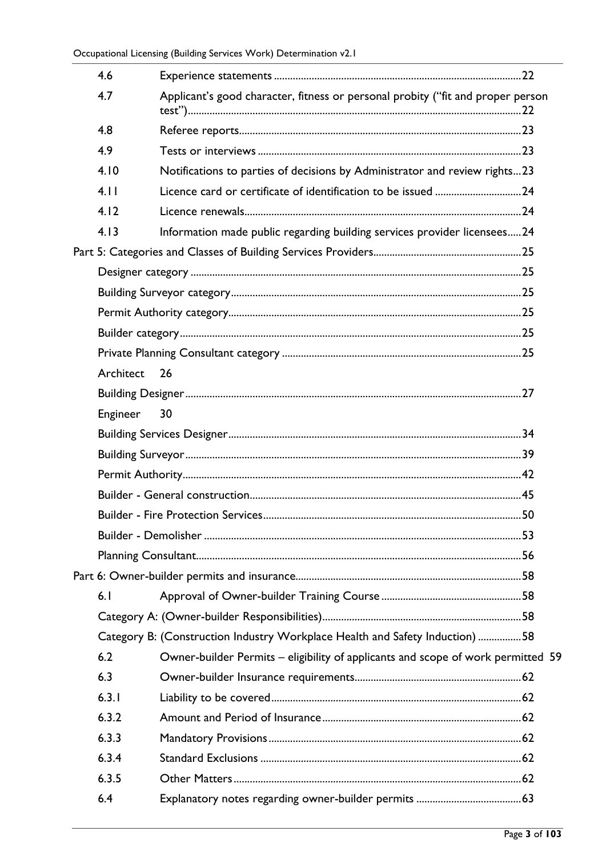| 4.6       |                                                                                  |  |
|-----------|----------------------------------------------------------------------------------|--|
| 4.7       | Applicant's good character, fitness or personal probity ("fit and proper person  |  |
| 4.8       |                                                                                  |  |
| 4.9       |                                                                                  |  |
| 4.10      | Notifications to parties of decisions by Administrator and review rights23       |  |
| 4.11      |                                                                                  |  |
| 4.12      |                                                                                  |  |
| 4.13      | Information made public regarding building services provider licensees 24        |  |
|           |                                                                                  |  |
|           |                                                                                  |  |
|           |                                                                                  |  |
|           |                                                                                  |  |
|           |                                                                                  |  |
|           |                                                                                  |  |
| Architect | 26                                                                               |  |
|           |                                                                                  |  |
| Engineer  | 30                                                                               |  |
|           |                                                                                  |  |
|           |                                                                                  |  |
|           |                                                                                  |  |
|           |                                                                                  |  |
|           |                                                                                  |  |
|           |                                                                                  |  |
|           |                                                                                  |  |
|           |                                                                                  |  |
| 6.1       |                                                                                  |  |
|           |                                                                                  |  |
|           | Category B: (Construction Industry Workplace Health and Safety Induction) 58     |  |
| 6.2       | Owner-builder Permits – eligibility of applicants and scope of work permitted 59 |  |
| 6.3       |                                                                                  |  |
| 6.3.1     |                                                                                  |  |
| 6.3.2     |                                                                                  |  |
| 6.3.3     |                                                                                  |  |
| 6.3.4     |                                                                                  |  |
| 6.3.5     |                                                                                  |  |
| 6.4       |                                                                                  |  |
|           |                                                                                  |  |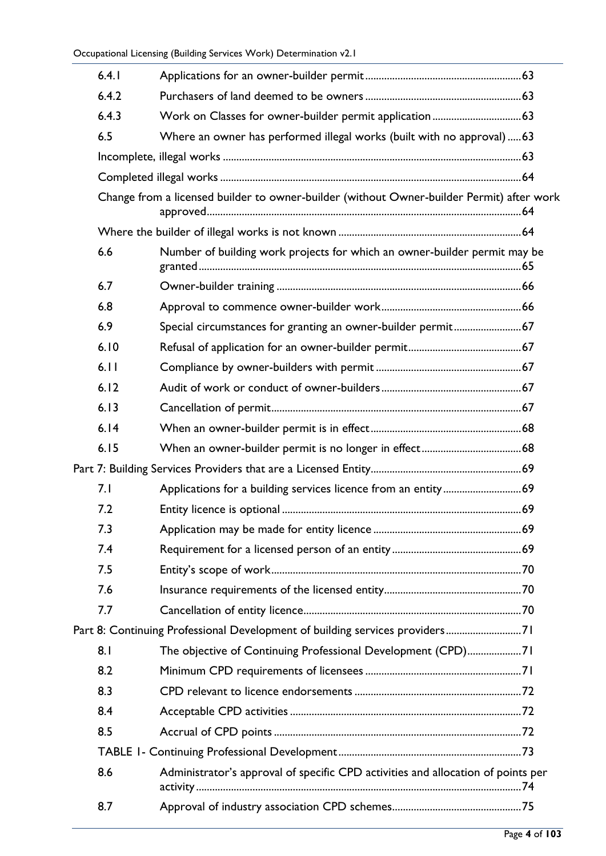| 6.4.1 |                                                                                           |  |
|-------|-------------------------------------------------------------------------------------------|--|
| 6.4.2 |                                                                                           |  |
| 6.4.3 |                                                                                           |  |
| 6.5   | Where an owner has performed illegal works (built with no approval)63                     |  |
|       |                                                                                           |  |
|       |                                                                                           |  |
|       | Change from a licensed builder to owner-builder (without Owner-builder Permit) after work |  |
|       |                                                                                           |  |
| 6.6   | Number of building work projects for which an owner-builder permit may be                 |  |
| 6.7   |                                                                                           |  |
| 6.8   |                                                                                           |  |
| 6.9   | Special circumstances for granting an owner-builder permit 67                             |  |
| 6.10  |                                                                                           |  |
| 6.11  |                                                                                           |  |
| 6.12  |                                                                                           |  |
| 6.13  |                                                                                           |  |
| 6.14  |                                                                                           |  |
| 6.15  |                                                                                           |  |
|       |                                                                                           |  |
| 7.1   |                                                                                           |  |
| 7.2   |                                                                                           |  |
| 7.3   |                                                                                           |  |
| 7.4   |                                                                                           |  |
| 7.5   |                                                                                           |  |
| 7.6   |                                                                                           |  |
| 7.7   |                                                                                           |  |
|       | Part 8: Continuing Professional Development of building services providers71              |  |
| 8.1   | The objective of Continuing Professional Development (CPD)71                              |  |
| 8.2   |                                                                                           |  |
| 8.3   |                                                                                           |  |
| 8.4   |                                                                                           |  |
| 8.5   |                                                                                           |  |
|       |                                                                                           |  |
| 8.6   | Administrator's approval of specific CPD activities and allocation of points per          |  |
| 8.7   |                                                                                           |  |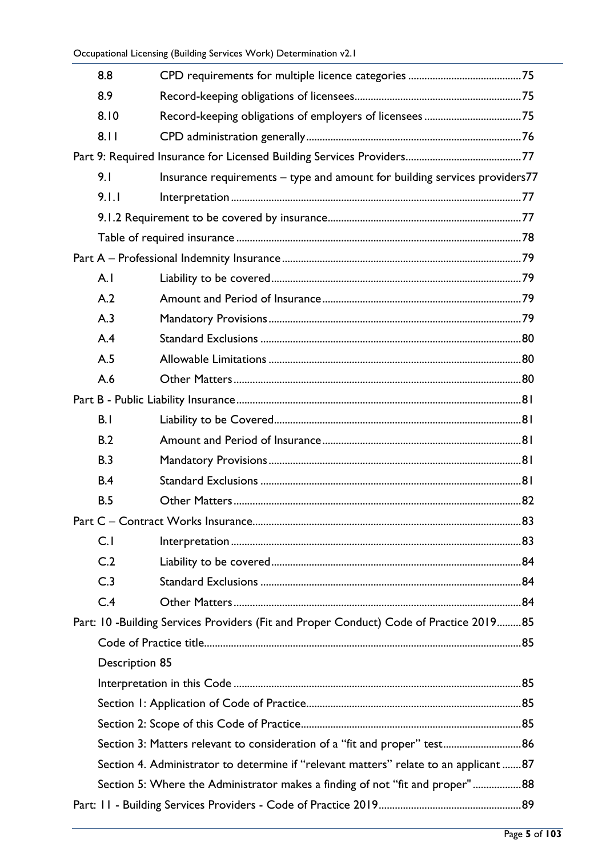|  | 8.8                                                                          |                                                                                        |  |
|--|------------------------------------------------------------------------------|----------------------------------------------------------------------------------------|--|
|  | 8.9                                                                          |                                                                                        |  |
|  | 8.10                                                                         |                                                                                        |  |
|  | 8.11                                                                         |                                                                                        |  |
|  |                                                                              |                                                                                        |  |
|  | 9.1                                                                          | Insurance requirements - type and amount for building services providers77             |  |
|  | 9.1.1                                                                        |                                                                                        |  |
|  |                                                                              |                                                                                        |  |
|  |                                                                              |                                                                                        |  |
|  |                                                                              |                                                                                        |  |
|  | A.1                                                                          |                                                                                        |  |
|  | A.2                                                                          |                                                                                        |  |
|  | A.3                                                                          |                                                                                        |  |
|  | A.4                                                                          |                                                                                        |  |
|  | A.5                                                                          |                                                                                        |  |
|  | A.6                                                                          |                                                                                        |  |
|  |                                                                              |                                                                                        |  |
|  | B.1                                                                          |                                                                                        |  |
|  | B.2                                                                          |                                                                                        |  |
|  | B.3                                                                          |                                                                                        |  |
|  | B.4                                                                          |                                                                                        |  |
|  | B.5                                                                          |                                                                                        |  |
|  |                                                                              |                                                                                        |  |
|  | C.1                                                                          |                                                                                        |  |
|  | C.2                                                                          |                                                                                        |  |
|  | C.3                                                                          |                                                                                        |  |
|  | C.4                                                                          |                                                                                        |  |
|  |                                                                              | Part: 10 -Building Services Providers (Fit and Proper Conduct) Code of Practice 201985 |  |
|  |                                                                              |                                                                                        |  |
|  | Description 85                                                               |                                                                                        |  |
|  |                                                                              |                                                                                        |  |
|  |                                                                              |                                                                                        |  |
|  |                                                                              |                                                                                        |  |
|  |                                                                              | Section 3: Matters relevant to consideration of a "fit and proper" test 86             |  |
|  |                                                                              | Section 4. Administrator to determine if "relevant matters" relate to an applicant 87  |  |
|  | Section 5: Where the Administrator makes a finding of not "fit and proper"88 |                                                                                        |  |
|  |                                                                              |                                                                                        |  |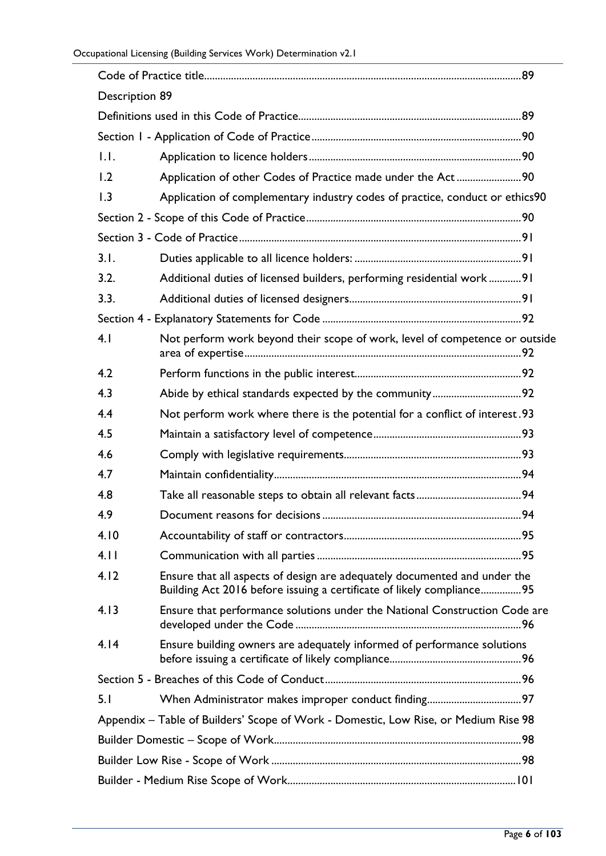| <b>Description 89</b>                                                               |                                                                                                                                                     |  |  |
|-------------------------------------------------------------------------------------|-----------------------------------------------------------------------------------------------------------------------------------------------------|--|--|
|                                                                                     |                                                                                                                                                     |  |  |
|                                                                                     |                                                                                                                                                     |  |  |
| 1.1.                                                                                |                                                                                                                                                     |  |  |
| 1.2                                                                                 | Application of other Codes of Practice made under the Act90                                                                                         |  |  |
| 1.3                                                                                 | Application of complementary industry codes of practice, conduct or ethics90                                                                        |  |  |
|                                                                                     |                                                                                                                                                     |  |  |
|                                                                                     |                                                                                                                                                     |  |  |
| 3.1.                                                                                |                                                                                                                                                     |  |  |
| 3.2.                                                                                | Additional duties of licensed builders, performing residential work91                                                                               |  |  |
| 3.3.                                                                                |                                                                                                                                                     |  |  |
|                                                                                     |                                                                                                                                                     |  |  |
| 4.1                                                                                 | Not perform work beyond their scope of work, level of competence or outside                                                                         |  |  |
| 4.2                                                                                 |                                                                                                                                                     |  |  |
| 4.3                                                                                 |                                                                                                                                                     |  |  |
| 4.4                                                                                 | Not perform work where there is the potential for a conflict of interest.93                                                                         |  |  |
| 4.5                                                                                 |                                                                                                                                                     |  |  |
| 4.6                                                                                 |                                                                                                                                                     |  |  |
| 4.7                                                                                 |                                                                                                                                                     |  |  |
| 4.8                                                                                 |                                                                                                                                                     |  |  |
| 4.9                                                                                 |                                                                                                                                                     |  |  |
| 4.10                                                                                |                                                                                                                                                     |  |  |
| 4.11                                                                                |                                                                                                                                                     |  |  |
| 4.12                                                                                | Ensure that all aspects of design are adequately documented and under the<br>Building Act 2016 before issuing a certificate of likely compliance 95 |  |  |
| 4.13                                                                                | Ensure that performance solutions under the National Construction Code are                                                                          |  |  |
| 4.14                                                                                | Ensure building owners are adequately informed of performance solutions                                                                             |  |  |
|                                                                                     |                                                                                                                                                     |  |  |
| 5.1                                                                                 |                                                                                                                                                     |  |  |
| Appendix - Table of Builders' Scope of Work - Domestic, Low Rise, or Medium Rise 98 |                                                                                                                                                     |  |  |
|                                                                                     |                                                                                                                                                     |  |  |
|                                                                                     |                                                                                                                                                     |  |  |
|                                                                                     |                                                                                                                                                     |  |  |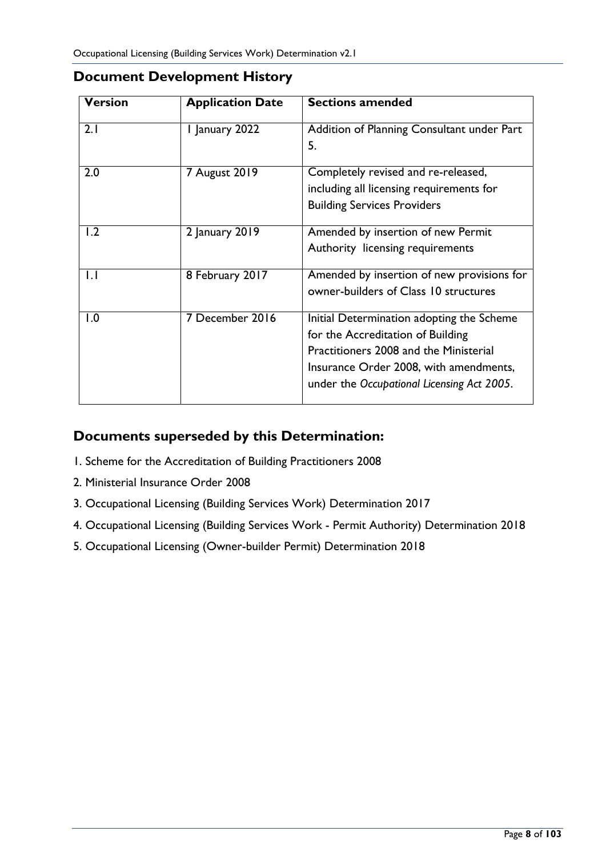| <b>Version</b> | <b>Application Date</b> | <b>Sections amended</b>                                                                                                                                                                                          |
|----------------|-------------------------|------------------------------------------------------------------------------------------------------------------------------------------------------------------------------------------------------------------|
| 2.1            | I January 2022          | Addition of Planning Consultant under Part<br>5.                                                                                                                                                                 |
| 2.0            | 7 August 2019           | Completely revised and re-released,<br>including all licensing requirements for<br><b>Building Services Providers</b>                                                                                            |
| 1.2            | 2 January 2019          | Amended by insertion of new Permit<br>Authority licensing requirements                                                                                                                                           |
| $\mathsf{L}$   | 8 February 2017         | Amended by insertion of new provisions for<br>owner-builders of Class 10 structures                                                                                                                              |
| 1.0            | 7 December 2016         | Initial Determination adopting the Scheme<br>for the Accreditation of Building<br>Practitioners 2008 and the Ministerial<br>Insurance Order 2008, with amendments,<br>under the Occupational Licensing Act 2005. |

#### <span id="page-7-0"></span>**Document Development History**

#### <span id="page-7-1"></span>**Documents superseded by this Determination:**

- 1. Scheme for the Accreditation of Building Practitioners 2008
- 2. Ministerial Insurance Order 2008
- 3. Occupational Licensing (Building Services Work) Determination 2017
- 4. Occupational Licensing (Building Services Work Permit Authority) Determination 2018
- 5. Occupational Licensing (Owner-builder Permit) Determination 2018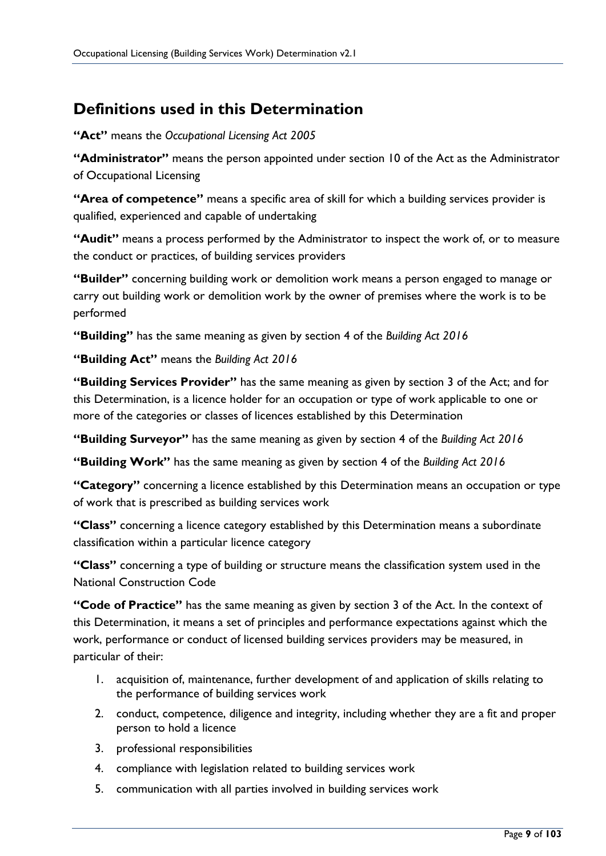## <span id="page-8-0"></span>**Definitions used in this Determination**

**"Act"** means the *Occupational Licensing Act 2005*

**"Administrator"** means the person appointed under section 10 of the Act as the Administrator of Occupational Licensing

**"Area of competence"** means a specific area of skill for which a building services provider is qualified, experienced and capable of undertaking

**"Audit"** means a process performed by the Administrator to inspect the work of, or to measure the conduct or practices, of building services providers

**"Builder"** concerning building work or demolition work means a person engaged to manage or carry out building work or demolition work by the owner of premises where the work is to be performed

**"Building"** has the same meaning as given by section 4 of the *Building Act 2016*

**"Building Act"** means the *Building Act 2016*

**"Building Services Provider"** has the same meaning as given by section 3 of the Act; and for this Determination, is a licence holder for an occupation or type of work applicable to one or more of the categories or classes of licences established by this Determination

**"Building Surveyor"** has the same meaning as given by section 4 of the *Building Act 2016*

**"Building Work"** has the same meaning as given by section 4 of the *Building Act 2016*

**"Category"** concerning a licence established by this Determination means an occupation or type of work that is prescribed as building services work

**"Class"** concerning a licence category established by this Determination means a subordinate classification within a particular licence category

**"Class"** concerning a type of building or structure means the classification system used in the National Construction Code

**"Code of Practice"** has the same meaning as given by section 3 of the Act. In the context of this Determination, it means a set of principles and performance expectations against which the work, performance or conduct of licensed building services providers may be measured, in particular of their:

- 1. acquisition of, maintenance, further development of and application of skills relating to the performance of building services work
- 2. conduct, competence, diligence and integrity, including whether they are a fit and proper person to hold a licence
- 3. professional responsibilities
- 4. compliance with legislation related to building services work
- 5. communication with all parties involved in building services work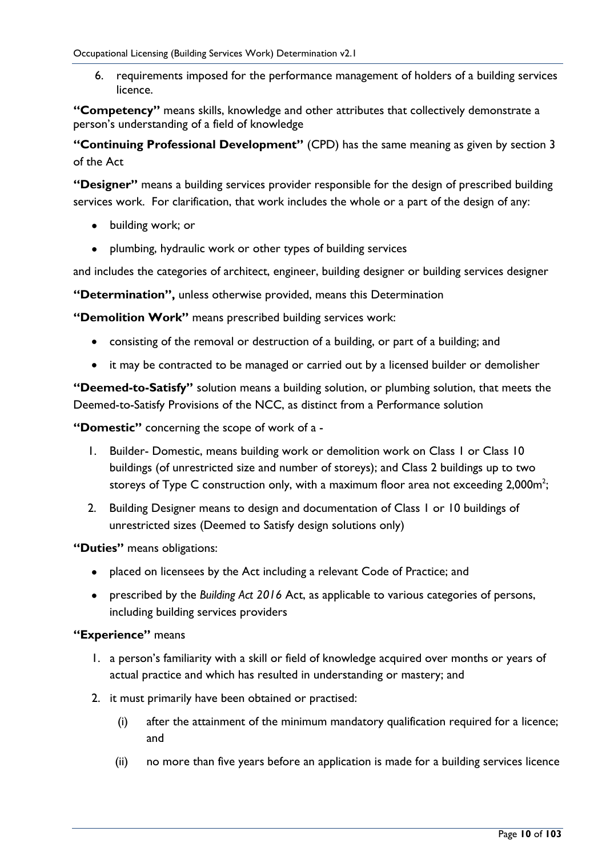6. requirements imposed for the performance management of holders of a building services licence.

**"Competency"** means skills, knowledge and other attributes that collectively demonstrate a person's understanding of a field of knowledge

**"Continuing Professional Development"** (CPD) has the same meaning as given by section 3 of the Act

**"Designer"** means a building services provider responsible for the design of prescribed building services work. For clarification, that work includes the whole or a part of the design of any:

- building work; or
- plumbing, hydraulic work or other types of building services

and includes the categories of architect, engineer, building designer or building services designer

**"Determination",** unless otherwise provided, means this Determination

**"Demolition Work"** means prescribed building services work:

- consisting of the removal or destruction of a building, or part of a building; and
- it may be contracted to be managed or carried out by a licensed builder or demolisher

**"Deemed-to-Satisfy"** solution means a building solution, or plumbing solution, that meets the Deemed-to-Satisfy Provisions of the NCC, as distinct from a Performance solution

**"Domestic"** concerning the scope of work of a -

- 1. Builder- Domestic, means building work or demolition work on Class 1 or Class 10 buildings (of unrestricted size and number of storeys); and Class 2 buildings up to two storeys of Type C construction only, with a maximum floor area not exceeding 2,000m<sup>2</sup>;
- 2. Building Designer means to design and documentation of Class 1 or 10 buildings of unrestricted sizes (Deemed to Satisfy design solutions only)

**"Duties"** means obligations:

- placed on licensees by the Act including a relevant Code of Practice; and
- prescribed by the *Building Act 2016* Act, as applicable to various categories of persons, including building services providers

#### **"Experience"** means

- 1. a person's familiarity with a skill or field of knowledge acquired over months or years of actual practice and which has resulted in understanding or mastery; and
- 2. it must primarily have been obtained or practised:
	- (i) after the attainment of the minimum mandatory qualification required for a licence; and
	- (ii) no more than five years before an application is made for a building services licence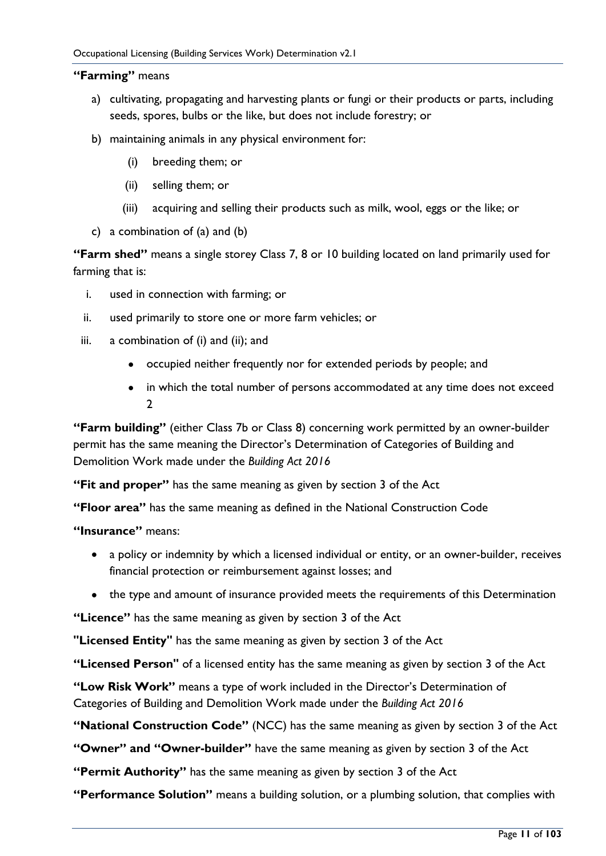#### **"Farming"** means

- a) cultivating, propagating and harvesting plants or fungi or their products or parts, including seeds, spores, bulbs or the like, but does not include forestry; or
- b) maintaining animals in any physical environment for:
	- (i) breeding them; or
	- (ii) selling them; or
	- (iii) acquiring and selling their products such as milk, wool, eggs or the like; or
- c) a combination of (a) and (b)

**"Farm shed"** means a single storey Class 7, 8 or 10 building located on land primarily used for farming that is:

- i. used in connection with farming; or
- ii. used primarily to store one or more farm vehicles; or
- iii. a combination of (i) and (ii); and
	- occupied neither frequently nor for extended periods by people; and
	- in which the total number of persons accommodated at any time does not exceed  $\mathcal{L}$

**"Farm building"** (either Class 7b or Class 8) concerning work permitted by an owner-builder permit has the same meaning the Director's Determination of Categories of Building and Demolition Work made under the *Building Act 2016*

**"Fit and proper"** has the same meaning as given by section 3 of the Act

**"Floor area"** has the same meaning as defined in the National Construction Code

**"Insurance"** means:

- a policy or indemnity by which a licensed individual or entity, or an owner-builder, receives financial protection or reimbursement against losses; and
- the type and amount of insurance provided meets the requirements of this Determination

**"Licence"** has the same meaning as given by section 3 of the Act

**"Licensed Entity"** has the same meaning as given by section 3 of the Act

**"Licensed Person"** of a licensed entity has the same meaning as given by section 3 of the Act

**"Low Risk Work"** means a type of work included in the Director's Determination of Categories of Building and Demolition Work made under the *Building Act 2016*

**"National Construction Code"** (NCC) has the same meaning as given by section 3 of the Act

**"Owner" and "Owner-builder"** have the same meaning as given by section 3 of the Act

**"Permit Authority"** has the same meaning as given by section 3 of the Act

**"Performance Solution"** means a building solution, or a plumbing solution, that complies with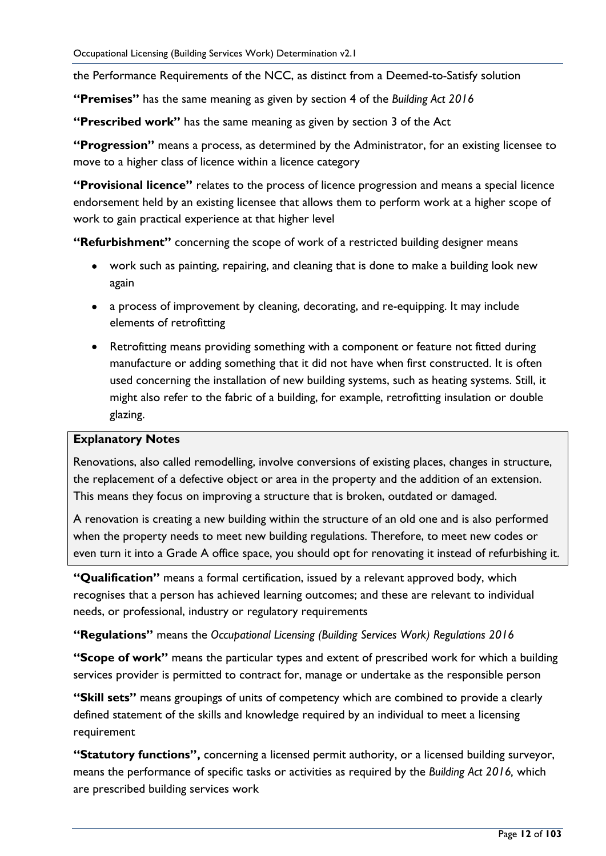the Performance Requirements of the NCC, as distinct from a Deemed-to-Satisfy solution

**"Premises"** has the same meaning as given by section 4 of the *Building Act 2016*

**"Prescribed work"** has the same meaning as given by section 3 of the Act

**"Progression"** means a process, as determined by the Administrator, for an existing licensee to move to a higher class of licence within a licence category

**"Provisional licence"** relates to the process of licence progression and means a special licence endorsement held by an existing licensee that allows them to perform work at a higher scope of work to gain practical experience at that higher level

**"Refurbishment"** concerning the scope of work of a restricted building designer means

- work such as painting, repairing, and cleaning that is done to make a building look new again
- a process of improvement by cleaning, decorating, and re-equipping. It may include elements of retrofitting
- Retrofitting means providing something with a component or feature not fitted during manufacture or adding something that it did not have when first constructed. It is often used concerning the installation of new building systems, such as heating systems. Still, it might also refer to the fabric of a building, for example, retrofitting insulation or double glazing.

#### **Explanatory Notes**

Renovations, also called remodelling, involve conversions of existing places, changes in structure, the replacement of a defective object or area in the property and the addition of an extension. This means they focus on improving a structure that is broken, outdated or damaged.

A renovation is creating a new building within the structure of an old one and is also performed when the property needs to meet new building regulations. Therefore, to meet new codes or even turn it into a Grade A office space, you should opt for renovating it instead of refurbishing it.

**"Qualification"** means a formal certification, issued by a relevant approved body, which recognises that a person has achieved learning outcomes; and these are relevant to individual needs, or professional, industry or regulatory requirements

**"Regulations"** means the *Occupational Licensing (Building Services Work) Regulations 2016*

**"Scope of work"** means the particular types and extent of prescribed work for which a building services provider is permitted to contract for, manage or undertake as the responsible person

**"Skill sets"** means groupings of units of competency which are combined to provide a clearly defined statement of the skills and knowledge required by an individual to meet a licensing requirement

**"Statutory functions",** concerning a licensed permit authority, or a licensed building surveyor, means the performance of specific tasks or activities as required by the *Building Act 2016,* which are prescribed building services work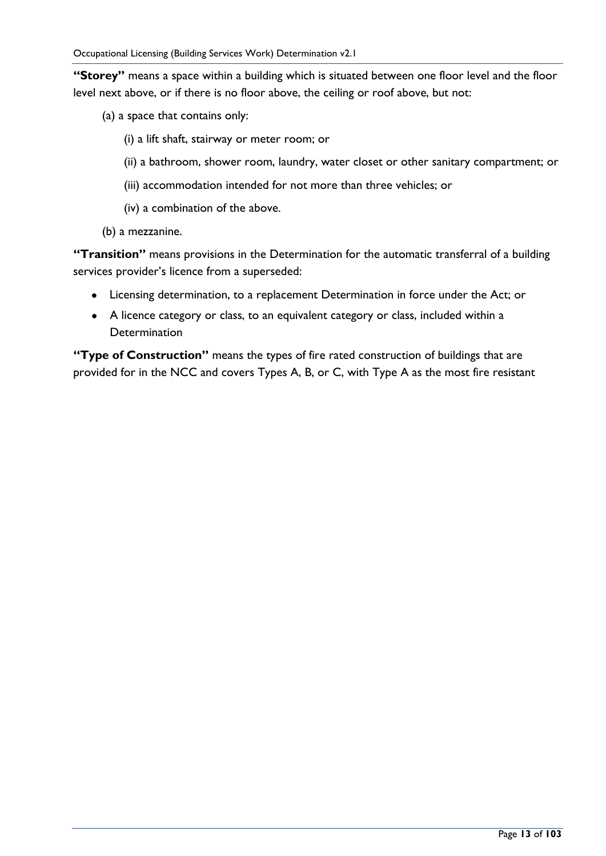**"Storey"** means a space within a building which is situated between one floor level and the floor level next above, or if there is no floor above, the ceiling or roof above, but not:

- (a) a space that contains only:
	- (i) a lift shaft, stairway or meter room; or
	- (ii) a bathroom, shower room, laundry, water closet or other sanitary compartment; or
	- (iii) accommodation intended for not more than three vehicles; or
	- (iv) a combination of the above.
- (b) a mezzanine.

**"Transition"** means provisions in the Determination for the automatic transferral of a building services provider's licence from a superseded:

- Licensing determination, to a replacement Determination in force under the Act; or
- A licence category or class, to an equivalent category or class, included within a **Determination**

**"Type of Construction"** means the types of fire rated construction of buildings that are provided for in the NCC and covers Types A, B, or C, with Type A as the most fire resistant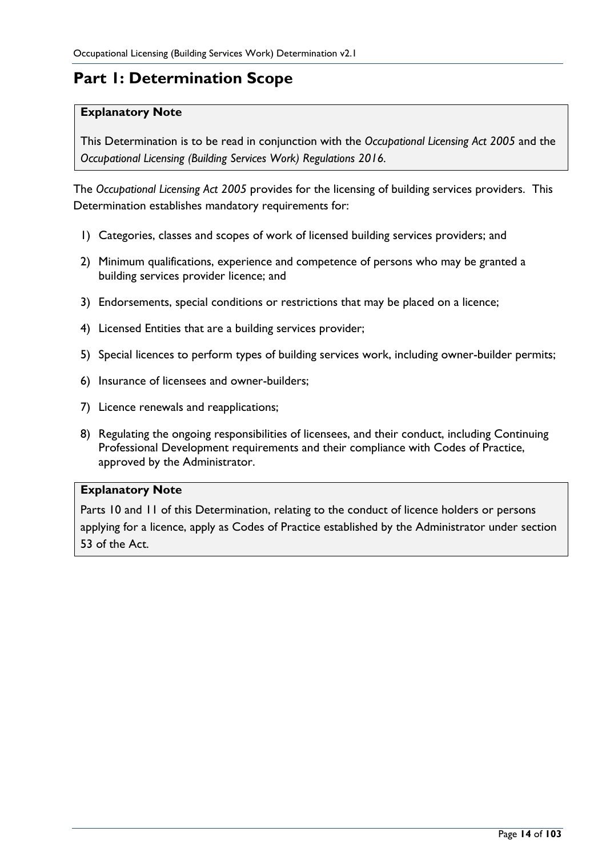# <span id="page-13-0"></span>**Part 1: Determination Scope**

#### **Explanatory Note**

This Determination is to be read in conjunction with the *Occupational Licensing Act 2005* and the *Occupational Licensing (Building Services Work) Regulations 2016.*

The *Occupational Licensing Act 2005* provides for the licensing of building services providers. This Determination establishes mandatory requirements for:

- 1) Categories, classes and scopes of work of licensed building services providers; and
- 2) Minimum qualifications, experience and competence of persons who may be granted a building services provider licence; and
- 3) Endorsements, special conditions or restrictions that may be placed on a licence;
- 4) Licensed Entities that are a building services provider;
- 5) Special licences to perform types of building services work, including owner-builder permits;
- 6) Insurance of licensees and owner-builders;
- 7) Licence renewals and reapplications;
- 8) Regulating the ongoing responsibilities of licensees, and their conduct, including Continuing Professional Development requirements and their compliance with Codes of Practice, approved by the Administrator.

#### **Explanatory Note**

Parts 10 and 11 of this Determination, relating to the conduct of licence holders or persons applying for a licence, apply as Codes of Practice established by the Administrator under section 53 of the Act.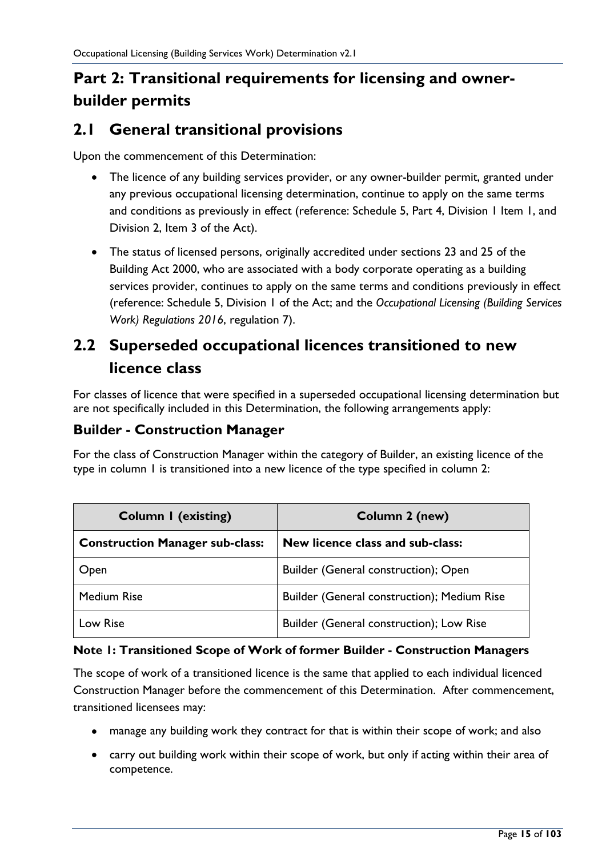# <span id="page-14-0"></span>**Part 2: Transitional requirements for licensing and ownerbuilder permits**

### <span id="page-14-1"></span>**2.1 General transitional provisions**

Upon the commencement of this Determination:

- The licence of any building services provider, or any owner-builder permit, granted under any previous occupational licensing determination, continue to apply on the same terms and conditions as previously in effect (reference: Schedule 5, Part 4, Division 1 Item 1, and Division 2, Item 3 of the Act).
- The status of licensed persons, originally accredited under sections 23 and 25 of the Building Act 2000, who are associated with a body corporate operating as a building services provider, continues to apply on the same terms and conditions previously in effect (reference: Schedule 5, Division 1 of the Act; and the *Occupational Licensing (Building Services Work) Regulations 2016*, regulation 7).

# <span id="page-14-2"></span>**2.2 Superseded occupational licences transitioned to new licence class**

For classes of licence that were specified in a superseded occupational licensing determination but are not specifically included in this Determination, the following arrangements apply:

#### <span id="page-14-3"></span>**Builder - Construction Manager**

For the class of Construction Manager within the category of Builder, an existing licence of the type in column 1 is transitioned into a new licence of the type specified in column 2:

| <b>Column I (existing)</b>             | Column 2 (new)                              |
|----------------------------------------|---------------------------------------------|
| <b>Construction Manager sub-class:</b> | New licence class and sub-class:            |
| Open                                   | Builder (General construction); Open        |
| <b>Medium Rise</b>                     | Builder (General construction); Medium Rise |
| Low Rise                               | Builder (General construction); Low Rise    |

#### **Note 1: Transitioned Scope of Work of former Builder - Construction Managers**

The scope of work of a transitioned licence is the same that applied to each individual licenced Construction Manager before the commencement of this Determination. After commencement, transitioned licensees may:

- manage any building work they contract for that is within their scope of work; and also
- carry out building work within their scope of work, but only if acting within their area of competence.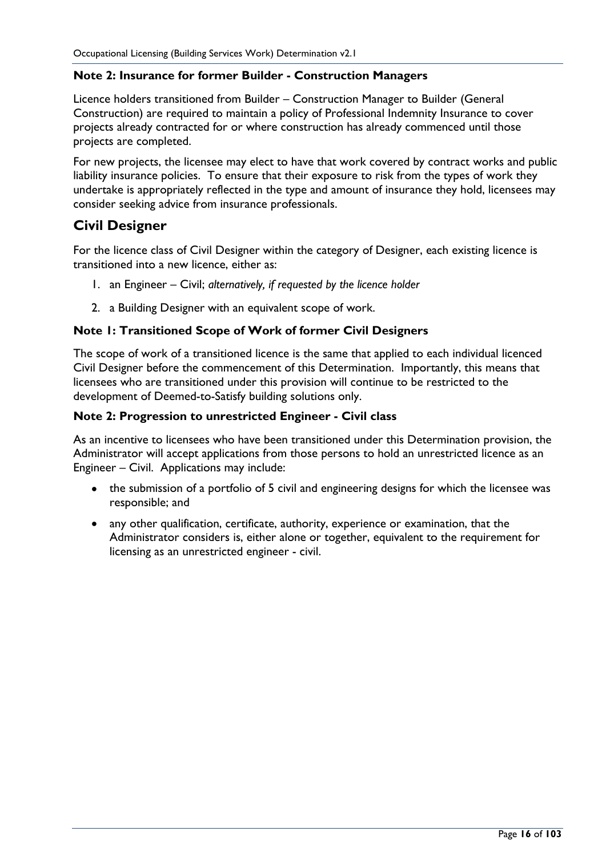#### **Note 2: Insurance for former Builder - Construction Managers**

Licence holders transitioned from Builder – Construction Manager to Builder (General Construction) are required to maintain a policy of Professional Indemnity Insurance to cover projects already contracted for or where construction has already commenced until those projects are completed.

For new projects, the licensee may elect to have that work covered by contract works and public liability insurance policies. To ensure that their exposure to risk from the types of work they undertake is appropriately reflected in the type and amount of insurance they hold, licensees may consider seeking advice from insurance professionals.

#### <span id="page-15-0"></span>**Civil Designer**

For the licence class of Civil Designer within the category of Designer, each existing licence is transitioned into a new licence, either as:

- 1. an Engineer Civil; *alternatively, if requested by the licence holder*
- 2. a Building Designer with an equivalent scope of work.

#### **Note 1: Transitioned Scope of Work of former Civil Designers**

The scope of work of a transitioned licence is the same that applied to each individual licenced Civil Designer before the commencement of this Determination. Importantly, this means that licensees who are transitioned under this provision will continue to be restricted to the development of Deemed-to-Satisfy building solutions only.

#### **Note 2: Progression to unrestricted Engineer - Civil class**

As an incentive to licensees who have been transitioned under this Determination provision, the Administrator will accept applications from those persons to hold an unrestricted licence as an Engineer – Civil. Applications may include:

- the submission of a portfolio of 5 civil and engineering designs for which the licensee was responsible; and
- any other qualification, certificate, authority, experience or examination, that the Administrator considers is, either alone or together, equivalent to the requirement for licensing as an unrestricted engineer - civil.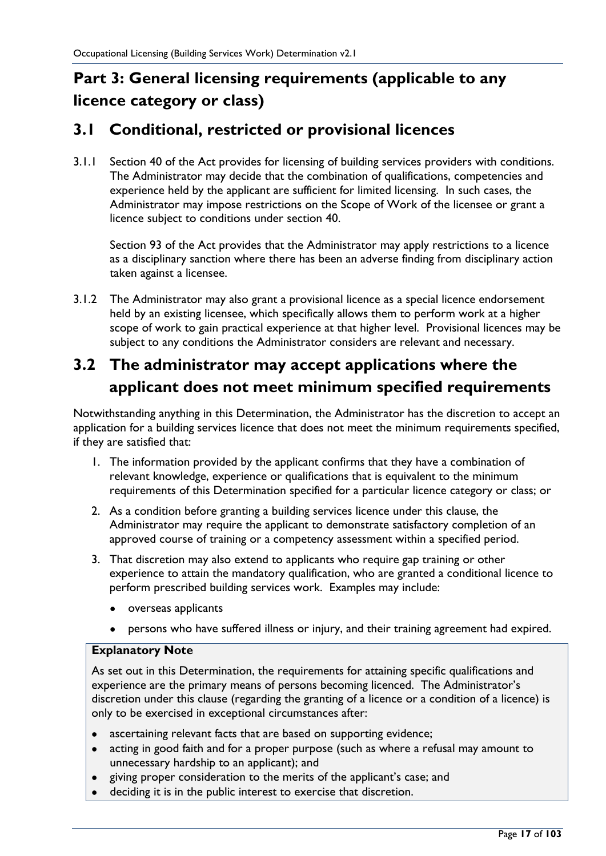# <span id="page-16-0"></span>**Part 3: General licensing requirements (applicable to any licence category or class)**

### <span id="page-16-1"></span>**3.1 Conditional, restricted or provisional licences**

3.1.1 Section 40 of the Act provides for licensing of building services providers with conditions. The Administrator may decide that the combination of qualifications, competencies and experience held by the applicant are sufficient for limited licensing. In such cases, the Administrator may impose restrictions on the Scope of Work of the licensee or grant a licence subject to conditions under section 40.

Section 93 of the Act provides that the Administrator may apply restrictions to a licence as a disciplinary sanction where there has been an adverse finding from disciplinary action taken against a licensee.

3.1.2 The Administrator may also grant a provisional licence as a special licence endorsement held by an existing licensee, which specifically allows them to perform work at a higher scope of work to gain practical experience at that higher level. Provisional licences may be subject to any conditions the Administrator considers are relevant and necessary.

# <span id="page-16-2"></span>**3.2 The administrator may accept applications where the applicant does not meet minimum specified requirements**

Notwithstanding anything in this Determination, the Administrator has the discretion to accept an application for a building services licence that does not meet the minimum requirements specified, if they are satisfied that:

- 1. The information provided by the applicant confirms that they have a combination of relevant knowledge, experience or qualifications that is equivalent to the minimum requirements of this Determination specified for a particular licence category or class; or
- 2. As a condition before granting a building services licence under this clause, the Administrator may require the applicant to demonstrate satisfactory completion of an approved course of training or a competency assessment within a specified period.
- 3. That discretion may also extend to applicants who require gap training or other experience to attain the mandatory qualification, who are granted a conditional licence to perform prescribed building services work. Examples may include:
	- overseas applicants
	- persons who have suffered illness or injury, and their training agreement had expired.

#### **Explanatory Note**

As set out in this Determination, the requirements for attaining specific qualifications and experience are the primary means of persons becoming licenced. The Administrator's discretion under this clause (regarding the granting of a licence or a condition of a licence) is only to be exercised in exceptional circumstances after:

- ascertaining relevant facts that are based on supporting evidence;
- acting in good faith and for a proper purpose (such as where a refusal may amount to unnecessary hardship to an applicant); and
- giving proper consideration to the merits of the applicant's case; and
- deciding it is in the public interest to exercise that discretion.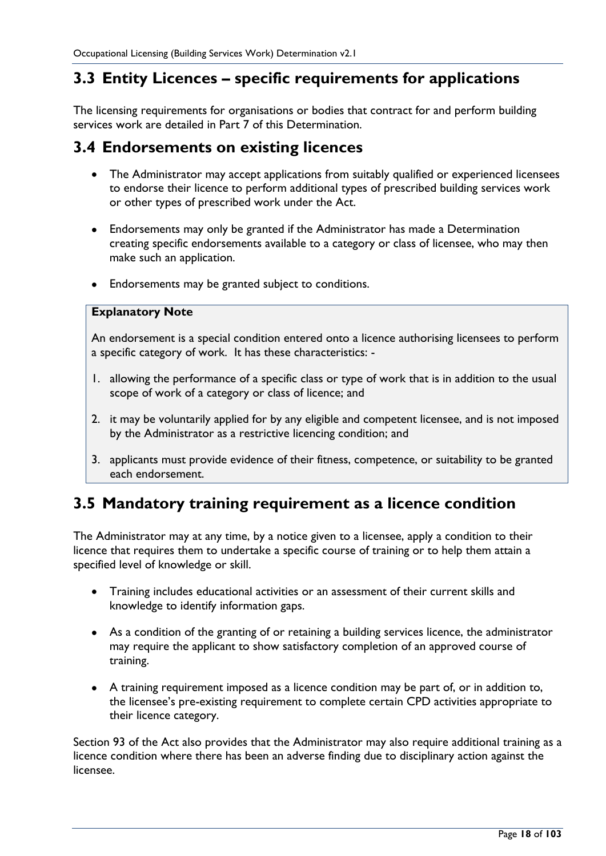### <span id="page-17-0"></span>**3.3 Entity Licences – specific requirements for applications**

The licensing requirements for organisations or bodies that contract for and perform building services work are detailed in Part 7 of this Determination.

#### <span id="page-17-1"></span>**3.4 Endorsements on existing licences**

- The Administrator may accept applications from suitably qualified or experienced licensees to endorse their licence to perform additional types of prescribed building services work or other types of prescribed work under the Act.
- Endorsements may only be granted if the Administrator has made a Determination creating specific endorsements available to a category or class of licensee, who may then make such an application.
- Endorsements may be granted subject to conditions.

#### **Explanatory Note**

An endorsement is a special condition entered onto a licence authorising licensees to perform a specific category of work. It has these characteristics: -

- 1. allowing the performance of a specific class or type of work that is in addition to the usual scope of work of a category or class of licence; and
- 2. it may be voluntarily applied for by any eligible and competent licensee, and is not imposed by the Administrator as a restrictive licencing condition; and
- 3. applicants must provide evidence of their fitness, competence, or suitability to be granted each endorsement.

### <span id="page-17-2"></span>**3.5 Mandatory training requirement as a licence condition**

The Administrator may at any time, by a notice given to a licensee, apply a condition to their licence that requires them to undertake a specific course of training or to help them attain a specified level of knowledge or skill.

- Training includes educational activities or an assessment of their current skills and knowledge to identify information gaps.
- As a condition of the granting of or retaining a building services licence, the administrator may require the applicant to show satisfactory completion of an approved course of training.
- A training requirement imposed as a licence condition may be part of, or in addition to, the licensee's pre-existing requirement to complete certain CPD activities appropriate to their licence category.

Section 93 of the Act also provides that the Administrator may also require additional training as a licence condition where there has been an adverse finding due to disciplinary action against the licensee.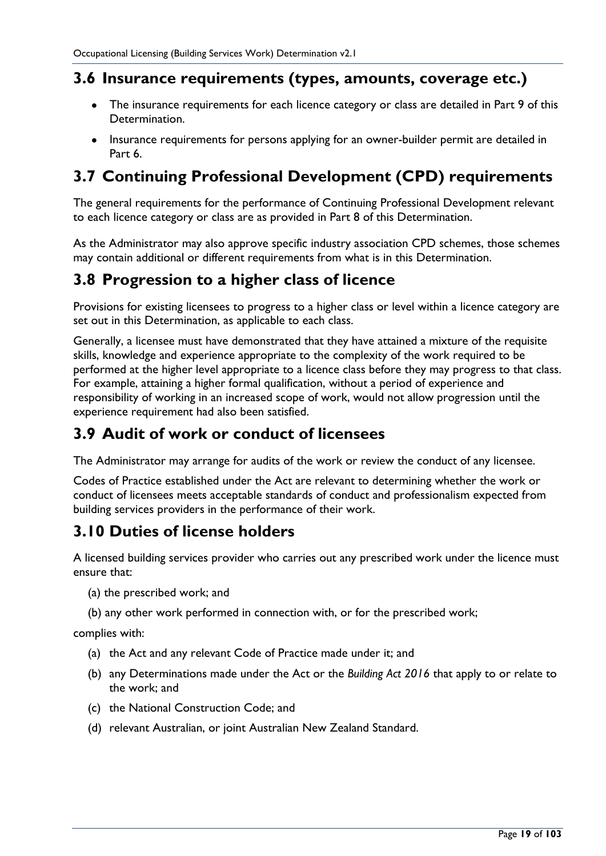### <span id="page-18-0"></span>**3.6 Insurance requirements (types, amounts, coverage etc.)**

- The insurance requirements for each licence category or class are detailed in Part 9 of this Determination.
- Insurance requirements for persons applying for an owner-builder permit are detailed in Part 6.

# <span id="page-18-1"></span>**3.7 Continuing Professional Development (CPD) requirements**

The general requirements for the performance of Continuing Professional Development relevant to each licence category or class are as provided in Part 8 of this Determination.

As the Administrator may also approve specific industry association CPD schemes, those schemes may contain additional or different requirements from what is in this Determination.

## <span id="page-18-2"></span>**3.8 Progression to a higher class of licence**

Provisions for existing licensees to progress to a higher class or level within a licence category are set out in this Determination, as applicable to each class.

Generally, a licensee must have demonstrated that they have attained a mixture of the requisite skills, knowledge and experience appropriate to the complexity of the work required to be performed at the higher level appropriate to a licence class before they may progress to that class. For example, attaining a higher formal qualification, without a period of experience and responsibility of working in an increased scope of work, would not allow progression until the experience requirement had also been satisfied.

# <span id="page-18-3"></span>**3.9 Audit of work or conduct of licensees**

The Administrator may arrange for audits of the work or review the conduct of any licensee.

Codes of Practice established under the Act are relevant to determining whether the work or conduct of licensees meets acceptable standards of conduct and professionalism expected from building services providers in the performance of their work.

## <span id="page-18-4"></span>**3.10 Duties of license holders**

A licensed building services provider who carries out any prescribed work under the licence must ensure that:

- (a) the prescribed work; and
- (b) any other work performed in connection with, or for the prescribed work;

complies with:

- (a) the Act and any relevant Code of Practice made under it; and
- (b) any Determinations made under the Act or the *Building Act 2016* that apply to or relate to the work; and
- (c) the National Construction Code; and
- (d) relevant Australian, or joint Australian New Zealand Standard.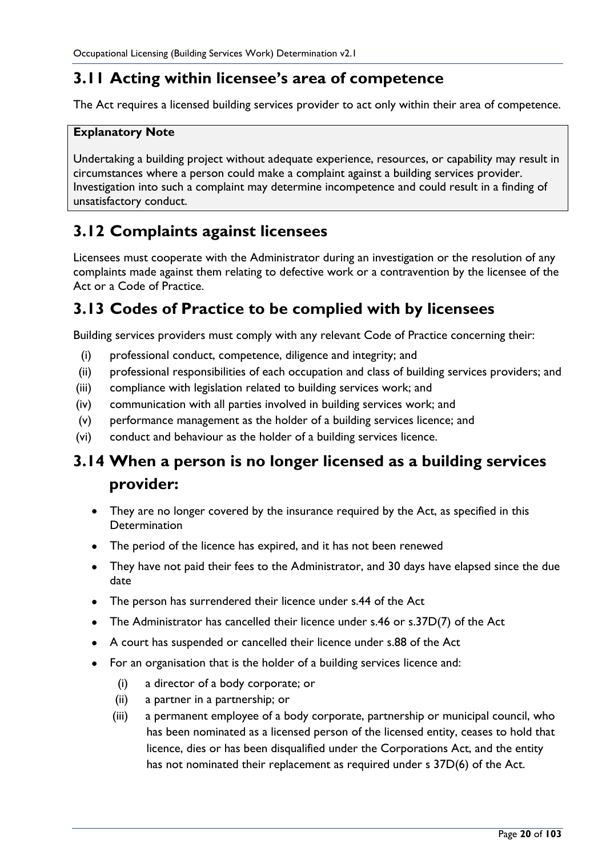## <span id="page-19-0"></span>**3.11 Acting within licensee's area of competence**

The Act requires a licensed building services provider to act only within their area of competence.

#### **Explanatory Note**

Undertaking a building project without adequate experience, resources, or capability may result in circumstances where a person could make a complaint against a building services provider. Investigation into such a complaint may determine incompetence and could result in a finding of unsatisfactory conduct.

## <span id="page-19-1"></span>**3.12 Complaints against licensees**

Licensees must cooperate with the Administrator during an investigation or the resolution of any complaints made against them relating to defective work or a contravention by the licensee of the Act or a Code of Practice.

## <span id="page-19-2"></span>**3.13 Codes of Practice to be complied with by licensees**

Building services providers must comply with any relevant Code of Practice concerning their:

- (i) professional conduct, competence, diligence and integrity; and
- (ii) professional responsibilities of each occupation and class of building services providers; and
- (iii) compliance with legislation related to building services work; and
- (iv) communication with all parties involved in building services work; and
- (v) performance management as the holder of a building services licence; and
- (vi) conduct and behaviour as the holder of a building services licence.

## <span id="page-19-3"></span>**3.14 When a person is no longer licensed as a building services provider:**

- They are no longer covered by the insurance required by the Act, as specified in this **Determination**
- The period of the licence has expired, and it has not been renewed
- They have not paid their fees to the Administrator, and 30 days have elapsed since the due date
- The person has surrendered their licence under s.44 of the Act
- The Administrator has cancelled their licence under s.46 or s.37D(7) of the Act
- A court has suspended or cancelled their licence under s.88 of the Act
- For an organisation that is the holder of a building services licence and:
	- (i) a director of a body corporate; or
	- (ii) a partner in a partnership; or
	- (iii) a permanent employee of a body corporate, partnership or municipal council, who has been nominated as a licensed person of the licensed entity, ceases to hold that licence, dies or has been disqualified under the Corporations Act, and the entity has not nominated their replacement as required under s 37D(6) of the Act.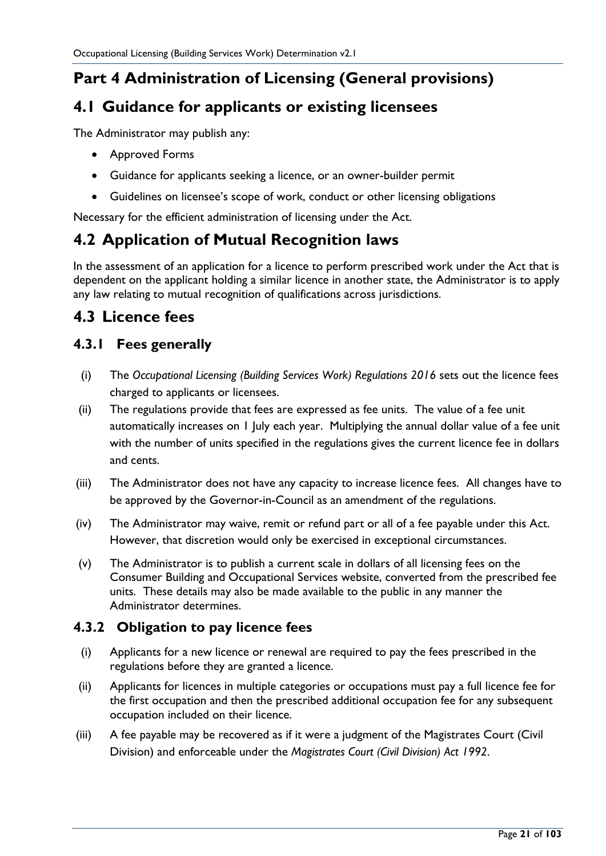# <span id="page-20-0"></span>**Part 4 Administration of Licensing (General provisions)**

### <span id="page-20-1"></span>**4.1 Guidance for applicants or existing licensees**

The Administrator may publish any:

- Approved Forms
- Guidance for applicants seeking a licence, or an owner-builder permit
- Guidelines on licensee's scope of work, conduct or other licensing obligations

Necessary for the efficient administration of licensing under the Act.

## <span id="page-20-2"></span>**4.2 Application of Mutual Recognition laws**

In the assessment of an application for a licence to perform prescribed work under the Act that is dependent on the applicant holding a similar licence in another state, the Administrator is to apply any law relating to mutual recognition of qualifications across jurisdictions.

### <span id="page-20-3"></span>**4.3 Licence fees**

#### <span id="page-20-4"></span>**4.3.1 Fees generally**

- (i) The *Occupational Licensing (Building Services Work) Regulations 2016* sets out the licence fees charged to applicants or licensees.
- (ii) The regulations provide that fees are expressed as fee units. The value of a fee unit automatically increases on 1 July each year. Multiplying the annual dollar value of a fee unit with the number of units specified in the regulations gives the current licence fee in dollars and cents.
- (iii) The Administrator does not have any capacity to increase licence fees. All changes have to be approved by the Governor-in-Council as an amendment of the regulations.
- (iv) The Administrator may waive, remit or refund part or all of a fee payable under this Act. However, that discretion would only be exercised in exceptional circumstances.
- (v) The Administrator is to publish a current scale in dollars of all licensing fees on the Consumer Building and Occupational Services website, converted from the prescribed fee units. These details may also be made available to the public in any manner the Administrator determines.

#### <span id="page-20-5"></span>**4.3.2 Obligation to pay licence fees**

- (i) Applicants for a new licence or renewal are required to pay the fees prescribed in the regulations before they are granted a licence.
- (ii) Applicants for licences in multiple categories or occupations must pay a full licence fee for the first occupation and then the prescribed additional occupation fee for any subsequent occupation included on their licence.
- (iii) A fee payable may be recovered as if it were a judgment of the Magistrates Court (Civil Division) and enforceable under the *Magistrates Court (Civil Division) Act 1992*.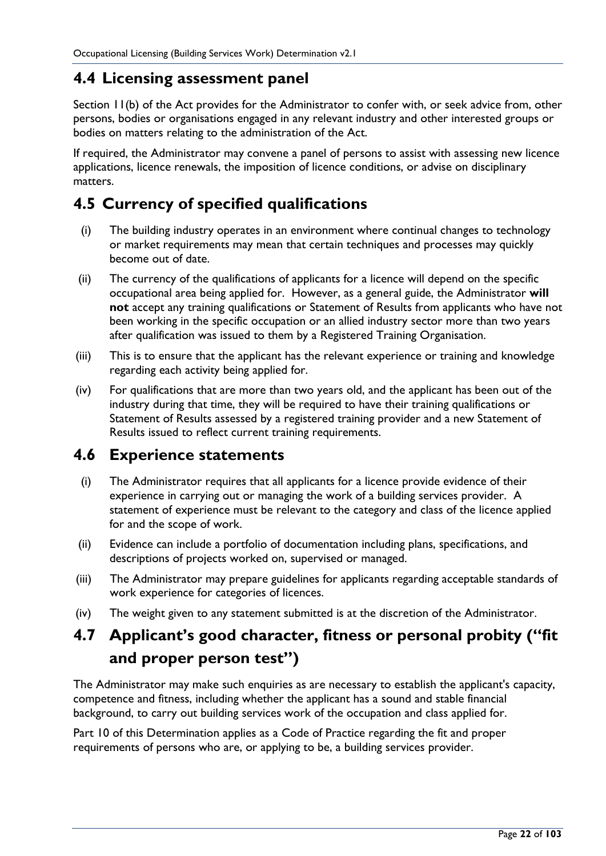### <span id="page-21-0"></span>**4.4 Licensing assessment panel**

Section 11(b) of the Act provides for the Administrator to confer with, or seek advice from, other persons, bodies or organisations engaged in any relevant industry and other interested groups or bodies on matters relating to the administration of the Act.

If required, the Administrator may convene a panel of persons to assist with assessing new licence applications, licence renewals, the imposition of licence conditions, or advise on disciplinary matters.

## <span id="page-21-1"></span>**4.5 Currency of specified qualifications**

- (i) The building industry operates in an environment where continual changes to technology or market requirements may mean that certain techniques and processes may quickly become out of date.
- (ii) The currency of the qualifications of applicants for a licence will depend on the specific occupational area being applied for. However, as a general guide, the Administrator **will not** accept any training qualifications or Statement of Results from applicants who have not been working in the specific occupation or an allied industry sector more than two years after qualification was issued to them by a Registered Training Organisation.
- (iii) This is to ensure that the applicant has the relevant experience or training and knowledge regarding each activity being applied for.
- (iv) For qualifications that are more than two years old, and the applicant has been out of the industry during that time, they will be required to have their training qualifications or Statement of Results assessed by a registered training provider and a new Statement of Results issued to reflect current training requirements.

#### <span id="page-21-2"></span>**4.6 Experience statements**

- (i) The Administrator requires that all applicants for a licence provide evidence of their experience in carrying out or managing the work of a building services provider. A statement of experience must be relevant to the category and class of the licence applied for and the scope of work.
- (ii) Evidence can include a portfolio of documentation including plans, specifications, and descriptions of projects worked on, supervised or managed.
- (iii) The Administrator may prepare guidelines for applicants regarding acceptable standards of work experience for categories of licences.
- (iv) The weight given to any statement submitted is at the discretion of the Administrator.

# <span id="page-21-3"></span>**4.7 Applicant's good character, fitness or personal probity ("fit and proper person test")**

The Administrator may make such enquiries as are necessary to establish the applicant's capacity, competence and fitness, including whether the applicant has a sound and stable financial background, to carry out building services work of the occupation and class applied for.

Part 10 of this Determination applies as a Code of Practice regarding the fit and proper requirements of persons who are, or applying to be, a building services provider.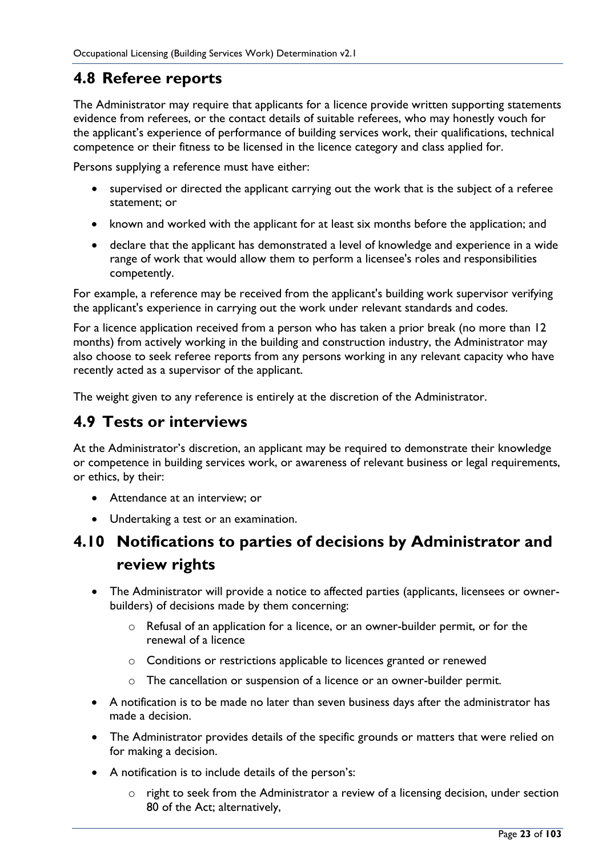### <span id="page-22-0"></span>**4.8 Referee reports**

The Administrator may require that applicants for a licence provide written supporting statements evidence from referees, or the contact details of suitable referees, who may honestly vouch for the applicant's experience of performance of building services work, their qualifications, technical competence or their fitness to be licensed in the licence category and class applied for.

Persons supplying a reference must have either:

- supervised or directed the applicant carrying out the work that is the subject of a referee statement; or
- known and worked with the applicant for at least six months before the application; and
- declare that the applicant has demonstrated a level of knowledge and experience in a wide range of work that would allow them to perform a licensee's roles and responsibilities competently.

For example, a reference may be received from the applicant's building work supervisor verifying the applicant's experience in carrying out the work under relevant standards and codes.

For a licence application received from a person who has taken a prior break (no more than 12 months) from actively working in the building and construction industry, the Administrator may also choose to seek referee reports from any persons working in any relevant capacity who have recently acted as a supervisor of the applicant.

The weight given to any reference is entirely at the discretion of the Administrator.

#### <span id="page-22-1"></span>**4.9 Tests or interviews**

At the Administrator's discretion, an applicant may be required to demonstrate their knowledge or competence in building services work, or awareness of relevant business or legal requirements, or ethics, by their:

- Attendance at an interview; or
- Undertaking a test or an examination.

## <span id="page-22-2"></span>**4.10 Notifications to parties of decisions by Administrator and review rights**

- The Administrator will provide a notice to affected parties (applicants, licensees or ownerbuilders) of decisions made by them concerning:
	- o Refusal of an application for a licence, or an owner-builder permit, or for the renewal of a licence
	- o Conditions or restrictions applicable to licences granted or renewed
	- o The cancellation or suspension of a licence or an owner-builder permit.
- A notification is to be made no later than seven business days after the administrator has made a decision.
- The Administrator provides details of the specific grounds or matters that were relied on for making a decision.
- A notification is to include details of the person's:
	- o right to seek from the Administrator a review of a licensing decision, under section 80 of the Act; alternatively,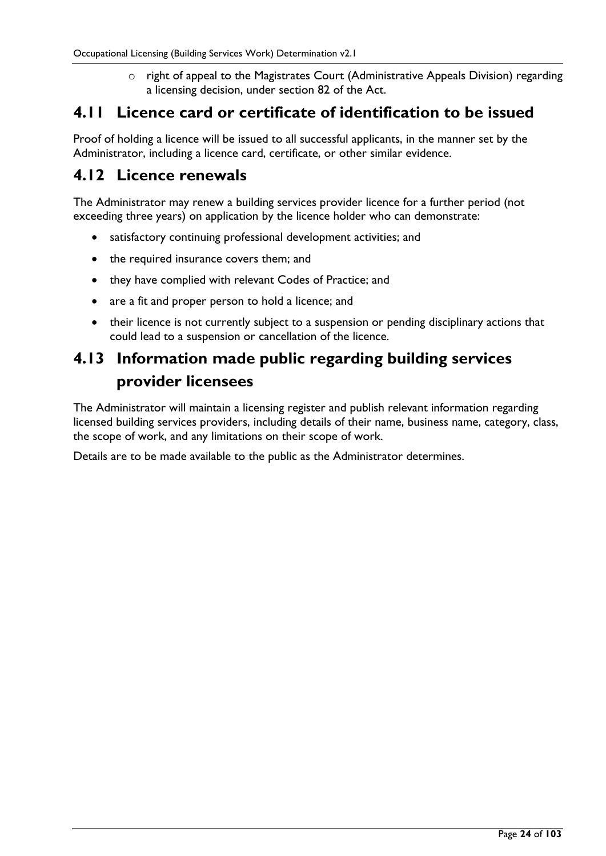o right of appeal to the Magistrates Court (Administrative Appeals Division) regarding a licensing decision, under section 82 of the Act.

### <span id="page-23-0"></span>**4.11 Licence card or certificate of identification to be issued**

Proof of holding a licence will be issued to all successful applicants, in the manner set by the Administrator, including a licence card, certificate, or other similar evidence.

#### <span id="page-23-1"></span>**4.12 Licence renewals**

The Administrator may renew a building services provider licence for a further period (not exceeding three years) on application by the licence holder who can demonstrate:

- satisfactory continuing professional development activities; and
- the required insurance covers them; and
- they have complied with relevant Codes of Practice; and
- are a fit and proper person to hold a licence; and
- their licence is not currently subject to a suspension or pending disciplinary actions that could lead to a suspension or cancellation of the licence.

## <span id="page-23-2"></span>**4.13 Information made public regarding building services provider licensees**

The Administrator will maintain a licensing register and publish relevant information regarding licensed building services providers, including details of their name, business name, category, class, the scope of work, and any limitations on their scope of work.

Details are to be made available to the public as the Administrator determines.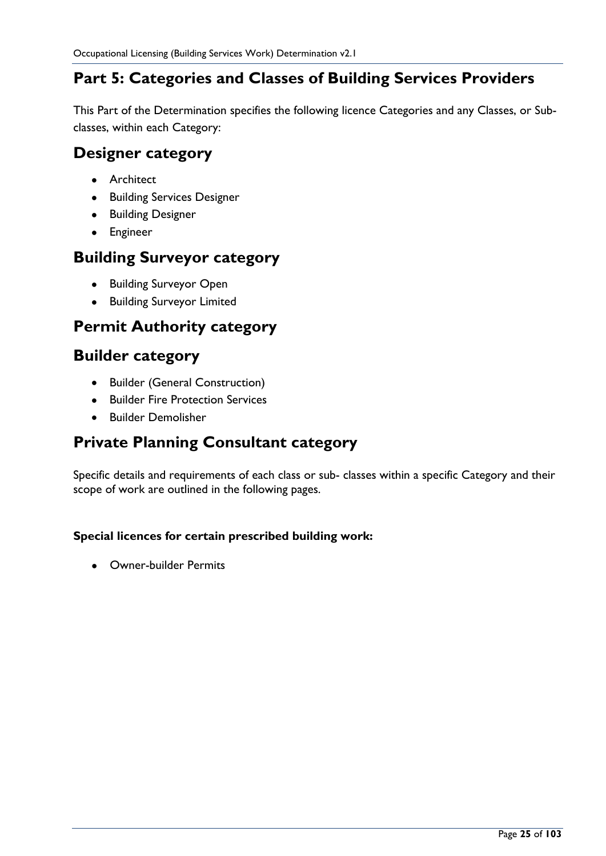## <span id="page-24-0"></span>**Part 5: Categories and Classes of Building Services Providers**

This Part of the Determination specifies the following licence Categories and any Classes, or Subclasses, within each Category:

#### <span id="page-24-1"></span>**Designer category**

- Architect
- Building Services Designer
- Building Designer
- Engineer

#### <span id="page-24-2"></span>**Building Surveyor category**

- Building Surveyor Open
- Building Surveyor Limited

## <span id="page-24-3"></span>**Permit Authority category**

### <span id="page-24-4"></span>**Builder category**

- Builder (General Construction)
- Builder Fire Protection Services
- Builder Demolisher

### <span id="page-24-5"></span>**Private Planning Consultant category**

Specific details and requirements of each class or sub- classes within a specific Category and their scope of work are outlined in the following pages.

#### **Special licences for certain prescribed building work:**

• Owner-builder Permits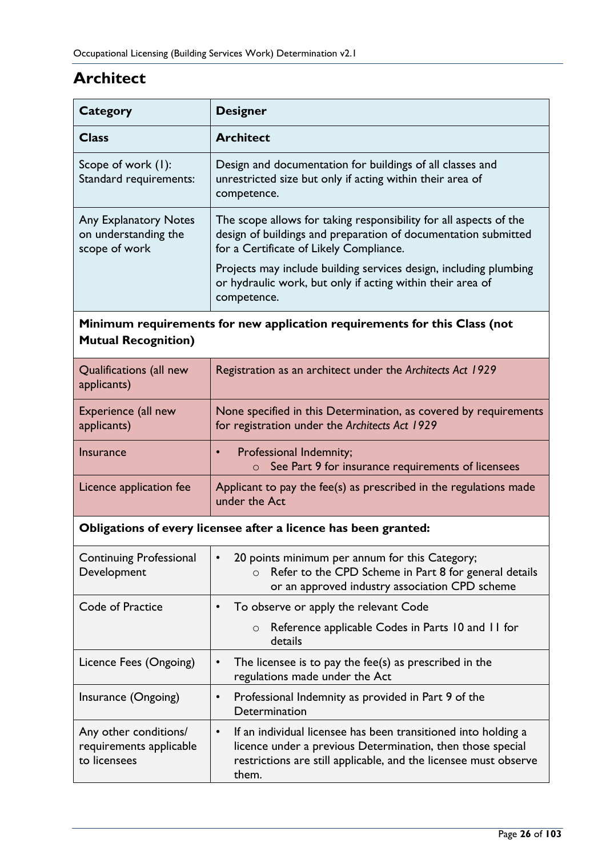# <span id="page-25-0"></span>**Architect**

| <b>Category</b>                                                                                         | <b>Designer</b>                                                                                                                                                                                                        |  |
|---------------------------------------------------------------------------------------------------------|------------------------------------------------------------------------------------------------------------------------------------------------------------------------------------------------------------------------|--|
| <b>Class</b>                                                                                            | <b>Architect</b>                                                                                                                                                                                                       |  |
| Scope of work (1):<br>Standard requirements:                                                            | Design and documentation for buildings of all classes and<br>unrestricted size but only if acting within their area of<br>competence.                                                                                  |  |
| <b>Any Explanatory Notes</b><br>on understanding the<br>scope of work                                   | The scope allows for taking responsibility for all aspects of the<br>design of buildings and preparation of documentation submitted<br>for a Certificate of Likely Compliance.                                         |  |
|                                                                                                         | Projects may include building services design, including plumbing<br>or hydraulic work, but only if acting within their area of<br>competence.                                                                         |  |
| Minimum requirements for new application requirements for this Class (not<br><b>Mutual Recognition)</b> |                                                                                                                                                                                                                        |  |
| Qualifications (all new<br>applicants)                                                                  | Registration as an architect under the Architects Act 1929                                                                                                                                                             |  |
| Experience (all new<br>applicants)                                                                      | None specified in this Determination, as covered by requirements<br>for registration under the Architects Act 1929                                                                                                     |  |
| <b>Insurance</b>                                                                                        | Professional Indemnity;<br>$\bullet$<br>See Part 9 for insurance requirements of licensees<br>$\circ$                                                                                                                  |  |
| Licence application fee                                                                                 | Applicant to pay the fee(s) as prescribed in the regulations made<br>under the Act                                                                                                                                     |  |
| Obligations of every licensee after a licence has been granted:                                         |                                                                                                                                                                                                                        |  |
| <b>Continuing Professional</b><br>Development                                                           | 20 points minimum per annum for this Category;<br>$\bullet$<br>Refer to the CPD Scheme in Part 8 for general details<br>$\circ$<br>or an approved industry association CPD scheme                                      |  |
| Code of Practice                                                                                        | To observe or apply the relevant Code<br>$\bullet$                                                                                                                                                                     |  |
|                                                                                                         | Reference applicable Codes in Parts 10 and 11 for<br>$\circ$<br>details                                                                                                                                                |  |
| Licence Fees (Ongoing)                                                                                  | The licensee is to pay the fee(s) as prescribed in the<br>$\bullet$<br>regulations made under the Act                                                                                                                  |  |
| Insurance (Ongoing)                                                                                     | Professional Indemnity as provided in Part 9 of the<br>$\bullet$<br>Determination                                                                                                                                      |  |
| Any other conditions/<br>requirements applicable<br>to licensees                                        | If an individual licensee has been transitioned into holding a<br>$\bullet$<br>licence under a previous Determination, then those special<br>restrictions are still applicable, and the licensee must observe<br>them. |  |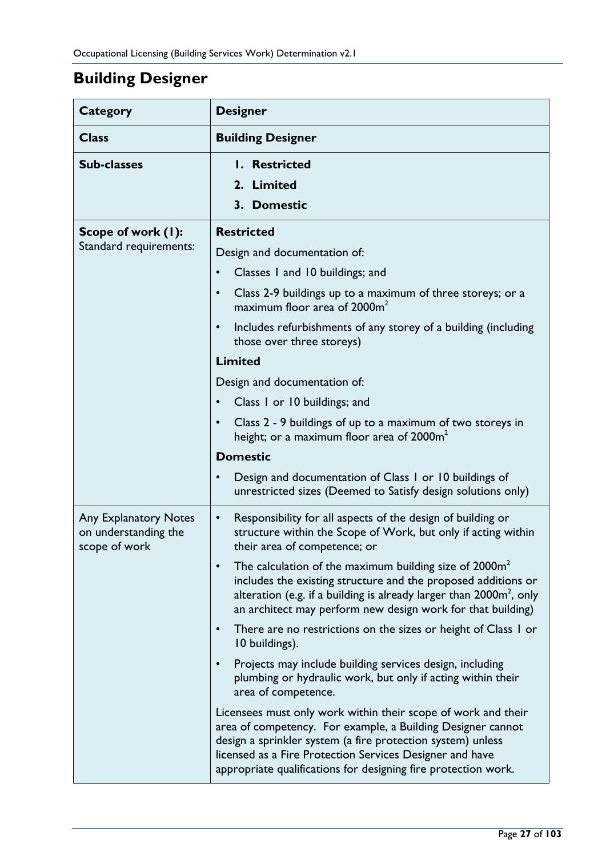# <span id="page-26-0"></span>**Building Designer**

| Category                                                              | <b>Designer</b>                                                                                                                                                                                                                                                                                                           |
|-----------------------------------------------------------------------|---------------------------------------------------------------------------------------------------------------------------------------------------------------------------------------------------------------------------------------------------------------------------------------------------------------------------|
| <b>Class</b>                                                          | <b>Building Designer</b>                                                                                                                                                                                                                                                                                                  |
| <b>Sub-classes</b>                                                    | I. Restricted<br>2. Limited<br>3. Domestic                                                                                                                                                                                                                                                                                |
| Scope of work (1):<br>Standard requirements:                          | <b>Restricted</b><br>Design and documentation of:<br>Classes 1 and 10 buildings; and<br>$\bullet$                                                                                                                                                                                                                         |
|                                                                       | Class 2-9 buildings up to a maximum of three storeys; or a<br>maximum floor area of 2000m <sup>2</sup><br>Includes refurbishments of any storey of a building (including<br>those over three storeys)                                                                                                                     |
|                                                                       | <b>Limited</b>                                                                                                                                                                                                                                                                                                            |
|                                                                       | Design and documentation of:                                                                                                                                                                                                                                                                                              |
|                                                                       | Class 1 or 10 buildings; and                                                                                                                                                                                                                                                                                              |
|                                                                       | Class 2 - 9 buildings of up to a maximum of two storeys in<br>height; or a maximum floor area of 2000 $m2$                                                                                                                                                                                                                |
|                                                                       | <b>Domestic</b>                                                                                                                                                                                                                                                                                                           |
|                                                                       | Design and documentation of Class 1 or 10 buildings of<br>unrestricted sizes (Deemed to Satisfy design solutions only)                                                                                                                                                                                                    |
| <b>Any Explanatory Notes</b><br>on understanding the<br>scope of work | Responsibility for all aspects of the design of building or<br>$\bullet$<br>structure within the Scope of Work, but only if acting within<br>their area of competence; or                                                                                                                                                 |
|                                                                       | The calculation of the maximum building size of $2000m2$<br>includes the existing structure and the proposed additions or<br>alteration (e.g. if a building is already larger than $2000m^2$ , only<br>an architect may perform new design work for that building)                                                        |
|                                                                       | There are no restrictions on the sizes or height of Class 1 or<br>10 buildings).                                                                                                                                                                                                                                          |
|                                                                       | Projects may include building services design, including<br>plumbing or hydraulic work, but only if acting within their<br>area of competence.                                                                                                                                                                            |
|                                                                       | Licensees must only work within their scope of work and their<br>area of competency. For example, a Building Designer cannot<br>design a sprinkler system (a fire protection system) unless<br>licensed as a Fire Protection Services Designer and have<br>appropriate qualifications for designing fire protection work. |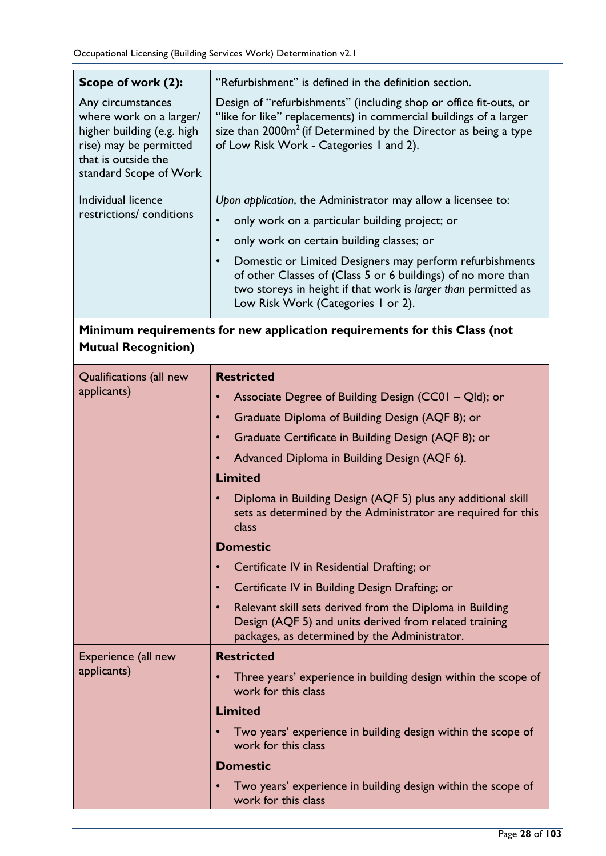| Scope of work (2):                                                                                                                                    | "Refurbishment" is defined in the definition section.                                                                                                                                                                                                   |  |
|-------------------------------------------------------------------------------------------------------------------------------------------------------|---------------------------------------------------------------------------------------------------------------------------------------------------------------------------------------------------------------------------------------------------------|--|
| Any circumstances<br>where work on a larger/<br>higher building (e.g. high<br>rise) may be permitted<br>that is outside the<br>standard Scope of Work | Design of "refurbishments" (including shop or office fit-outs, or<br>"like for like" replacements) in commercial buildings of a larger<br>size than $2000m^2$ (if Determined by the Director as being a type<br>of Low Risk Work - Categories 1 and 2). |  |
| Individual licence                                                                                                                                    | Upon application, the Administrator may allow a licensee to:                                                                                                                                                                                            |  |
| restrictions/conditions                                                                                                                               | only work on a particular building project; or<br>$\bullet$                                                                                                                                                                                             |  |
|                                                                                                                                                       | only work on certain building classes; or<br>$\bullet$                                                                                                                                                                                                  |  |
|                                                                                                                                                       | Domestic or Limited Designers may perform refurbishments<br>$\bullet$<br>of other Classes of (Class 5 or 6 buildings) of no more than<br>two storeys in height if that work is larger than permitted as<br>Low Risk Work (Categories 1 or 2).           |  |
| Minimum requirements for new application requirements for this Class (not<br><b>Mutual Recognition)</b>                                               |                                                                                                                                                                                                                                                         |  |
| Qualifications (all new                                                                                                                               | <b>Restricted</b>                                                                                                                                                                                                                                       |  |
| applicants)                                                                                                                                           | Associate Degree of Building Design (CC01 - Qld); or<br>$\bullet$                                                                                                                                                                                       |  |
|                                                                                                                                                       | Graduate Diploma of Building Design (AQF 8); or<br>$\bullet$                                                                                                                                                                                            |  |
|                                                                                                                                                       | Graduate Certificate in Building Design (AQF 8); or<br>$\bullet$                                                                                                                                                                                        |  |
|                                                                                                                                                       | Advanced Diploma in Building Design (AQF 6).<br>$\bullet$                                                                                                                                                                                               |  |
|                                                                                                                                                       | <b>Limited</b>                                                                                                                                                                                                                                          |  |
|                                                                                                                                                       | Diploma in Building Design (AQF 5) plus any additional skill<br>sets as determined by the Administrator are required for this<br>class                                                                                                                  |  |
|                                                                                                                                                       | <b>Domestic</b>                                                                                                                                                                                                                                         |  |
|                                                                                                                                                       | Certificate IV in Residential Drafting; or<br>$\bullet$                                                                                                                                                                                                 |  |
|                                                                                                                                                       | Certificate IV in Building Design Drafting; or<br>$\bullet$                                                                                                                                                                                             |  |
|                                                                                                                                                       | Relevant skill sets derived from the Diploma in Building<br>$\bullet$<br>Design (AQF 5) and units derived from related training<br>packages, as determined by the Administrator.                                                                        |  |
| Experience (all new                                                                                                                                   | <b>Restricted</b>                                                                                                                                                                                                                                       |  |
| applicants)                                                                                                                                           | Three years' experience in building design within the scope of<br>$\bullet$<br>work for this class                                                                                                                                                      |  |
|                                                                                                                                                       | <b>Limited</b>                                                                                                                                                                                                                                          |  |
|                                                                                                                                                       | Two years' experience in building design within the scope of<br>$\bullet$<br>work for this class                                                                                                                                                        |  |
|                                                                                                                                                       | <b>Domestic</b>                                                                                                                                                                                                                                         |  |
|                                                                                                                                                       | Two years' experience in building design within the scope of<br>$\bullet$<br>work for this class                                                                                                                                                        |  |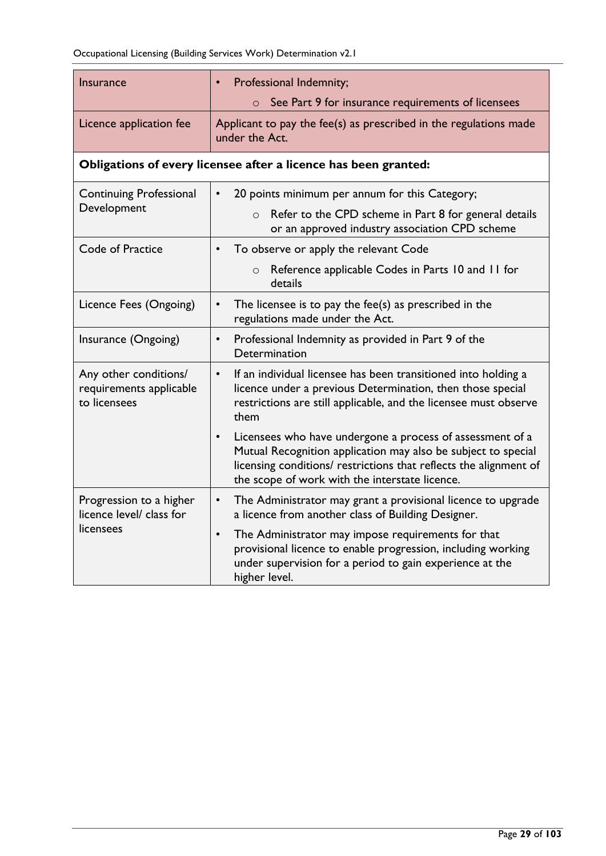| <b>Insurance</b>                                                 | Professional Indemnity;<br>$\bullet$                                                                                                                                                                                                                           |
|------------------------------------------------------------------|----------------------------------------------------------------------------------------------------------------------------------------------------------------------------------------------------------------------------------------------------------------|
|                                                                  | See Part 9 for insurance requirements of licensees                                                                                                                                                                                                             |
| Licence application fee                                          | Applicant to pay the fee(s) as prescribed in the regulations made<br>under the Act.                                                                                                                                                                            |
|                                                                  | Obligations of every licensee after a licence has been granted:                                                                                                                                                                                                |
| <b>Continuing Professional</b>                                   | 20 points minimum per annum for this Category;<br>$\bullet$                                                                                                                                                                                                    |
| Development                                                      | Refer to the CPD scheme in Part 8 for general details<br>$\circ$<br>or an approved industry association CPD scheme                                                                                                                                             |
| Code of Practice                                                 | To observe or apply the relevant Code<br>$\bullet$                                                                                                                                                                                                             |
|                                                                  | Reference applicable Codes in Parts 10 and 11 for<br>$\circ$<br>details                                                                                                                                                                                        |
| Licence Fees (Ongoing)                                           | The licensee is to pay the fee(s) as prescribed in the<br>$\bullet$<br>regulations made under the Act.                                                                                                                                                         |
| Insurance (Ongoing)                                              | Professional Indemnity as provided in Part 9 of the<br>$\bullet$<br>Determination                                                                                                                                                                              |
| Any other conditions/<br>requirements applicable<br>to licensees | If an individual licensee has been transitioned into holding a<br>$\bullet$<br>licence under a previous Determination, then those special<br>restrictions are still applicable, and the licensee must observe<br>them                                          |
|                                                                  | Licensees who have undergone a process of assessment of a<br>$\bullet$<br>Mutual Recognition application may also be subject to special<br>licensing conditions/ restrictions that reflects the alignment of<br>the scope of work with the interstate licence. |
| Progression to a higher<br>licence level/ class for              | The Administrator may grant a provisional licence to upgrade<br>$\bullet$<br>a licence from another class of Building Designer.                                                                                                                                |
| licensees                                                        | The Administrator may impose requirements for that<br>$\bullet$<br>provisional licence to enable progression, including working<br>under supervision for a period to gain experience at the<br>higher level.                                                   |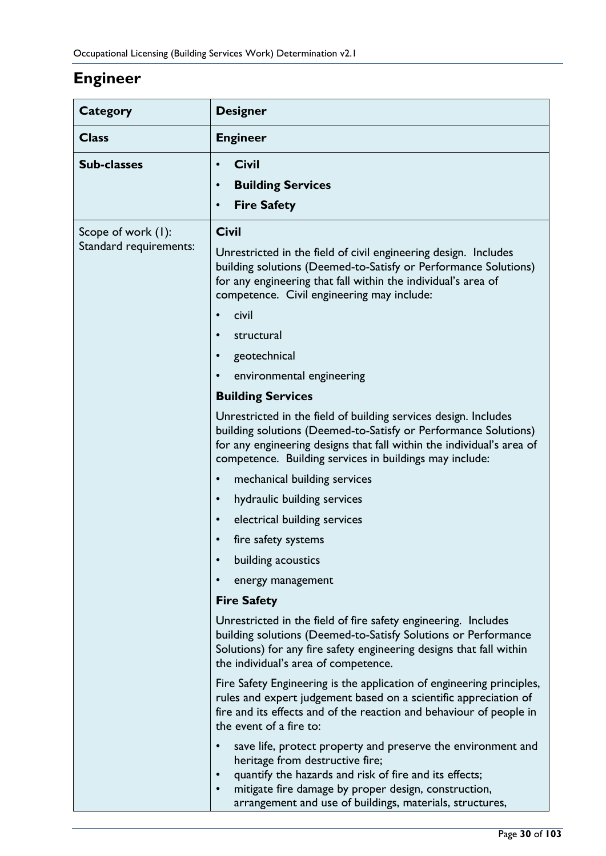# <span id="page-29-0"></span>**Engineer**

| Category                                     | <b>Designer</b>                                                                                                                                                                                                                                                                                                                                                                                                                                                                                                                                                                                                                                                                                                                                                                                                                                                                                                                                                                                                                                                                                                                                                                                                                                                                                                                                                                                                                                                                                                                                                                                                                                                                                                                            |
|----------------------------------------------|--------------------------------------------------------------------------------------------------------------------------------------------------------------------------------------------------------------------------------------------------------------------------------------------------------------------------------------------------------------------------------------------------------------------------------------------------------------------------------------------------------------------------------------------------------------------------------------------------------------------------------------------------------------------------------------------------------------------------------------------------------------------------------------------------------------------------------------------------------------------------------------------------------------------------------------------------------------------------------------------------------------------------------------------------------------------------------------------------------------------------------------------------------------------------------------------------------------------------------------------------------------------------------------------------------------------------------------------------------------------------------------------------------------------------------------------------------------------------------------------------------------------------------------------------------------------------------------------------------------------------------------------------------------------------------------------------------------------------------------------|
| <b>Class</b>                                 | <b>Engineer</b>                                                                                                                                                                                                                                                                                                                                                                                                                                                                                                                                                                                                                                                                                                                                                                                                                                                                                                                                                                                                                                                                                                                                                                                                                                                                                                                                                                                                                                                                                                                                                                                                                                                                                                                            |
| <b>Sub-classes</b>                           | <b>Civil</b><br>$\bullet$<br><b>Building Services</b><br>$\bullet$<br><b>Fire Safety</b><br>$\bullet$                                                                                                                                                                                                                                                                                                                                                                                                                                                                                                                                                                                                                                                                                                                                                                                                                                                                                                                                                                                                                                                                                                                                                                                                                                                                                                                                                                                                                                                                                                                                                                                                                                      |
| Scope of work (1):<br>Standard requirements: | <b>Civil</b><br>Unrestricted in the field of civil engineering design. Includes<br>building solutions (Deemed-to-Satisfy or Performance Solutions)<br>for any engineering that fall within the individual's area of<br>competence. Civil engineering may include:<br>civil<br>structural<br>$\bullet$<br>geotechnical<br>$\bullet$<br>environmental engineering<br><b>Building Services</b><br>Unrestricted in the field of building services design. Includes<br>building solutions (Deemed-to-Satisfy or Performance Solutions)<br>for any engineering designs that fall within the individual's area of<br>competence. Building services in buildings may include:<br>mechanical building services<br>$\bullet$<br>hydraulic building services<br>$\bullet$<br>electrical building services<br>$\bullet$<br>fire safety systems<br>$\bullet$<br>building acoustics<br>energy management<br><b>Fire Safety</b><br>Unrestricted in the field of fire safety engineering. Includes<br>building solutions (Deemed-to-Satisfy Solutions or Performance<br>Solutions) for any fire safety engineering designs that fall within<br>the individual's area of competence.<br>Fire Safety Engineering is the application of engineering principles,<br>rules and expert judgement based on a scientific appreciation of<br>fire and its effects and of the reaction and behaviour of people in<br>the event of a fire to:<br>save life, protect property and preserve the environment and<br>$\bullet$<br>heritage from destructive fire;<br>quantify the hazards and risk of fire and its effects;<br>$\bullet$<br>mitigate fire damage by proper design, construction,<br>$\bullet$<br>arrangement and use of buildings, materials, structures, |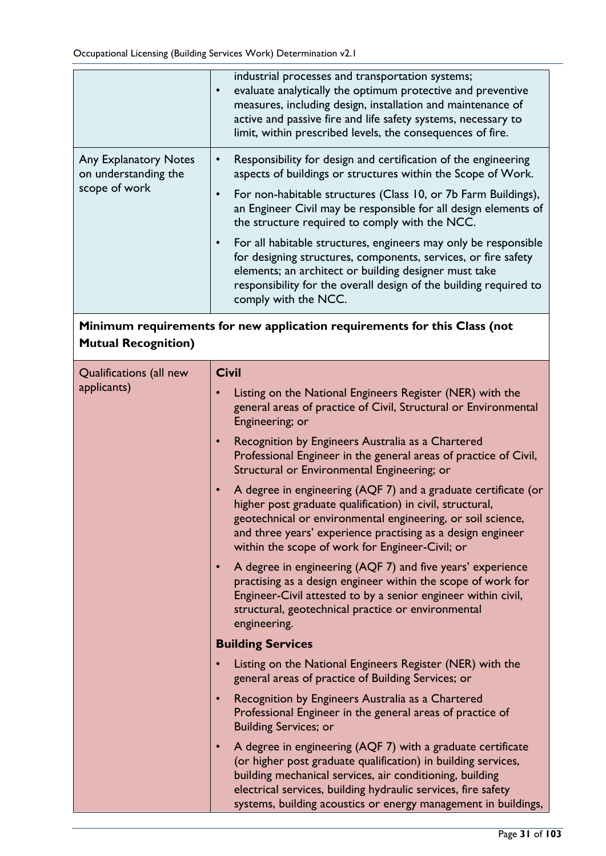|                                                                                                         | industrial processes and transportation systems;<br>evaluate analytically the optimum protective and preventive<br>measures, including design, installation and maintenance of<br>active and passive fire and life safety systems, necessary to<br>limit, within prescribed levels, the consequences of fire.                                                                                                                                                                                                                                                                                                                                           |  |  |
|---------------------------------------------------------------------------------------------------------|---------------------------------------------------------------------------------------------------------------------------------------------------------------------------------------------------------------------------------------------------------------------------------------------------------------------------------------------------------------------------------------------------------------------------------------------------------------------------------------------------------------------------------------------------------------------------------------------------------------------------------------------------------|--|--|
| <b>Any Explanatory Notes</b><br>on understanding the<br>scope of work                                   | Responsibility for design and certification of the engineering<br>$\bullet$<br>aspects of buildings or structures within the Scope of Work.<br>For non-habitable structures (Class 10, or 7b Farm Buildings),<br>$\bullet$<br>an Engineer Civil may be responsible for all design elements of<br>the structure required to comply with the NCC.<br>For all habitable structures, engineers may only be responsible<br>$\bullet$<br>for designing structures, components, services, or fire safety<br>elements; an architect or building designer must take<br>responsibility for the overall design of the building required to<br>comply with the NCC. |  |  |
| Minimum requirements for new application requirements for this Class (not<br><b>Mutual Recognition)</b> |                                                                                                                                                                                                                                                                                                                                                                                                                                                                                                                                                                                                                                                         |  |  |
| Qualifications (all new                                                                                 | <b>Civil</b>                                                                                                                                                                                                                                                                                                                                                                                                                                                                                                                                                                                                                                            |  |  |
| applicants)                                                                                             | Listing on the National Engineers Register (NER) with the<br>general areas of practice of Civil, Structural or Environmental<br>Engineering; or                                                                                                                                                                                                                                                                                                                                                                                                                                                                                                         |  |  |
|                                                                                                         | Recognition by Engineers Australia as a Chartered<br>$\bullet$<br>Professional Engineer in the general areas of practice of Civil,<br>Structural or Environmental Engineering; or                                                                                                                                                                                                                                                                                                                                                                                                                                                                       |  |  |
|                                                                                                         | A degree in engineering (AQF 7) and a graduate certificate (or<br>$\bullet$<br>higher post graduate qualification) in civil, structural,<br>geotechnical or environmental engineering, or soil science,<br>and three years' experience practising as a design engineer<br>within the scope of work for Engineer-Civil; or                                                                                                                                                                                                                                                                                                                               |  |  |
|                                                                                                         | A degree in engineering (AQF 7) and five years' experience<br>$\bullet$<br>practising as a design engineer within the scope of work for<br>Engineer-Civil attested to by a senior engineer within civil,<br>structural, geotechnical practice or environmental<br>engineering.                                                                                                                                                                                                                                                                                                                                                                          |  |  |
|                                                                                                         | <b>Building Services</b>                                                                                                                                                                                                                                                                                                                                                                                                                                                                                                                                                                                                                                |  |  |
|                                                                                                         | Listing on the National Engineers Register (NER) with the<br>general areas of practice of Building Services; or                                                                                                                                                                                                                                                                                                                                                                                                                                                                                                                                         |  |  |
|                                                                                                         | Recognition by Engineers Australia as a Chartered<br>Professional Engineer in the general areas of practice of<br><b>Building Services; or</b>                                                                                                                                                                                                                                                                                                                                                                                                                                                                                                          |  |  |
|                                                                                                         | A degree in engineering (AQF 7) with a graduate certificate<br>$\bullet$<br>(or higher post graduate qualification) in building services,<br>building mechanical services, air conditioning, building<br>electrical services, building hydraulic services, fire safety<br>systems, building acoustics or energy management in buildings,                                                                                                                                                                                                                                                                                                                |  |  |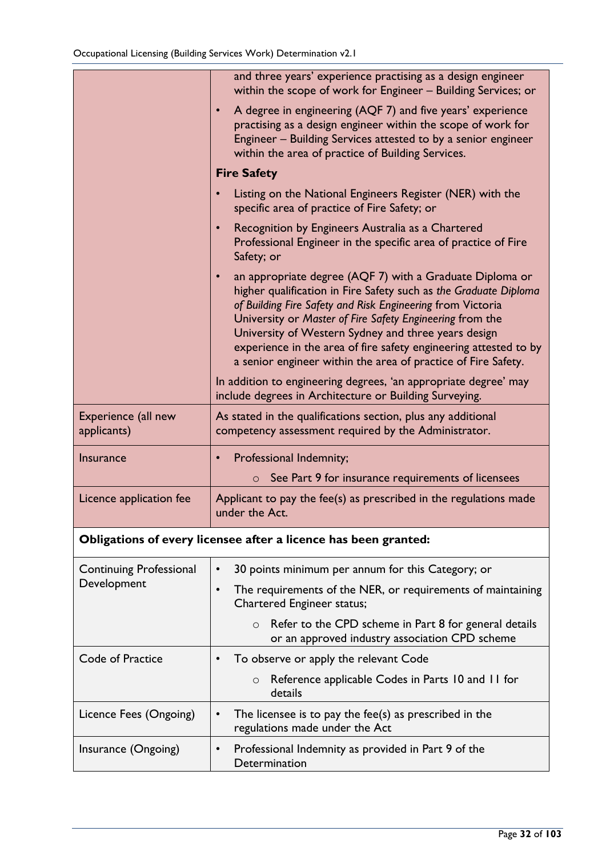|                                                                 | and three years' experience practising as a design engineer<br>within the scope of work for Engineer - Building Services; or                                                                                                                                                                                                                                                                                                                       |  |
|-----------------------------------------------------------------|----------------------------------------------------------------------------------------------------------------------------------------------------------------------------------------------------------------------------------------------------------------------------------------------------------------------------------------------------------------------------------------------------------------------------------------------------|--|
|                                                                 | A degree in engineering (AQF 7) and five years' experience<br>practising as a design engineer within the scope of work for<br>Engineer - Building Services attested to by a senior engineer<br>within the area of practice of Building Services.                                                                                                                                                                                                   |  |
|                                                                 | <b>Fire Safety</b>                                                                                                                                                                                                                                                                                                                                                                                                                                 |  |
|                                                                 | Listing on the National Engineers Register (NER) with the<br>specific area of practice of Fire Safety; or                                                                                                                                                                                                                                                                                                                                          |  |
|                                                                 | Recognition by Engineers Australia as a Chartered<br>Professional Engineer in the specific area of practice of Fire<br>Safety; or                                                                                                                                                                                                                                                                                                                  |  |
|                                                                 | an appropriate degree (AQF 7) with a Graduate Diploma or<br>higher qualification in Fire Safety such as the Graduate Diploma<br>of Building Fire Safety and Risk Engineering from Victoria<br>University or Master of Fire Safety Engineering from the<br>University of Western Sydney and three years design<br>experience in the area of fire safety engineering attested to by<br>a senior engineer within the area of practice of Fire Safety. |  |
|                                                                 | In addition to engineering degrees, 'an appropriate degree' may<br>include degrees in Architecture or Building Surveying.                                                                                                                                                                                                                                                                                                                          |  |
| Experience (all new<br>applicants)                              | As stated in the qualifications section, plus any additional<br>competency assessment required by the Administrator.                                                                                                                                                                                                                                                                                                                               |  |
| <b>Insurance</b>                                                | <b>Professional Indemnity;</b><br>$\bullet$                                                                                                                                                                                                                                                                                                                                                                                                        |  |
|                                                                 | See Part 9 for insurance requirements of licensees<br>$\circ$                                                                                                                                                                                                                                                                                                                                                                                      |  |
| Licence application fee                                         | Applicant to pay the fee(s) as prescribed in the regulations made<br>under the Act.                                                                                                                                                                                                                                                                                                                                                                |  |
| Obligations of every licensee after a licence has been granted: |                                                                                                                                                                                                                                                                                                                                                                                                                                                    |  |
| <b>Continuing Professional</b>                                  | 30 points minimum per annum for this Category; or                                                                                                                                                                                                                                                                                                                                                                                                  |  |
| Development                                                     | The requirements of the NER, or requirements of maintaining<br>$\bullet$<br><b>Chartered Engineer status;</b>                                                                                                                                                                                                                                                                                                                                      |  |
|                                                                 | Refer to the CPD scheme in Part 8 for general details<br>$\circ$<br>or an approved industry association CPD scheme                                                                                                                                                                                                                                                                                                                                 |  |
| Code of Practice                                                | To observe or apply the relevant Code                                                                                                                                                                                                                                                                                                                                                                                                              |  |
|                                                                 | Reference applicable Codes in Parts 10 and 11 for<br>$\circ$<br>details                                                                                                                                                                                                                                                                                                                                                                            |  |
| Licence Fees (Ongoing)                                          | The licensee is to pay the fee(s) as prescribed in the<br>regulations made under the Act                                                                                                                                                                                                                                                                                                                                                           |  |
| Insurance (Ongoing)                                             | Professional Indemnity as provided in Part 9 of the<br>Determination                                                                                                                                                                                                                                                                                                                                                                               |  |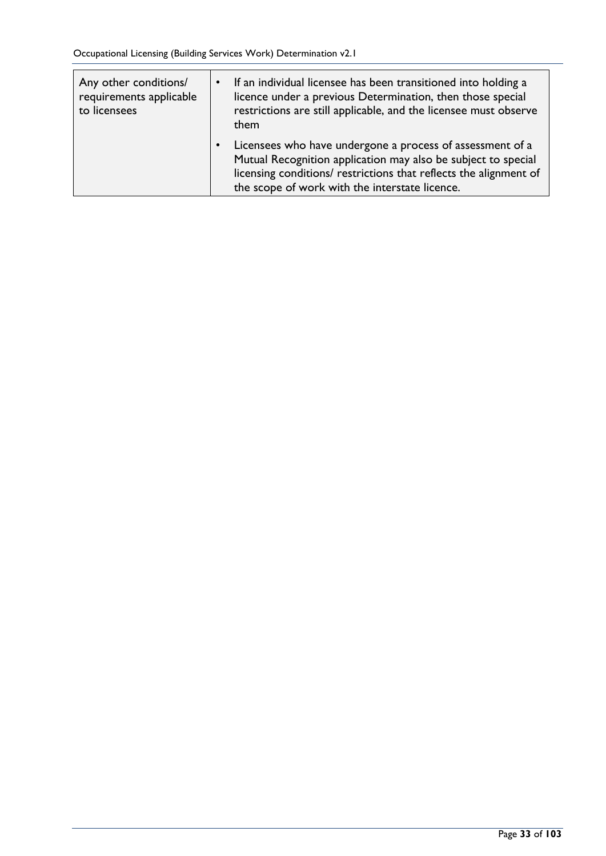| Any other conditions/<br>requirements applicable<br>to licensees | If an individual licensee has been transitioned into holding a<br>licence under a previous Determination, then those special<br>restrictions are still applicable, and the licensee must observe<br>them                                          |
|------------------------------------------------------------------|---------------------------------------------------------------------------------------------------------------------------------------------------------------------------------------------------------------------------------------------------|
|                                                                  | Licensees who have undergone a process of assessment of a<br>Mutual Recognition application may also be subject to special<br>licensing conditions/ restrictions that reflects the alignment of<br>the scope of work with the interstate licence. |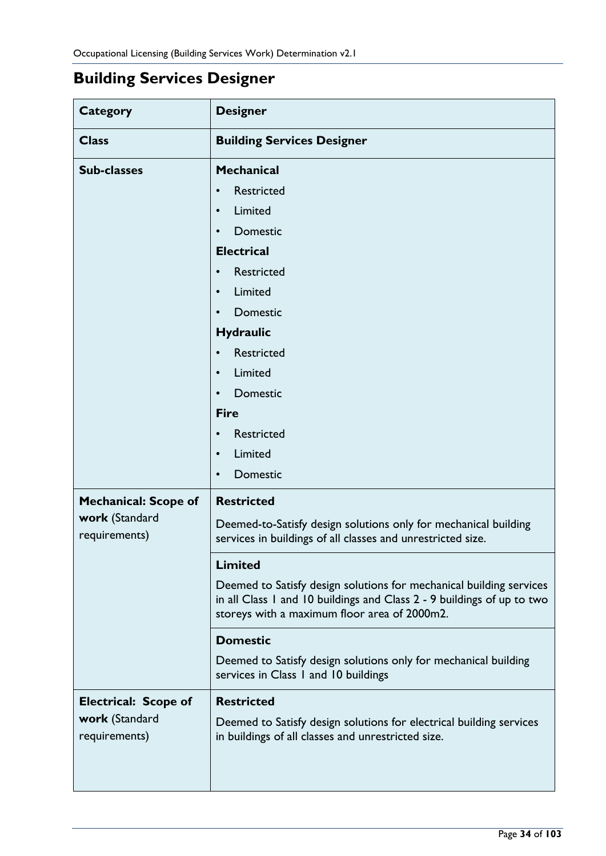# <span id="page-33-0"></span>**Building Services Designer**

| <b>Category</b>                 | <b>Designer</b>                                                                                                                                                                               |  |
|---------------------------------|-----------------------------------------------------------------------------------------------------------------------------------------------------------------------------------------------|--|
| <b>Class</b>                    | <b>Building Services Designer</b>                                                                                                                                                             |  |
| <b>Sub-classes</b>              | <b>Mechanical</b>                                                                                                                                                                             |  |
|                                 | <b>Restricted</b><br>$\bullet$                                                                                                                                                                |  |
|                                 | Limited<br>$\bullet$                                                                                                                                                                          |  |
|                                 | Domestic<br>$\bullet$                                                                                                                                                                         |  |
|                                 | <b>Electrical</b>                                                                                                                                                                             |  |
|                                 | <b>Restricted</b><br>$\bullet$                                                                                                                                                                |  |
|                                 | Limited<br>$\bullet$                                                                                                                                                                          |  |
|                                 | Domestic<br>$\bullet$                                                                                                                                                                         |  |
|                                 | <b>Hydraulic</b>                                                                                                                                                                              |  |
|                                 | <b>Restricted</b>                                                                                                                                                                             |  |
|                                 | Limited<br>$\bullet$                                                                                                                                                                          |  |
|                                 | Domestic<br>$\bullet$                                                                                                                                                                         |  |
|                                 | <b>Fire</b>                                                                                                                                                                                   |  |
|                                 | <b>Restricted</b><br>$\bullet$                                                                                                                                                                |  |
|                                 | Limited<br>$\bullet$                                                                                                                                                                          |  |
|                                 | Domestic<br>$\bullet$                                                                                                                                                                         |  |
| <b>Mechanical: Scope of</b>     | <b>Restricted</b>                                                                                                                                                                             |  |
| work (Standard<br>requirements) | Deemed-to-Satisfy design solutions only for mechanical building<br>services in buildings of all classes and unrestricted size.                                                                |  |
|                                 | <b>Limited</b>                                                                                                                                                                                |  |
|                                 | Deemed to Satisfy design solutions for mechanical building services<br>in all Class 1 and 10 buildings and Class 2 - 9 buildings of up to two<br>storeys with a maximum floor area of 2000m2. |  |
|                                 | <b>Domestic</b>                                                                                                                                                                               |  |
|                                 | Deemed to Satisfy design solutions only for mechanical building<br>services in Class 1 and 10 buildings                                                                                       |  |
| <b>Electrical: Scope of</b>     | <b>Restricted</b>                                                                                                                                                                             |  |
| work (Standard<br>requirements) | Deemed to Satisfy design solutions for electrical building services<br>in buildings of all classes and unrestricted size.                                                                     |  |
|                                 |                                                                                                                                                                                               |  |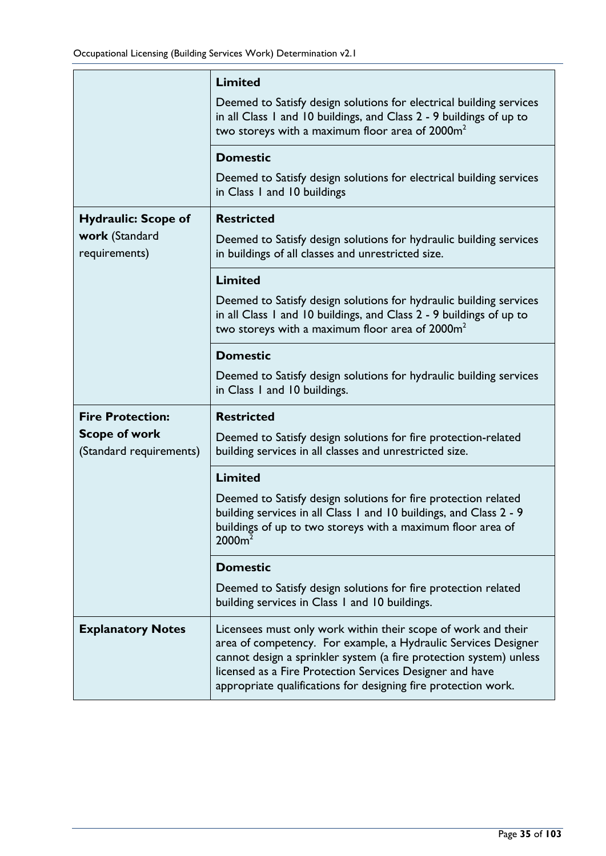|                                                 | <b>Limited</b>                                                                                                                                                                                                                                                                                                                      |
|-------------------------------------------------|-------------------------------------------------------------------------------------------------------------------------------------------------------------------------------------------------------------------------------------------------------------------------------------------------------------------------------------|
|                                                 | Deemed to Satisfy design solutions for electrical building services<br>in all Class I and 10 buildings, and Class 2 - 9 buildings of up to<br>two storeys with a maximum floor area of 2000m <sup>2</sup>                                                                                                                           |
|                                                 | <b>Domestic</b>                                                                                                                                                                                                                                                                                                                     |
|                                                 | Deemed to Satisfy design solutions for electrical building services<br>in Class I and 10 buildings                                                                                                                                                                                                                                  |
| <b>Hydraulic: Scope of</b>                      | <b>Restricted</b>                                                                                                                                                                                                                                                                                                                   |
| work (Standard<br>requirements)                 | Deemed to Satisfy design solutions for hydraulic building services<br>in buildings of all classes and unrestricted size.                                                                                                                                                                                                            |
|                                                 | <b>Limited</b>                                                                                                                                                                                                                                                                                                                      |
|                                                 | Deemed to Satisfy design solutions for hydraulic building services<br>in all Class I and 10 buildings, and Class 2 - 9 buildings of up to<br>two storeys with a maximum floor area of 2000m <sup>2</sup>                                                                                                                            |
|                                                 | <b>Domestic</b>                                                                                                                                                                                                                                                                                                                     |
|                                                 | Deemed to Satisfy design solutions for hydraulic building services<br>in Class I and 10 buildings.                                                                                                                                                                                                                                  |
| <b>Fire Protection:</b>                         | <b>Restricted</b>                                                                                                                                                                                                                                                                                                                   |
| <b>Scope of work</b><br>(Standard requirements) | Deemed to Satisfy design solutions for fire protection-related<br>building services in all classes and unrestricted size.                                                                                                                                                                                                           |
|                                                 | <b>Limited</b>                                                                                                                                                                                                                                                                                                                      |
|                                                 | Deemed to Satisfy design solutions for fire protection related<br>building services in all Class 1 and 10 buildings, and Class 2 - 9<br>buildings of up to two storeys with a maximum floor area of<br>2000m <sup>2</sup>                                                                                                           |
|                                                 | <b>Domestic</b>                                                                                                                                                                                                                                                                                                                     |
|                                                 | Deemed to Satisfy design solutions for fire protection related<br>building services in Class 1 and 10 buildings.                                                                                                                                                                                                                    |
| <b>Explanatory Notes</b>                        | Licensees must only work within their scope of work and their<br>area of competency. For example, a Hydraulic Services Designer<br>cannot design a sprinkler system (a fire protection system) unless<br>licensed as a Fire Protection Services Designer and have<br>appropriate qualifications for designing fire protection work. |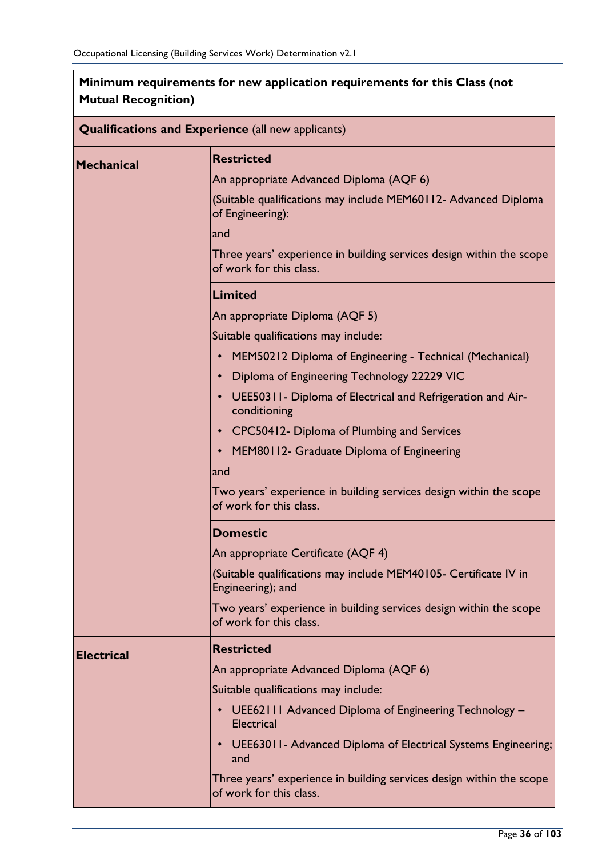| <b>Mutual Recognition)</b> |                                                                                                 |  |  |  |
|----------------------------|-------------------------------------------------------------------------------------------------|--|--|--|
|                            | <b>Qualifications and Experience</b> (all new applicants)                                       |  |  |  |
| <b>Mechanical</b>          | <b>Restricted</b>                                                                               |  |  |  |
|                            | An appropriate Advanced Diploma (AQF 6)                                                         |  |  |  |
|                            | (Suitable qualifications may include MEM60112- Advanced Diploma<br>of Engineering):             |  |  |  |
|                            | and                                                                                             |  |  |  |
|                            | Three years' experience in building services design within the scope<br>of work for this class. |  |  |  |
|                            | Limited                                                                                         |  |  |  |
|                            | An appropriate Diploma (AQF 5)                                                                  |  |  |  |
|                            | Suitable qualifications may include:                                                            |  |  |  |
|                            | MEM50212 Diploma of Engineering - Technical (Mechanical)<br>$\bullet$                           |  |  |  |
|                            | Diploma of Engineering Technology 22229 VIC                                                     |  |  |  |
|                            | UEE50311- Diploma of Electrical and Refrigeration and Air-<br>conditioning                      |  |  |  |
|                            | CPC50412- Diploma of Plumbing and Services                                                      |  |  |  |
|                            | MEM80112- Graduate Diploma of Engineering                                                       |  |  |  |
|                            | and                                                                                             |  |  |  |
|                            | Two years' experience in building services design within the scope<br>of work for this class.   |  |  |  |
|                            | <b>Domestic</b>                                                                                 |  |  |  |
|                            | An appropriate Certificate (AQF 4)                                                              |  |  |  |
|                            | (Suitable qualifications may include MEM40105- Certificate IV in<br>Engineering); and           |  |  |  |
|                            | Two years' experience in building services design within the scope<br>of work for this class.   |  |  |  |
| <b>Electrical</b>          | <b>Restricted</b>                                                                               |  |  |  |
|                            | An appropriate Advanced Diploma (AQF 6)                                                         |  |  |  |
|                            | Suitable qualifications may include:                                                            |  |  |  |
|                            | UEE62111 Advanced Diploma of Engineering Technology -<br>$\bullet$<br>Electrical                |  |  |  |
|                            | UEE63011- Advanced Diploma of Electrical Systems Engineering;<br>and                            |  |  |  |
|                            | Three years' experience in building services design within the scope<br>of work for this class. |  |  |  |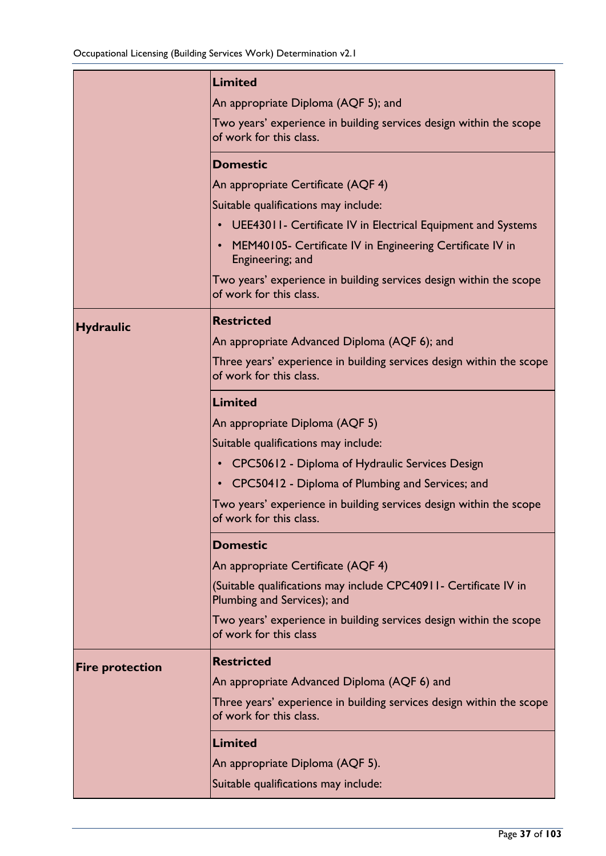|                        | <b>Limited</b>                                                                                   |
|------------------------|--------------------------------------------------------------------------------------------------|
|                        | An appropriate Diploma (AQF 5); and                                                              |
|                        | Two years' experience in building services design within the scope<br>of work for this class.    |
|                        | <b>Domestic</b>                                                                                  |
|                        | An appropriate Certificate (AQF 4)                                                               |
|                        | Suitable qualifications may include:                                                             |
|                        | • UEE43011- Certificate IV in Electrical Equipment and Systems                                   |
|                        | MEM40105- Certificate IV in Engineering Certificate IV in<br>Engineering; and                    |
|                        | Two years' experience in building services design within the scope<br>of work for this class.    |
| <b>Hydraulic</b>       | <b>Restricted</b>                                                                                |
|                        | An appropriate Advanced Diploma (AQF 6); and                                                     |
|                        | Three years' experience in building services design within the scope<br>of work for this class.  |
|                        | Limited                                                                                          |
|                        | An appropriate Diploma (AQF 5)                                                                   |
|                        | Suitable qualifications may include:                                                             |
|                        | CPC50612 - Diploma of Hydraulic Services Design                                                  |
|                        | CPC50412 - Diploma of Plumbing and Services; and                                                 |
|                        | Two years' experience in building services design within the scope<br>of work for this class.    |
|                        | <b>Domestic</b>                                                                                  |
|                        | An appropriate Certificate (AQF 4)                                                               |
|                        | (Suitable qualifications may include CPC40911 - Certificate IV in<br>Plumbing and Services); and |
|                        | Two years' experience in building services design within the scope<br>of work for this class     |
| <b>Fire protection</b> | <b>Restricted</b>                                                                                |
|                        | An appropriate Advanced Diploma (AQF 6) and                                                      |
|                        | Three years' experience in building services design within the scope<br>of work for this class.  |
|                        | Limited                                                                                          |
|                        | An appropriate Diploma (AQF 5).                                                                  |
|                        | Suitable qualifications may include:                                                             |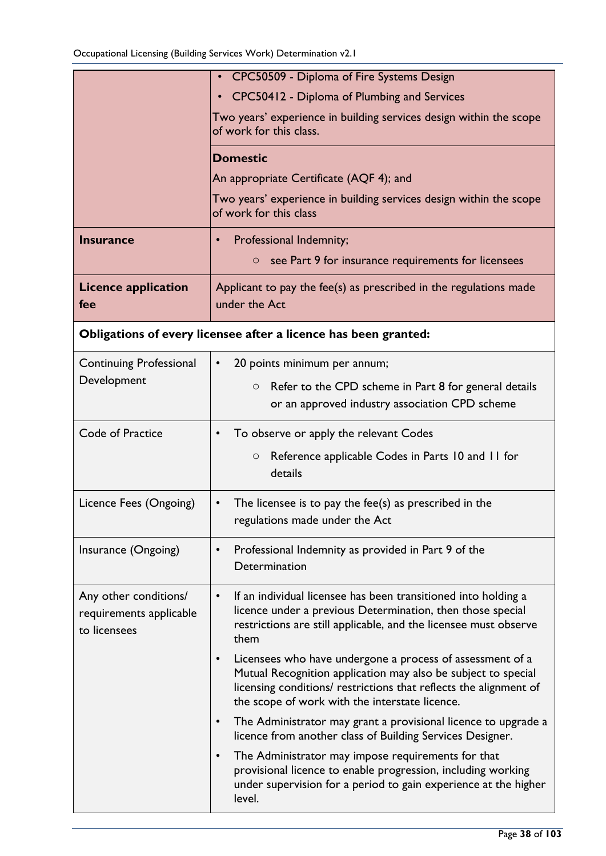|                                                                  | CPC50509 - Diploma of Fire Systems Design                                                                                                                                                                                                                      |
|------------------------------------------------------------------|----------------------------------------------------------------------------------------------------------------------------------------------------------------------------------------------------------------------------------------------------------------|
|                                                                  | CPC50412 - Diploma of Plumbing and Services                                                                                                                                                                                                                    |
|                                                                  | Two years' experience in building services design within the scope<br>of work for this class.                                                                                                                                                                  |
|                                                                  | <b>Domestic</b>                                                                                                                                                                                                                                                |
|                                                                  | An appropriate Certificate (AQF 4); and                                                                                                                                                                                                                        |
|                                                                  | Two years' experience in building services design within the scope<br>of work for this class                                                                                                                                                                   |
| <b>Insurance</b>                                                 | Professional Indemnity;<br>$\bullet$                                                                                                                                                                                                                           |
|                                                                  | see Part 9 for insurance requirements for licensees<br>$\circ$                                                                                                                                                                                                 |
| <b>Licence application</b><br>fee                                | Applicant to pay the fee(s) as prescribed in the regulations made<br>under the Act                                                                                                                                                                             |
|                                                                  | Obligations of every licensee after a licence has been granted:                                                                                                                                                                                                |
| <b>Continuing Professional</b>                                   | 20 points minimum per annum;<br>$\bullet$                                                                                                                                                                                                                      |
| Development                                                      | Refer to the CPD scheme in Part 8 for general details<br>$\circ$<br>or an approved industry association CPD scheme                                                                                                                                             |
| Code of Practice                                                 | To observe or apply the relevant Codes<br>$\bullet$                                                                                                                                                                                                            |
|                                                                  | Reference applicable Codes in Parts 10 and 11 for<br>$\circ$<br>details                                                                                                                                                                                        |
| Licence Fees (Ongoing)                                           | The licensee is to pay the fee(s) as prescribed in the<br>$\bullet$<br>regulations made under the Act                                                                                                                                                          |
| Insurance (Ongoing)                                              | Professional Indemnity as provided in Part 9 of the<br>$\bullet$<br>Determination                                                                                                                                                                              |
| Any other conditions/<br>requirements applicable<br>to licensees | If an individual licensee has been transitioned into holding a<br>$\bullet$<br>licence under a previous Determination, then those special<br>restrictions are still applicable, and the licensee must observe<br>them                                          |
|                                                                  | Licensees who have undergone a process of assessment of a<br>$\bullet$<br>Mutual Recognition application may also be subject to special<br>licensing conditions/ restrictions that reflects the alignment of<br>the scope of work with the interstate licence. |
|                                                                  | The Administrator may grant a provisional licence to upgrade a<br>$\bullet$<br>licence from another class of Building Services Designer.                                                                                                                       |
|                                                                  | The Administrator may impose requirements for that<br>$\bullet$<br>provisional licence to enable progression, including working<br>under supervision for a period to gain experience at the higher<br>level.                                                   |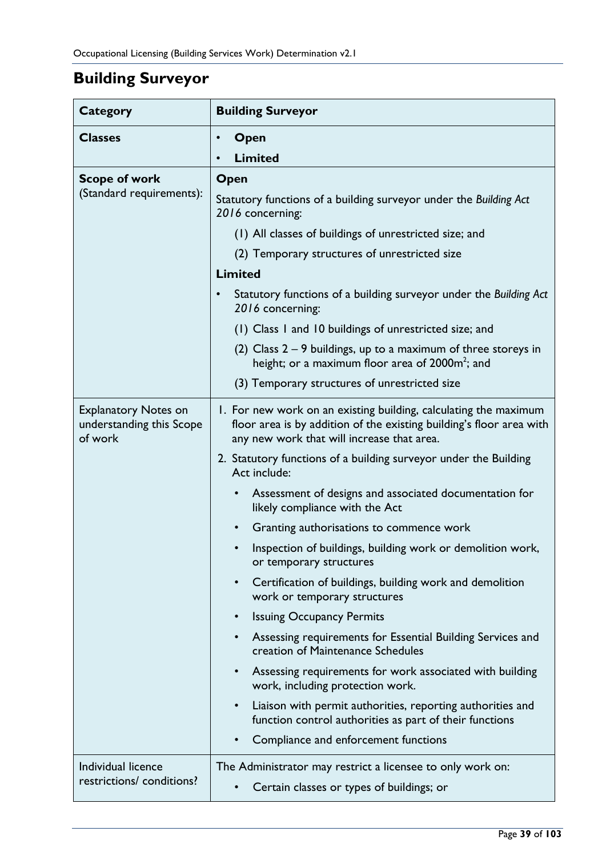# **Building Surveyor**

| <b>Category</b>                                                    | <b>Building Surveyor</b>                                                                                                                                                               |
|--------------------------------------------------------------------|----------------------------------------------------------------------------------------------------------------------------------------------------------------------------------------|
| <b>Classes</b>                                                     | Open<br>$\bullet$                                                                                                                                                                      |
|                                                                    | <b>Limited</b>                                                                                                                                                                         |
| <b>Scope of work</b>                                               | Open                                                                                                                                                                                   |
| (Standard requirements):                                           | Statutory functions of a building surveyor under the Building Act<br>2016 concerning:                                                                                                  |
|                                                                    | (1) All classes of buildings of unrestricted size; and                                                                                                                                 |
|                                                                    | (2) Temporary structures of unrestricted size                                                                                                                                          |
|                                                                    | <b>Limited</b>                                                                                                                                                                         |
|                                                                    | Statutory functions of a building surveyor under the Building Act<br>2016 concerning:                                                                                                  |
|                                                                    | (1) Class I and 10 buildings of unrestricted size; and                                                                                                                                 |
|                                                                    | (2) Class $2 - 9$ buildings, up to a maximum of three storeys in<br>height; or a maximum floor area of 2000m <sup>2</sup> ; and                                                        |
|                                                                    | (3) Temporary structures of unrestricted size                                                                                                                                          |
| <b>Explanatory Notes on</b><br>understanding this Scope<br>of work | I. For new work on an existing building, calculating the maximum<br>floor area is by addition of the existing building's floor area with<br>any new work that will increase that area. |
|                                                                    | 2. Statutory functions of a building surveyor under the Building<br>Act include:                                                                                                       |
|                                                                    | Assessment of designs and associated documentation for<br>$\bullet$<br>likely compliance with the Act                                                                                  |
|                                                                    | Granting authorisations to commence work<br>$\bullet$                                                                                                                                  |
|                                                                    | Inspection of buildings, building work or demolition work,<br>or temporary structures                                                                                                  |
|                                                                    | Certification of buildings, building work and demolition<br>$\bullet$<br>work or temporary structures                                                                                  |
|                                                                    | <b>Issuing Occupancy Permits</b><br>$\bullet$                                                                                                                                          |
|                                                                    | Assessing requirements for Essential Building Services and<br>$\bullet$<br>creation of Maintenance Schedules                                                                           |
|                                                                    | Assessing requirements for work associated with building<br>$\bullet$<br>work, including protection work.                                                                              |
|                                                                    | Liaison with permit authorities, reporting authorities and<br>$\bullet$<br>function control authorities as part of their functions                                                     |
|                                                                    | Compliance and enforcement functions                                                                                                                                                   |
| Individual licence                                                 | The Administrator may restrict a licensee to only work on:                                                                                                                             |
| restrictions/ conditions?                                          | Certain classes or types of buildings; or                                                                                                                                              |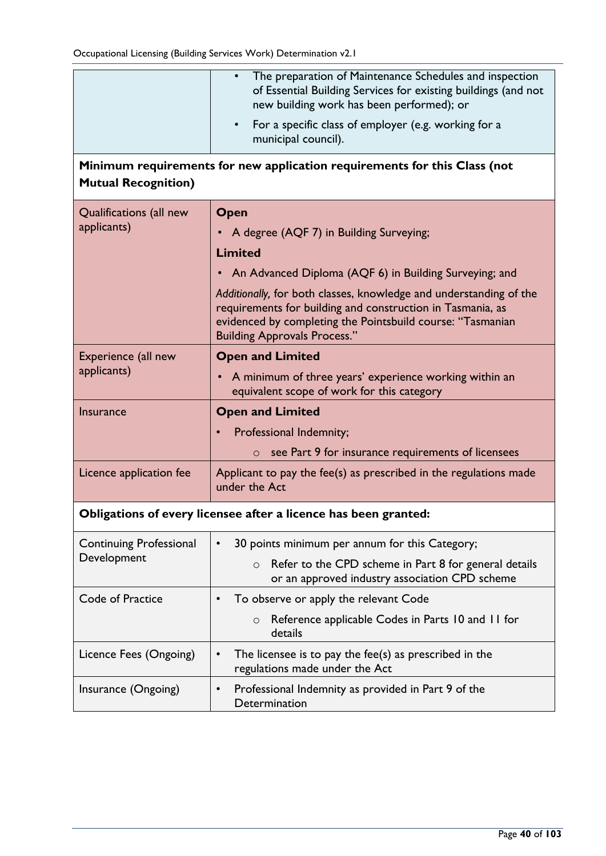|                                               | The preparation of Maintenance Schedules and inspection<br>of Essential Building Services for existing buildings (and not<br>new building work has been performed); or<br>For a specific class of employer (e.g. working for a<br>$\bullet$<br>municipal council).                                                                           |
|-----------------------------------------------|----------------------------------------------------------------------------------------------------------------------------------------------------------------------------------------------------------------------------------------------------------------------------------------------------------------------------------------------|
| <b>Mutual Recognition)</b>                    | Minimum requirements for new application requirements for this Class (not                                                                                                                                                                                                                                                                    |
| Qualifications (all new<br>applicants)        | Open<br>• A degree (AQF 7) in Building Surveying;<br><b>Limited</b><br>An Advanced Diploma (AQF 6) in Building Surveying; and<br>$\bullet$<br>Additionally, for both classes, knowledge and understanding of the<br>requirements for building and construction in Tasmania, as<br>evidenced by completing the Pointsbuild course: "Tasmanian |
| Experience (all new<br>applicants)            | <b>Building Approvals Process."</b><br><b>Open and Limited</b><br>• A minimum of three years' experience working within an<br>equivalent scope of work for this category                                                                                                                                                                     |
| <b>Insurance</b>                              | <b>Open and Limited</b><br>Professional Indemnity;<br>$\circ$ see Part 9 for insurance requirements of licensees                                                                                                                                                                                                                             |
| Licence application fee                       | Applicant to pay the fee(s) as prescribed in the regulations made<br>under the Act                                                                                                                                                                                                                                                           |
|                                               | Obligations of every licensee after a licence has been granted:                                                                                                                                                                                                                                                                              |
| <b>Continuing Professional</b><br>Development | 30 points minimum per annum for this Category;<br>$\bullet$<br>Refer to the CPD scheme in Part 8 for general details<br>$\circ$<br>or an approved industry association CPD scheme                                                                                                                                                            |
| Code of Practice                              | To observe or apply the relevant Code<br>$\bullet$<br>Reference applicable Codes in Parts 10 and 11 for<br>$\circ$<br>details                                                                                                                                                                                                                |
| Licence Fees (Ongoing)                        | The licensee is to pay the fee(s) as prescribed in the<br>$\bullet$<br>regulations made under the Act                                                                                                                                                                                                                                        |
| Insurance (Ongoing)                           | Professional Indemnity as provided in Part 9 of the<br>$\bullet$<br>Determination                                                                                                                                                                                                                                                            |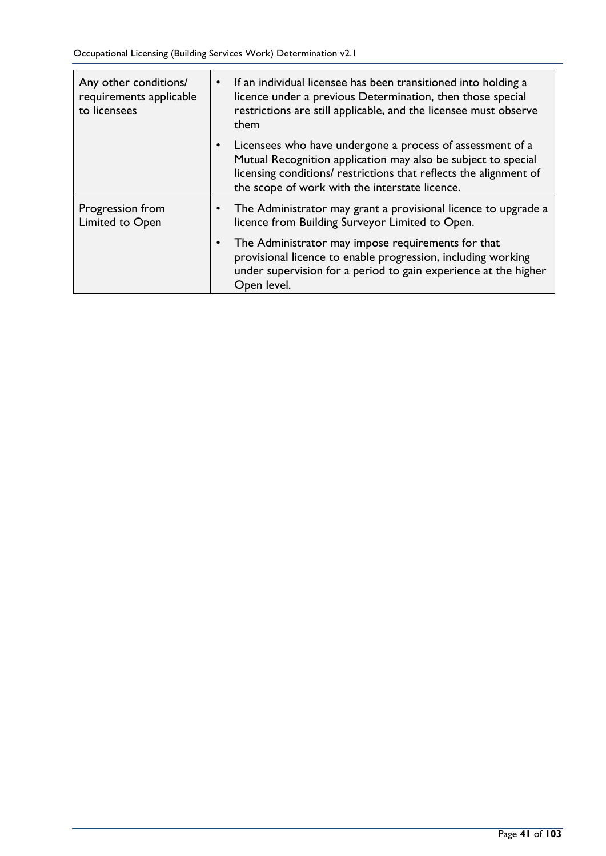Occupational Licensing (Building Services Work) Determination v2.1

| Any other conditions/<br>requirements applicable<br>to licensees | If an individual licensee has been transitioned into holding a<br>$\bullet$<br>licence under a previous Determination, then those special<br>restrictions are still applicable, and the licensee must observe<br>them                             |
|------------------------------------------------------------------|---------------------------------------------------------------------------------------------------------------------------------------------------------------------------------------------------------------------------------------------------|
|                                                                  | Licensees who have undergone a process of assessment of a<br>Mutual Recognition application may also be subject to special<br>licensing conditions/ restrictions that reflects the alignment of<br>the scope of work with the interstate licence. |
| Progression from<br>Limited to Open                              | The Administrator may grant a provisional licence to upgrade a<br>٠<br>licence from Building Surveyor Limited to Open.                                                                                                                            |
|                                                                  | The Administrator may impose requirements for that<br>$\bullet$<br>provisional licence to enable progression, including working<br>under supervision for a period to gain experience at the higher<br>Open level.                                 |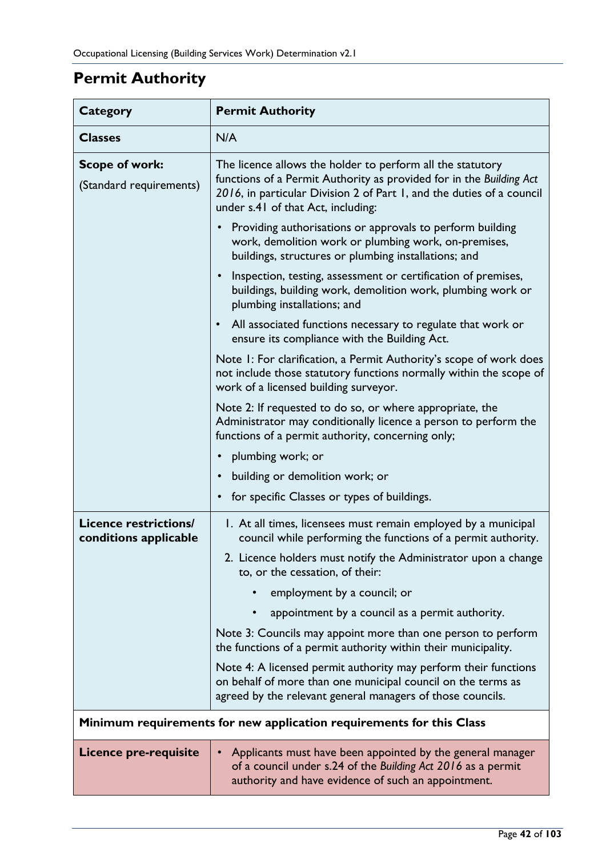# **Permit Authority**

| <b>Category</b>                                       | <b>Permit Authority</b>                                                                                                                                                                                                                          |
|-------------------------------------------------------|--------------------------------------------------------------------------------------------------------------------------------------------------------------------------------------------------------------------------------------------------|
| <b>Classes</b>                                        | N/A                                                                                                                                                                                                                                              |
| <b>Scope of work:</b><br>(Standard requirements)      | The licence allows the holder to perform all the statutory<br>functions of a Permit Authority as provided for in the Building Act<br>2016, in particular Division 2 of Part 1, and the duties of a council<br>under s.41 of that Act, including: |
|                                                       | Providing authorisations or approvals to perform building<br>work, demolition work or plumbing work, on-premises,<br>buildings, structures or plumbing installations; and                                                                        |
|                                                       | Inspection, testing, assessment or certification of premises,<br>buildings, building work, demolition work, plumbing work or<br>plumbing installations; and                                                                                      |
|                                                       | All associated functions necessary to regulate that work or<br>ensure its compliance with the Building Act.                                                                                                                                      |
|                                                       | Note I: For clarification, a Permit Authority's scope of work does<br>not include those statutory functions normally within the scope of<br>work of a licensed building surveyor.                                                                |
|                                                       | Note 2: If requested to do so, or where appropriate, the<br>Administrator may conditionally licence a person to perform the<br>functions of a permit authority, concerning only;                                                                 |
|                                                       | plumbing work; or                                                                                                                                                                                                                                |
|                                                       | building or demolition work; or                                                                                                                                                                                                                  |
|                                                       | for specific Classes or types of buildings.                                                                                                                                                                                                      |
| <b>Licence restrictions/</b><br>conditions applicable | 1. At all times, licensees must remain employed by a municipal<br>council while performing the functions of a permit authority.                                                                                                                  |
|                                                       | 2. Licence holders must notify the Administrator upon a change<br>to, or the cessation, of their:                                                                                                                                                |
|                                                       | employment by a council; or                                                                                                                                                                                                                      |
|                                                       | appointment by a council as a permit authority.                                                                                                                                                                                                  |
|                                                       | Note 3: Councils may appoint more than one person to perform<br>the functions of a permit authority within their municipality.                                                                                                                   |
|                                                       | Note 4: A licensed permit authority may perform their functions<br>on behalf of more than one municipal council on the terms as<br>agreed by the relevant general managers of those councils.                                                    |
|                                                       | Minimum requirements for new application requirements for this Class                                                                                                                                                                             |
| <b>Licence pre-requisite</b>                          | Applicants must have been appointed by the general manager<br>of a council under s.24 of the Building Act 2016 as a permit<br>authority and have evidence of such an appointment.                                                                |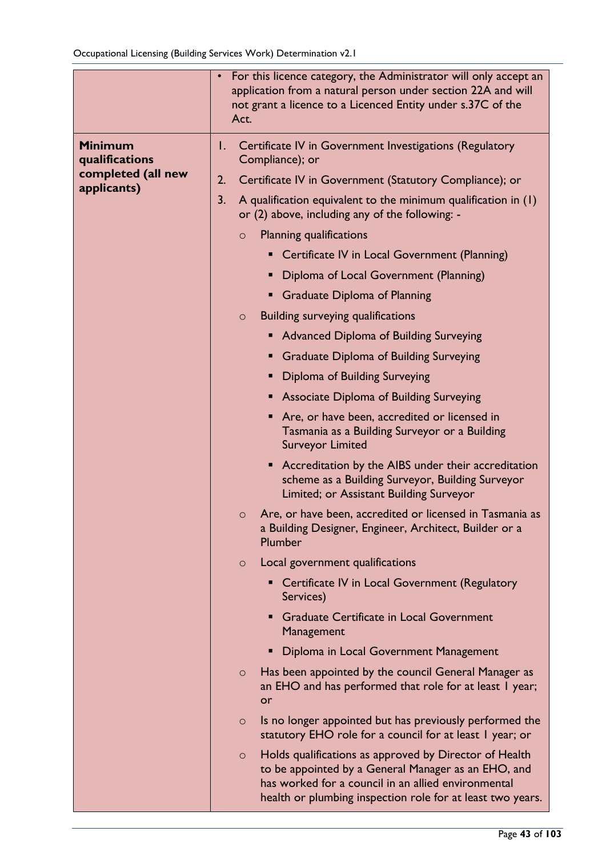|                                                        | For this licence category, the Administrator will only accept an<br>$\bullet$<br>application from a natural person under section 22A and will<br>not grant a licence to a Licenced Entity under s.37C of the<br>Act.                          |
|--------------------------------------------------------|-----------------------------------------------------------------------------------------------------------------------------------------------------------------------------------------------------------------------------------------------|
| <b>Minimum</b><br>qualifications<br>completed (all new | Certificate IV in Government Investigations (Regulatory<br>I.<br>Compliance); or                                                                                                                                                              |
| applicants)                                            | Certificate IV in Government (Statutory Compliance); or<br>2.                                                                                                                                                                                 |
|                                                        | 3.<br>A qualification equivalent to the minimum qualification in $(1)$<br>or (2) above, including any of the following: -                                                                                                                     |
|                                                        | <b>Planning qualifications</b><br>$\circ$                                                                                                                                                                                                     |
|                                                        | Certificate IV in Local Government (Planning)                                                                                                                                                                                                 |
|                                                        | Diploma of Local Government (Planning)<br>ш                                                                                                                                                                                                   |
|                                                        | <b>Graduate Diploma of Planning</b>                                                                                                                                                                                                           |
|                                                        | Building surveying qualifications<br>$\circ$                                                                                                                                                                                                  |
|                                                        | <b>Advanced Diploma of Building Surveying</b><br>п                                                                                                                                                                                            |
|                                                        | Graduate Diploma of Building Surveying                                                                                                                                                                                                        |
|                                                        | Diploma of Building Surveying                                                                                                                                                                                                                 |
|                                                        | <b>Associate Diploma of Building Surveying</b>                                                                                                                                                                                                |
|                                                        | Are, or have been, accredited or licensed in<br>Tasmania as a Building Surveyor or a Building<br><b>Surveyor Limited</b>                                                                                                                      |
|                                                        | • Accreditation by the AIBS under their accreditation<br>scheme as a Building Surveyor, Building Surveyor<br>Limited; or Assistant Building Surveyor                                                                                          |
|                                                        | Are, or have been, accredited or licensed in Tasmania as<br>$\circ$<br>a Building Designer, Engineer, Architect, Builder or a<br>Plumber                                                                                                      |
|                                                        | Local government qualifications<br>$\circ$                                                                                                                                                                                                    |
|                                                        | • Certificate IV in Local Government (Regulatory<br>Services)                                                                                                                                                                                 |
|                                                        | <b>Graduate Certificate in Local Government</b><br>٠<br>Management                                                                                                                                                                            |
|                                                        | Diploma in Local Government Management                                                                                                                                                                                                        |
|                                                        | Has been appointed by the council General Manager as<br>$\circ$<br>an EHO and has performed that role for at least I year;<br>or                                                                                                              |
|                                                        | Is no longer appointed but has previously performed the<br>$\circ$<br>statutory EHO role for a council for at least I year; or                                                                                                                |
|                                                        | Holds qualifications as approved by Director of Health<br>$\circ$<br>to be appointed by a General Manager as an EHO, and<br>has worked for a council in an allied environmental<br>health or plumbing inspection role for at least two years. |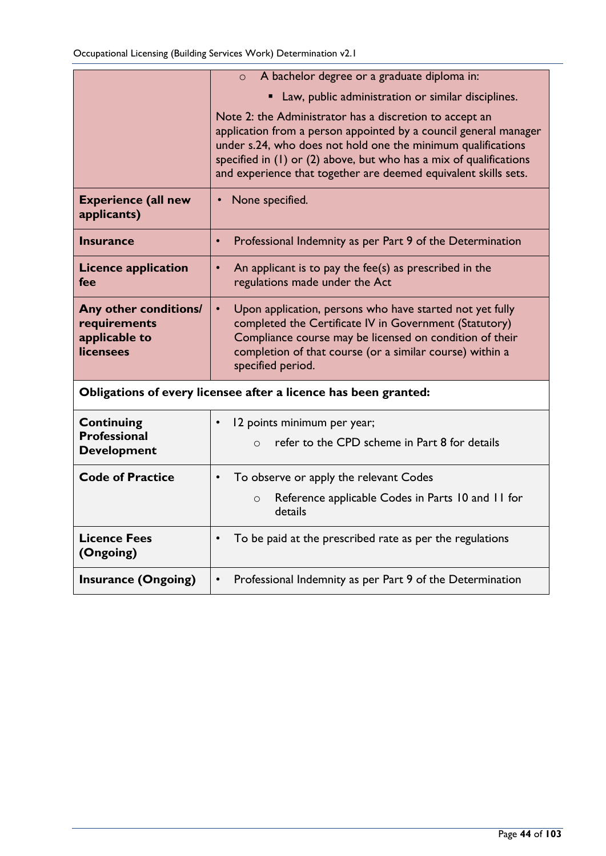|                                                                            | A bachelor degree or a graduate diploma in:<br>$\circ$                                                                                                                                                                                                                                                                               |
|----------------------------------------------------------------------------|--------------------------------------------------------------------------------------------------------------------------------------------------------------------------------------------------------------------------------------------------------------------------------------------------------------------------------------|
|                                                                            | Law, public administration or similar disciplines.                                                                                                                                                                                                                                                                                   |
|                                                                            | Note 2: the Administrator has a discretion to accept an<br>application from a person appointed by a council general manager<br>under s.24, who does not hold one the minimum qualifications<br>specified in (1) or (2) above, but who has a mix of qualifications<br>and experience that together are deemed equivalent skills sets. |
| <b>Experience (all new</b><br>applicants)                                  | None specified.                                                                                                                                                                                                                                                                                                                      |
| Insurance                                                                  | Professional Indemnity as per Part 9 of the Determination<br>$\bullet$                                                                                                                                                                                                                                                               |
| <b>Licence application</b><br>fee                                          | An applicant is to pay the fee(s) as prescribed in the<br>regulations made under the Act                                                                                                                                                                                                                                             |
| Any other conditions/<br>requirements<br>applicable to<br><b>licensees</b> | Upon application, persons who have started not yet fully<br>$\bullet$<br>completed the Certificate IV in Government (Statutory)<br>Compliance course may be licensed on condition of their<br>completion of that course (or a similar course) within a<br>specified period.                                                          |
|                                                                            | Obligations of every licensee after a licence has been granted:                                                                                                                                                                                                                                                                      |
| <b>Continuing</b>                                                          | 12 points minimum per year;<br>$\bullet$                                                                                                                                                                                                                                                                                             |
| <b>Professional</b><br><b>Development</b>                                  | refer to the CPD scheme in Part 8 for details<br>$\Omega$                                                                                                                                                                                                                                                                            |
| <b>Code of Practice</b>                                                    | To observe or apply the relevant Codes<br>$\bullet$                                                                                                                                                                                                                                                                                  |
|                                                                            | Reference applicable Codes in Parts 10 and 11 for<br>$\circ$<br>details                                                                                                                                                                                                                                                              |
| <b>Licence Fees</b><br>(Ongoing)                                           | To be paid at the prescribed rate as per the regulations<br>$\bullet$                                                                                                                                                                                                                                                                |
| <b>Insurance (Ongoing)</b>                                                 | Professional Indemnity as per Part 9 of the Determination<br>$\bullet$                                                                                                                                                                                                                                                               |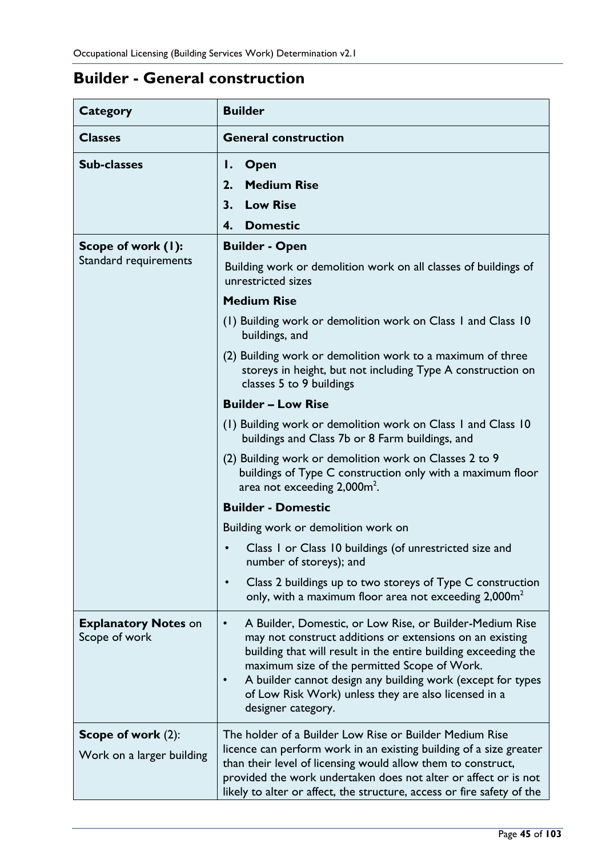# **Builder - General construction**

| <b>Category</b>                                 | <b>Builder</b>                                                                                                                                                                                                                                                                                                                                                                                                |
|-------------------------------------------------|---------------------------------------------------------------------------------------------------------------------------------------------------------------------------------------------------------------------------------------------------------------------------------------------------------------------------------------------------------------------------------------------------------------|
| <b>Classes</b>                                  | <b>General construction</b>                                                                                                                                                                                                                                                                                                                                                                                   |
| <b>Sub-classes</b>                              | <b>Open</b><br>Ι.<br><b>Medium Rise</b><br>2.<br><b>Low Rise</b><br>3.<br>4.<br><b>Domestic</b>                                                                                                                                                                                                                                                                                                               |
| Scope of work (1):<br>Standard requirements     | <b>Builder - Open</b><br>Building work or demolition work on all classes of buildings of                                                                                                                                                                                                                                                                                                                      |
|                                                 | unrestricted sizes<br><b>Medium Rise</b><br>(1) Building work or demolition work on Class 1 and Class 10                                                                                                                                                                                                                                                                                                      |
|                                                 | buildings, and<br>(2) Building work or demolition work to a maximum of three<br>storeys in height, but not including Type A construction on<br>classes 5 to 9 buildings                                                                                                                                                                                                                                       |
|                                                 | <b>Builder - Low Rise</b>                                                                                                                                                                                                                                                                                                                                                                                     |
|                                                 | (1) Building work or demolition work on Class 1 and Class 10<br>buildings and Class 7b or 8 Farm buildings, and                                                                                                                                                                                                                                                                                               |
|                                                 | (2) Building work or demolition work on Classes 2 to 9<br>buildings of Type C construction only with a maximum floor<br>area not exceeding $2,000$ m <sup>2</sup> .                                                                                                                                                                                                                                           |
|                                                 | <b>Builder - Domestic</b>                                                                                                                                                                                                                                                                                                                                                                                     |
|                                                 | Building work or demolition work on                                                                                                                                                                                                                                                                                                                                                                           |
|                                                 | Class I or Class 10 buildings (of unrestricted size and<br>number of storeys); and                                                                                                                                                                                                                                                                                                                            |
|                                                 | Class 2 buildings up to two storeys of Type C construction<br>only, with a maximum floor area not exceeding $2,000m^2$                                                                                                                                                                                                                                                                                        |
| <b>Explanatory Notes on</b><br>Scope of work    | A Builder, Domestic, or Low Rise, or Builder-Medium Rise<br>$\bullet$<br>may not construct additions or extensions on an existing<br>building that will result in the entire building exceeding the<br>maximum size of the permitted Scope of Work.<br>A builder cannot design any building work (except for types<br>$\bullet$<br>of Low Risk Work) unless they are also licensed in a<br>designer category. |
| Scope of work (2):<br>Work on a larger building | The holder of a Builder Low Rise or Builder Medium Rise<br>licence can perform work in an existing building of a size greater<br>than their level of licensing would allow them to construct,<br>provided the work undertaken does not alter or affect or is not<br>likely to alter or affect, the structure, access or fire safety of the                                                                    |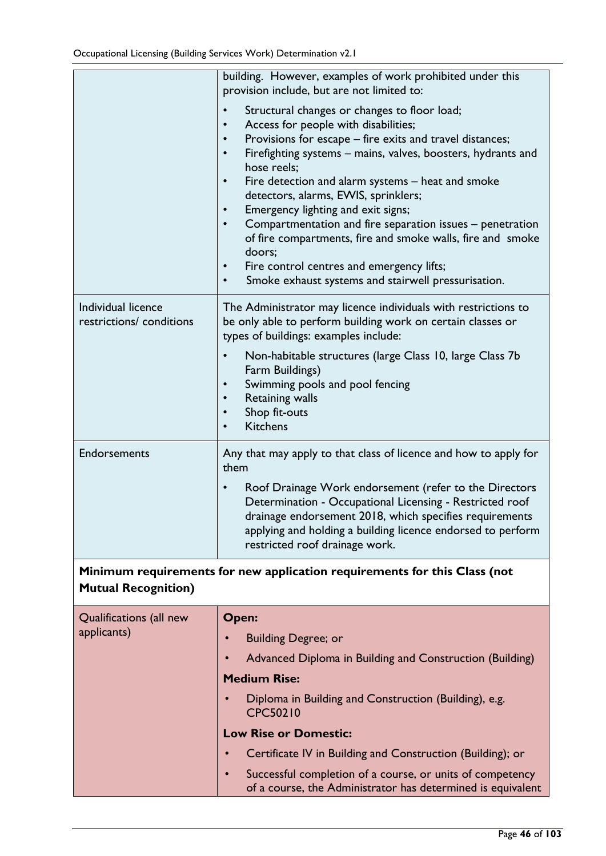|                                                | building. However, examples of work prohibited under this<br>provision include, but are not limited to:                                                                                                                                                                                                                                                                                                                                                                                                                                                                                                                                                                                                             |
|------------------------------------------------|---------------------------------------------------------------------------------------------------------------------------------------------------------------------------------------------------------------------------------------------------------------------------------------------------------------------------------------------------------------------------------------------------------------------------------------------------------------------------------------------------------------------------------------------------------------------------------------------------------------------------------------------------------------------------------------------------------------------|
|                                                | Structural changes or changes to floor load;<br>$\bullet$<br>Access for people with disabilities;<br>Provisions for escape - fire exits and travel distances;<br>$\bullet$<br>Firefighting systems - mains, valves, boosters, hydrants and<br>$\bullet$<br>hose reels:<br>Fire detection and alarm systems – heat and smoke<br>$\bullet$<br>detectors, alarms, EWIS, sprinklers;<br>Emergency lighting and exit signs;<br>$\bullet$<br>Compartmentation and fire separation issues - penetration<br>$\bullet$<br>of fire compartments, fire and smoke walls, fire and smoke<br>doors;<br>Fire control centres and emergency lifts;<br>$\bullet$<br>Smoke exhaust systems and stairwell pressurisation.<br>$\bullet$ |
| Individual licence<br>restrictions/ conditions | The Administrator may licence individuals with restrictions to<br>be only able to perform building work on certain classes or<br>types of buildings: examples include:                                                                                                                                                                                                                                                                                                                                                                                                                                                                                                                                              |
|                                                | Non-habitable structures (large Class 10, large Class 7b<br>Farm Buildings)<br>Swimming pools and pool fencing<br>Retaining walls<br>Shop fit-outs<br><b>Kitchens</b>                                                                                                                                                                                                                                                                                                                                                                                                                                                                                                                                               |
| <b>Endorsements</b>                            | Any that may apply to that class of licence and how to apply for<br>them                                                                                                                                                                                                                                                                                                                                                                                                                                                                                                                                                                                                                                            |
|                                                | Roof Drainage Work endorsement (refer to the Directors<br>$\bullet$<br>Determination - Occupational Licensing - Restricted roof<br>drainage endorsement 2018, which specifies requirements<br>applying and holding a building licence endorsed to perform<br>restricted roof drainage work.                                                                                                                                                                                                                                                                                                                                                                                                                         |
| <b>Mutual Recognition)</b>                     | Minimum requirements for new application requirements for this Class (not                                                                                                                                                                                                                                                                                                                                                                                                                                                                                                                                                                                                                                           |
| Qualifications (all new                        | Open:                                                                                                                                                                                                                                                                                                                                                                                                                                                                                                                                                                                                                                                                                                               |
| applicants)                                    | <b>Building Degree; or</b>                                                                                                                                                                                                                                                                                                                                                                                                                                                                                                                                                                                                                                                                                          |
|                                                | Advanced Diploma in Building and Construction (Building)                                                                                                                                                                                                                                                                                                                                                                                                                                                                                                                                                                                                                                                            |
|                                                | <b>Medium Rise:</b>                                                                                                                                                                                                                                                                                                                                                                                                                                                                                                                                                                                                                                                                                                 |
|                                                | Diploma in Building and Construction (Building), e.g.<br><b>CPC50210</b>                                                                                                                                                                                                                                                                                                                                                                                                                                                                                                                                                                                                                                            |
|                                                | <b>Low Rise or Domestic:</b>                                                                                                                                                                                                                                                                                                                                                                                                                                                                                                                                                                                                                                                                                        |
|                                                | Certificate IV in Building and Construction (Building); or                                                                                                                                                                                                                                                                                                                                                                                                                                                                                                                                                                                                                                                          |
|                                                | Successful completion of a course, or units of competency<br>$\bullet$<br>of a course, the Administrator has determined is equivalent                                                                                                                                                                                                                                                                                                                                                                                                                                                                                                                                                                               |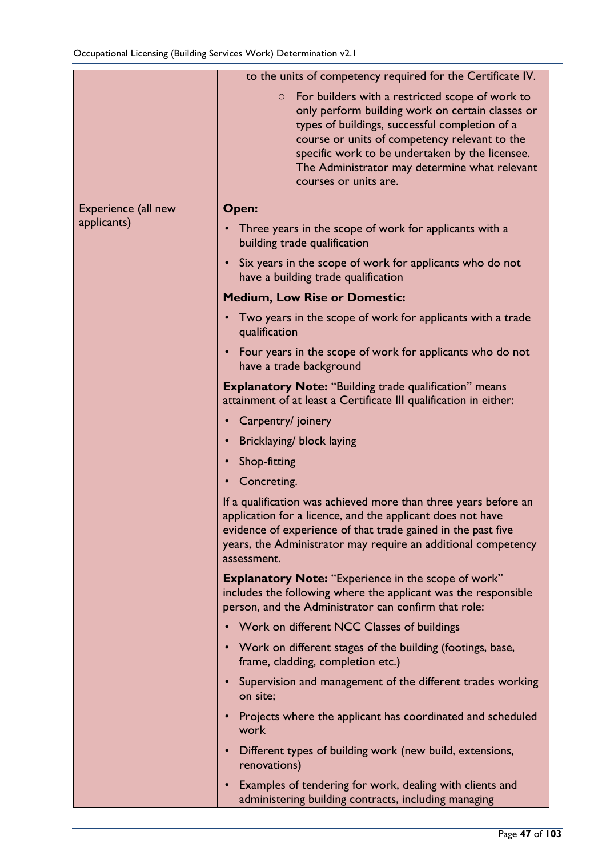|                     | to the units of competency required for the Certificate IV.                                                                                                                                                                                                                                                                                    |
|---------------------|------------------------------------------------------------------------------------------------------------------------------------------------------------------------------------------------------------------------------------------------------------------------------------------------------------------------------------------------|
|                     | For builders with a restricted scope of work to<br>$\circ$<br>only perform building work on certain classes or<br>types of buildings, successful completion of a<br>course or units of competency relevant to the<br>specific work to be undertaken by the licensee.<br>The Administrator may determine what relevant<br>courses or units are. |
| Experience (all new | Open:                                                                                                                                                                                                                                                                                                                                          |
| applicants)         | Three years in the scope of work for applicants with a<br>building trade qualification                                                                                                                                                                                                                                                         |
|                     | Six years in the scope of work for applicants who do not<br>$\bullet$<br>have a building trade qualification                                                                                                                                                                                                                                   |
|                     | <b>Medium, Low Rise or Domestic:</b>                                                                                                                                                                                                                                                                                                           |
|                     | Two years in the scope of work for applicants with a trade<br>qualification                                                                                                                                                                                                                                                                    |
|                     | Four years in the scope of work for applicants who do not<br>$\bullet$<br>have a trade background                                                                                                                                                                                                                                              |
|                     | <b>Explanatory Note: "Building trade qualification" means</b><br>attainment of at least a Certificate III qualification in either:                                                                                                                                                                                                             |
|                     | Carpentry/ joinery                                                                                                                                                                                                                                                                                                                             |
|                     | Bricklaying/ block laying                                                                                                                                                                                                                                                                                                                      |
|                     | Shop-fitting<br>$\bullet$                                                                                                                                                                                                                                                                                                                      |
|                     | Concreting.                                                                                                                                                                                                                                                                                                                                    |
|                     | If a qualification was achieved more than three years before an<br>application for a licence, and the applicant does not have<br>evidence of experience of that trade gained in the past five<br>years, the Administrator may require an additional competency<br>assessment.                                                                  |
|                     | <b>Explanatory Note: "Experience in the scope of work"</b><br>includes the following where the applicant was the responsible<br>person, and the Administrator can confirm that role:                                                                                                                                                           |
|                     | Work on different NCC Classes of buildings                                                                                                                                                                                                                                                                                                     |
|                     | Work on different stages of the building (footings, base,<br>frame, cladding, completion etc.)                                                                                                                                                                                                                                                 |
|                     | Supervision and management of the different trades working<br>on site;                                                                                                                                                                                                                                                                         |
|                     | Projects where the applicant has coordinated and scheduled<br>work                                                                                                                                                                                                                                                                             |
|                     | Different types of building work (new build, extensions,<br>$\bullet$<br>renovations)                                                                                                                                                                                                                                                          |
|                     | Examples of tendering for work, dealing with clients and<br>٠<br>administering building contracts, including managing                                                                                                                                                                                                                          |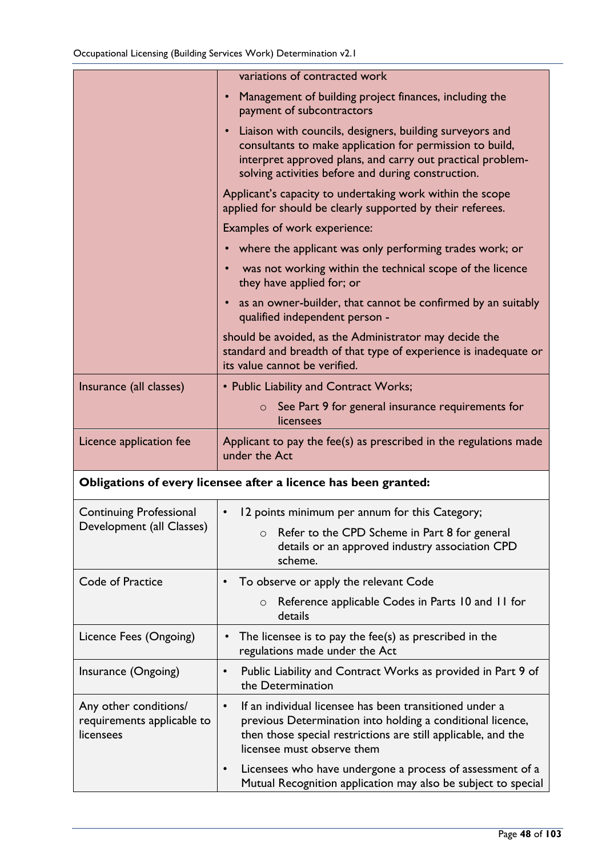|                                                                  | variations of contracted work                                                                                                                                                                                                            |
|------------------------------------------------------------------|------------------------------------------------------------------------------------------------------------------------------------------------------------------------------------------------------------------------------------------|
|                                                                  | Management of building project finances, including the<br>payment of subcontractors                                                                                                                                                      |
|                                                                  | Liaison with councils, designers, building surveyors and<br>consultants to make application for permission to build,<br>interpret approved plans, and carry out practical problem-<br>solving activities before and during construction. |
|                                                                  | Applicant's capacity to undertaking work within the scope<br>applied for should be clearly supported by their referees.                                                                                                                  |
|                                                                  | Examples of work experience:                                                                                                                                                                                                             |
|                                                                  | where the applicant was only performing trades work; or                                                                                                                                                                                  |
|                                                                  | was not working within the technical scope of the licence<br>they have applied for; or                                                                                                                                                   |
|                                                                  | as an owner-builder, that cannot be confirmed by an suitably<br>qualified independent person -                                                                                                                                           |
|                                                                  | should be avoided, as the Administrator may decide the<br>standard and breadth of that type of experience is inadequate or<br>its value cannot be verified.                                                                              |
| Insurance (all classes)                                          | • Public Liability and Contract Works;                                                                                                                                                                                                   |
|                                                                  | See Part 9 for general insurance requirements for<br>$\circ$<br>licensees                                                                                                                                                                |
| Licence application fee                                          | Applicant to pay the fee(s) as prescribed in the regulations made                                                                                                                                                                        |
|                                                                  | under the Act                                                                                                                                                                                                                            |
|                                                                  | Obligations of every licensee after a licence has been granted:                                                                                                                                                                          |
| <b>Continuing Professional</b>                                   | 12 points minimum per annum for this Category;                                                                                                                                                                                           |
| Development (all Classes)                                        | Refer to the CPD Scheme in Part 8 for general<br>$\circ$<br>details or an approved industry association CPD<br>scheme.                                                                                                                   |
| Code of Practice                                                 | To observe or apply the relevant Code                                                                                                                                                                                                    |
|                                                                  | Reference applicable Codes in Parts 10 and 11 for<br>$\circ$<br>details                                                                                                                                                                  |
| Licence Fees (Ongoing)                                           | The licensee is to pay the fee(s) as prescribed in the<br>regulations made under the Act                                                                                                                                                 |
| Insurance (Ongoing)                                              | Public Liability and Contract Works as provided in Part 9 of<br>$\bullet$<br>the Determination                                                                                                                                           |
| Any other conditions/<br>requirements applicable to<br>licensees | If an individual licensee has been transitioned under a<br>$\bullet$<br>previous Determination into holding a conditional licence,<br>then those special restrictions are still applicable, and the<br>licensee must observe them        |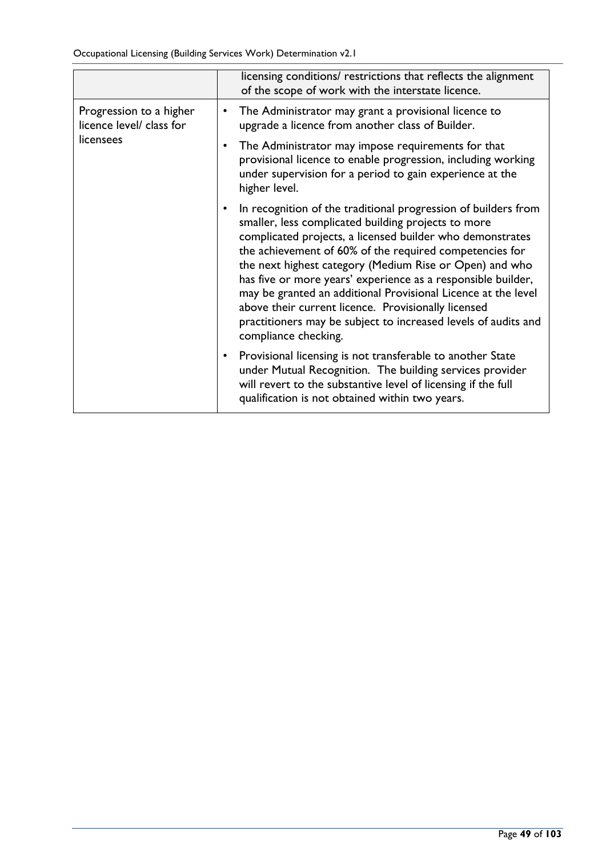Occupational Licensing (Building Services Work) Determination v2.1

|                                                                  | licensing conditions/ restrictions that reflects the alignment<br>of the scope of work with the interstate licence.                                                                                                                                                                                                                                                                                                                                                                                                                                                                        |
|------------------------------------------------------------------|--------------------------------------------------------------------------------------------------------------------------------------------------------------------------------------------------------------------------------------------------------------------------------------------------------------------------------------------------------------------------------------------------------------------------------------------------------------------------------------------------------------------------------------------------------------------------------------------|
| Progression to a higher<br>licence level/ class for<br>licensees | The Administrator may grant a provisional licence to<br>٠<br>upgrade a licence from another class of Builder.                                                                                                                                                                                                                                                                                                                                                                                                                                                                              |
|                                                                  | The Administrator may impose requirements for that<br>provisional licence to enable progression, including working<br>under supervision for a period to gain experience at the<br>higher level.                                                                                                                                                                                                                                                                                                                                                                                            |
|                                                                  | In recognition of the traditional progression of builders from<br>smaller, less complicated building projects to more<br>complicated projects, a licensed builder who demonstrates<br>the achievement of 60% of the required competencies for<br>the next highest category (Medium Rise or Open) and who<br>has five or more years' experience as a responsible builder,<br>may be granted an additional Provisional Licence at the level<br>above their current licence. Provisionally licensed<br>practitioners may be subject to increased levels of audits and<br>compliance checking. |
|                                                                  | Provisional licensing is not transferable to another State<br>under Mutual Recognition. The building services provider<br>will revert to the substantive level of licensing if the full<br>qualification is not obtained within two years.                                                                                                                                                                                                                                                                                                                                                 |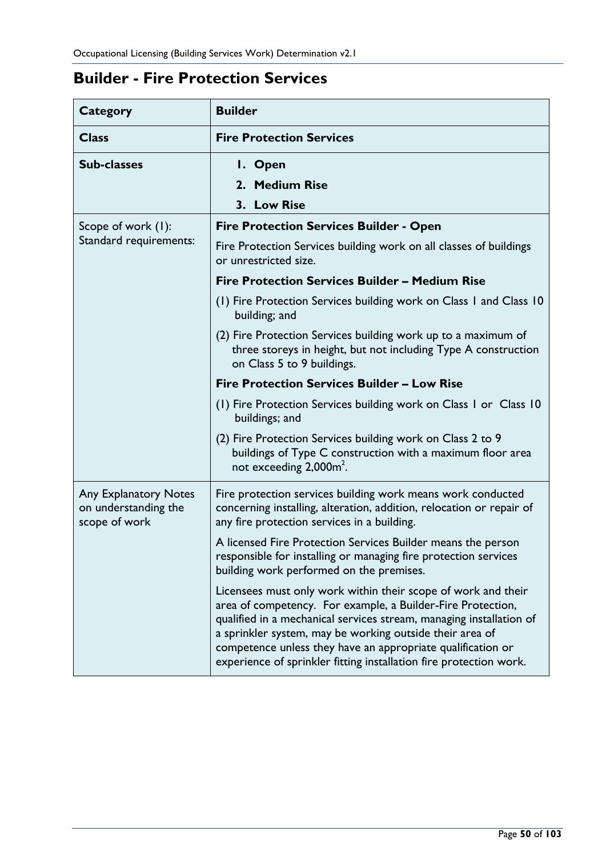# **Builder - Fire Protection Services**

| <b>Category</b>                                                       | <b>Builder</b>                                                                                                                                                                                                                                                                                                                                                                                       |
|-----------------------------------------------------------------------|------------------------------------------------------------------------------------------------------------------------------------------------------------------------------------------------------------------------------------------------------------------------------------------------------------------------------------------------------------------------------------------------------|
| <b>Class</b>                                                          | <b>Fire Protection Services</b>                                                                                                                                                                                                                                                                                                                                                                      |
| <b>Sub-classes</b>                                                    | I. Open                                                                                                                                                                                                                                                                                                                                                                                              |
|                                                                       | 2. Medium Rise                                                                                                                                                                                                                                                                                                                                                                                       |
|                                                                       | 3. Low Rise                                                                                                                                                                                                                                                                                                                                                                                          |
| Scope of work (1):                                                    | <b>Fire Protection Services Builder - Open</b>                                                                                                                                                                                                                                                                                                                                                       |
| Standard requirements:                                                | Fire Protection Services building work on all classes of buildings<br>or unrestricted size.                                                                                                                                                                                                                                                                                                          |
|                                                                       | <b>Fire Protection Services Builder – Medium Rise</b>                                                                                                                                                                                                                                                                                                                                                |
|                                                                       | (1) Fire Protection Services building work on Class 1 and Class 10<br>building; and                                                                                                                                                                                                                                                                                                                  |
|                                                                       | (2) Fire Protection Services building work up to a maximum of<br>three storeys in height, but not including Type A construction<br>on Class 5 to 9 buildings.                                                                                                                                                                                                                                        |
|                                                                       | <b>Fire Protection Services Builder - Low Rise</b>                                                                                                                                                                                                                                                                                                                                                   |
|                                                                       | (1) Fire Protection Services building work on Class 1 or Class 10<br>buildings; and                                                                                                                                                                                                                                                                                                                  |
|                                                                       | (2) Fire Protection Services building work on Class 2 to 9<br>buildings of Type C construction with a maximum floor area<br>not exceeding 2,000m <sup>2</sup> .                                                                                                                                                                                                                                      |
| <b>Any Explanatory Notes</b><br>on understanding the<br>scope of work | Fire protection services building work means work conducted<br>concerning installing, alteration, addition, relocation or repair of<br>any fire protection services in a building.                                                                                                                                                                                                                   |
|                                                                       | A licensed Fire Protection Services Builder means the person<br>responsible for installing or managing fire protection services<br>building work performed on the premises.                                                                                                                                                                                                                          |
|                                                                       | Licensees must only work within their scope of work and their<br>area of competency. For example, a Builder-Fire Protection,<br>qualified in a mechanical services stream, managing installation of<br>a sprinkler system, may be working outside their area of<br>competence unless they have an appropriate qualification or<br>experience of sprinkler fitting installation fire protection work. |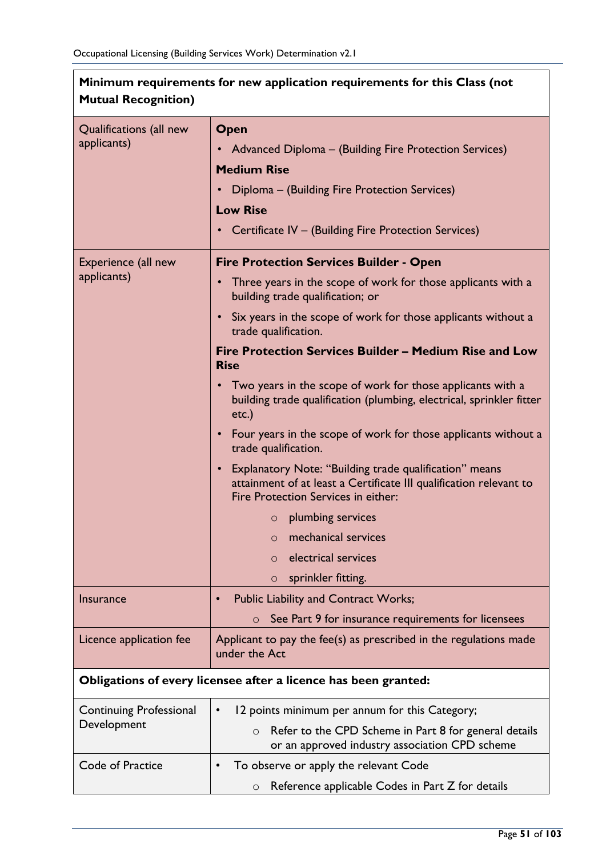| Minimum requirements for new application requirements for this Class (not<br><b>Mutual Recognition)</b> |                                                                                                                                                                                                                    |  |
|---------------------------------------------------------------------------------------------------------|--------------------------------------------------------------------------------------------------------------------------------------------------------------------------------------------------------------------|--|
| Qualifications (all new<br>applicants)                                                                  | Open<br>• Advanced Diploma - (Building Fire Protection Services)<br><b>Medium Rise</b><br>Diploma - (Building Fire Protection Services)<br><b>Low Rise</b><br>Certificate IV - (Building Fire Protection Services) |  |
| Experience (all new                                                                                     | <b>Fire Protection Services Builder - Open</b>                                                                                                                                                                     |  |
| applicants)                                                                                             | Three years in the scope of work for those applicants with a<br>$\bullet$<br>building trade qualification; or                                                                                                      |  |
|                                                                                                         | • Six years in the scope of work for those applicants without a<br>trade qualification.                                                                                                                            |  |
|                                                                                                         | Fire Protection Services Builder - Medium Rise and Low<br><b>Rise</b>                                                                                                                                              |  |
|                                                                                                         | Two years in the scope of work for those applicants with a<br>$\bullet$<br>building trade qualification (plumbing, electrical, sprinkler fitter<br>$etc.$ )                                                        |  |
|                                                                                                         | • Four years in the scope of work for those applicants without a<br>trade qualification.                                                                                                                           |  |
|                                                                                                         | <b>Explanatory Note: "Building trade qualification" means</b><br>$\bullet$<br>attainment of at least a Certificate III qualification relevant to<br>Fire Protection Services in either:                            |  |
|                                                                                                         | $\circ$ plumbing services                                                                                                                                                                                          |  |
|                                                                                                         | mechanical services<br>$\bigcirc$                                                                                                                                                                                  |  |
|                                                                                                         | electrical services<br>$\circ$                                                                                                                                                                                     |  |
|                                                                                                         | sprinkler fitting.<br>$\circ$                                                                                                                                                                                      |  |
| <b>Insurance</b>                                                                                        | <b>Public Liability and Contract Works;</b>                                                                                                                                                                        |  |
|                                                                                                         | See Part 9 for insurance requirements for licensees<br>$\circ$                                                                                                                                                     |  |
| Licence application fee                                                                                 | Applicant to pay the fee(s) as prescribed in the regulations made<br>under the Act                                                                                                                                 |  |
| Obligations of every licensee after a licence has been granted:                                         |                                                                                                                                                                                                                    |  |
| <b>Continuing Professional</b>                                                                          | 12 points minimum per annum for this Category;                                                                                                                                                                     |  |
| Development                                                                                             | Refer to the CPD Scheme in Part 8 for general details<br>$\circ$<br>or an approved industry association CPD scheme                                                                                                 |  |
| Code of Practice                                                                                        | To observe or apply the relevant Code                                                                                                                                                                              |  |
|                                                                                                         | Reference applicable Codes in Part Z for details<br>$\circ$                                                                                                                                                        |  |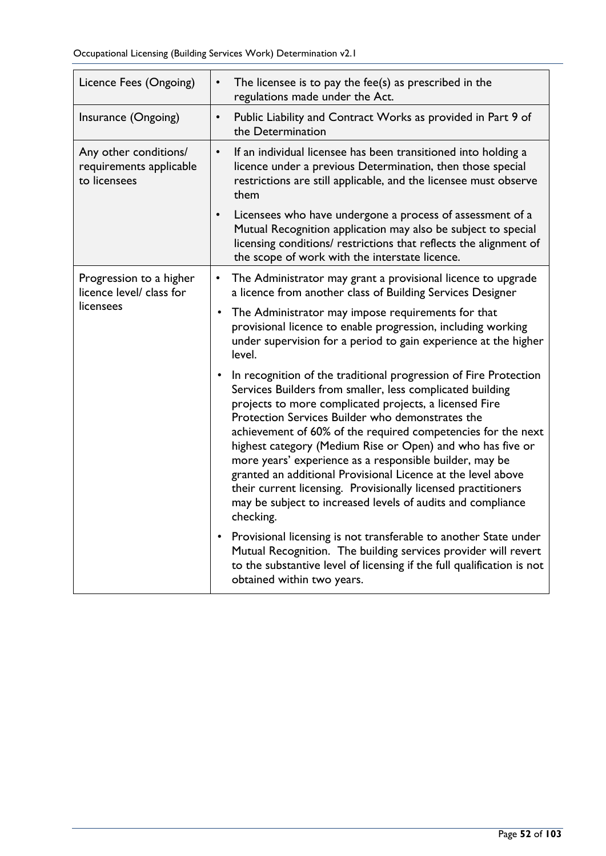| Licence Fees (Ongoing)                                           | The licensee is to pay the fee(s) as prescribed in the<br>$\bullet$<br>regulations made under the Act.                                                                                                                                                                                                                                                                                                                                                                                                                                                                                                                                              |
|------------------------------------------------------------------|-----------------------------------------------------------------------------------------------------------------------------------------------------------------------------------------------------------------------------------------------------------------------------------------------------------------------------------------------------------------------------------------------------------------------------------------------------------------------------------------------------------------------------------------------------------------------------------------------------------------------------------------------------|
| Insurance (Ongoing)                                              | Public Liability and Contract Works as provided in Part 9 of<br>$\bullet$<br>the Determination                                                                                                                                                                                                                                                                                                                                                                                                                                                                                                                                                      |
| Any other conditions/<br>requirements applicable<br>to licensees | If an individual licensee has been transitioned into holding a<br>$\bullet$<br>licence under a previous Determination, then those special<br>restrictions are still applicable, and the licensee must observe<br>them                                                                                                                                                                                                                                                                                                                                                                                                                               |
|                                                                  | Licensees who have undergone a process of assessment of a<br>$\bullet$<br>Mutual Recognition application may also be subject to special<br>licensing conditions/ restrictions that reflects the alignment of<br>the scope of work with the interstate licence.                                                                                                                                                                                                                                                                                                                                                                                      |
| Progression to a higher<br>licence level/ class for<br>licensees | The Administrator may grant a provisional licence to upgrade<br>$\bullet$<br>a licence from another class of Building Services Designer                                                                                                                                                                                                                                                                                                                                                                                                                                                                                                             |
|                                                                  | The Administrator may impose requirements for that<br>٠<br>provisional licence to enable progression, including working<br>under supervision for a period to gain experience at the higher<br>level.                                                                                                                                                                                                                                                                                                                                                                                                                                                |
|                                                                  | • In recognition of the traditional progression of Fire Protection<br>Services Builders from smaller, less complicated building<br>projects to more complicated projects, a licensed Fire<br>Protection Services Builder who demonstrates the<br>achievement of 60% of the required competencies for the next<br>highest category (Medium Rise or Open) and who has five or<br>more years' experience as a responsible builder, may be<br>granted an additional Provisional Licence at the level above<br>their current licensing. Provisionally licensed practitioners<br>may be subject to increased levels of audits and compliance<br>checking. |
|                                                                  | • Provisional licensing is not transferable to another State under<br>Mutual Recognition. The building services provider will revert<br>to the substantive level of licensing if the full qualification is not<br>obtained within two years.                                                                                                                                                                                                                                                                                                                                                                                                        |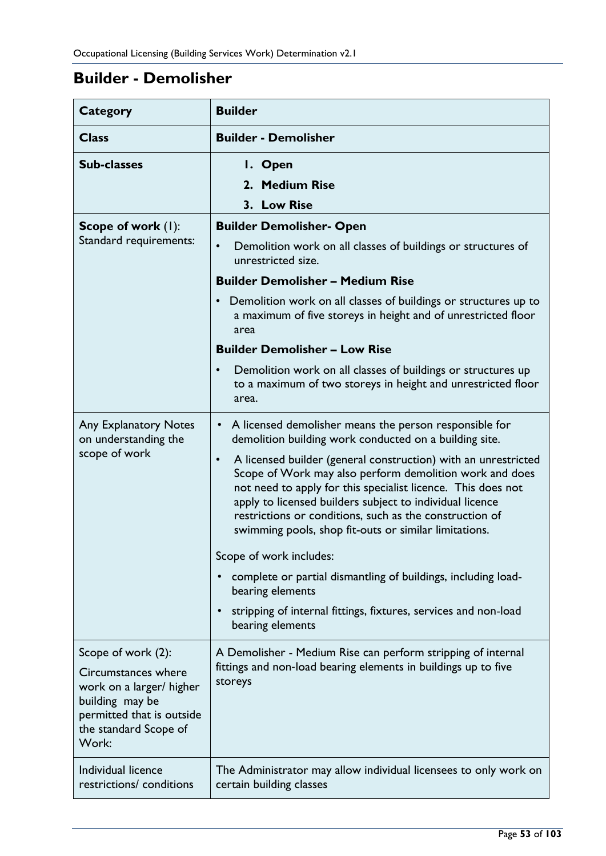# **Builder - Demolisher**

| <b>Category</b>                                                                                                                                         | <b>Builder</b>                                                                                                                                                                                                                                                                                                                                                                                                                                                                                                                                                                                                                                                                                                                          |
|---------------------------------------------------------------------------------------------------------------------------------------------------------|-----------------------------------------------------------------------------------------------------------------------------------------------------------------------------------------------------------------------------------------------------------------------------------------------------------------------------------------------------------------------------------------------------------------------------------------------------------------------------------------------------------------------------------------------------------------------------------------------------------------------------------------------------------------------------------------------------------------------------------------|
| <b>Class</b>                                                                                                                                            | <b>Builder - Demolisher</b>                                                                                                                                                                                                                                                                                                                                                                                                                                                                                                                                                                                                                                                                                                             |
| <b>Sub-classes</b>                                                                                                                                      | I. Open<br>2. Medium Rise<br>3. Low Rise                                                                                                                                                                                                                                                                                                                                                                                                                                                                                                                                                                                                                                                                                                |
| <b>Scope of work (1):</b><br>Standard requirements:                                                                                                     | <b>Builder Demolisher- Open</b><br>Demolition work on all classes of buildings or structures of<br>$\bullet$<br>unrestricted size.<br><b>Builder Demolisher - Medium Rise</b><br>Demolition work on all classes of buildings or structures up to<br>$\bullet$<br>a maximum of five storeys in height and of unrestricted floor<br>area<br><b>Builder Demolisher - Low Rise</b><br>Demolition work on all classes of buildings or structures up<br>$\bullet$<br>to a maximum of two storeys in height and unrestricted floor                                                                                                                                                                                                             |
| <b>Any Explanatory Notes</b><br>on understanding the<br>scope of work                                                                                   | area.<br>A licensed demolisher means the person responsible for<br>$\bullet$<br>demolition building work conducted on a building site.<br>A licensed builder (general construction) with an unrestricted<br>$\bullet$<br>Scope of Work may also perform demolition work and does<br>not need to apply for this specialist licence. This does not<br>apply to licensed builders subject to individual licence<br>restrictions or conditions, such as the construction of<br>swimming pools, shop fit-outs or similar limitations.<br>Scope of work includes:<br>complete or partial dismantling of buildings, including load-<br>bearing elements<br>stripping of internal fittings, fixtures, services and non-load<br>bearing elements |
| Scope of work (2):<br>Circumstances where<br>work on a larger/ higher<br>building may be<br>permitted that is outside<br>the standard Scope of<br>Work: | A Demolisher - Medium Rise can perform stripping of internal<br>fittings and non-load bearing elements in buildings up to five<br>storeys                                                                                                                                                                                                                                                                                                                                                                                                                                                                                                                                                                                               |
| Individual licence<br>restrictions/ conditions                                                                                                          | The Administrator may allow individual licensees to only work on<br>certain building classes                                                                                                                                                                                                                                                                                                                                                                                                                                                                                                                                                                                                                                            |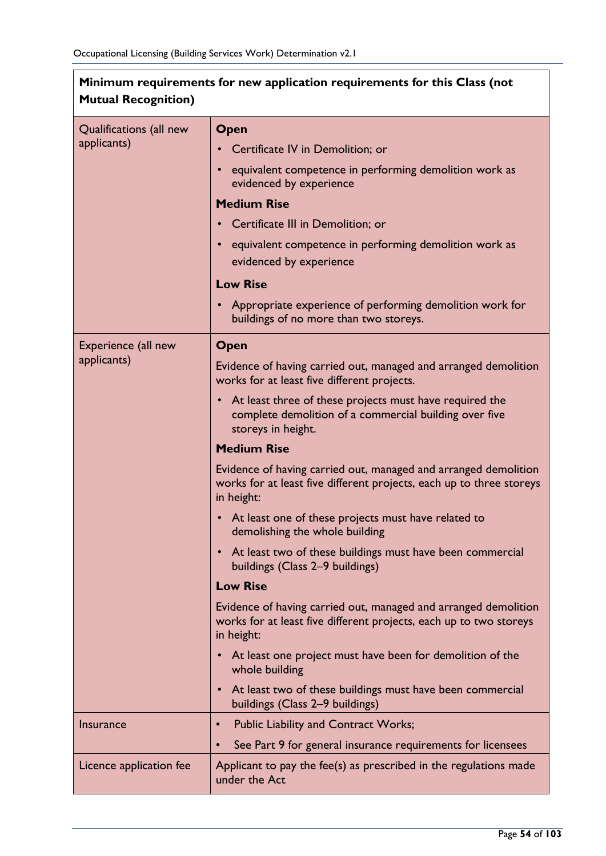| Minimum requirements for new application requirements for this Class (not<br><b>Mutual Recognition)</b> |                                                                                                                                                       |
|---------------------------------------------------------------------------------------------------------|-------------------------------------------------------------------------------------------------------------------------------------------------------|
| Qualifications (all new                                                                                 | Open                                                                                                                                                  |
| applicants)                                                                                             | Certificate IV in Demolition; or                                                                                                                      |
|                                                                                                         | equivalent competence in performing demolition work as                                                                                                |
|                                                                                                         | evidenced by experience                                                                                                                               |
|                                                                                                         | <b>Medium Rise</b>                                                                                                                                    |
|                                                                                                         | Certificate III in Demolition; or                                                                                                                     |
|                                                                                                         | equivalent competence in performing demolition work as                                                                                                |
|                                                                                                         | evidenced by experience                                                                                                                               |
|                                                                                                         | <b>Low Rise</b>                                                                                                                                       |
|                                                                                                         | Appropriate experience of performing demolition work for<br>buildings of no more than two storeys.                                                    |
| Experience (all new                                                                                     | Open                                                                                                                                                  |
| applicants)                                                                                             | Evidence of having carried out, managed and arranged demolition<br>works for at least five different projects.                                        |
|                                                                                                         | At least three of these projects must have required the<br>$\bullet$<br>complete demolition of a commercial building over five<br>storeys in height.  |
|                                                                                                         | <b>Medium Rise</b>                                                                                                                                    |
|                                                                                                         | Evidence of having carried out, managed and arranged demolition<br>works for at least five different projects, each up to three storeys<br>in height: |
|                                                                                                         | • At least one of these projects must have related to<br>demolishing the whole building                                                               |
|                                                                                                         | • At least two of these buildings must have been commercial<br>buildings (Class 2-9 buildings)                                                        |
|                                                                                                         | <b>Low Rise</b>                                                                                                                                       |
|                                                                                                         | Evidence of having carried out, managed and arranged demolition<br>works for at least five different projects, each up to two storeys<br>in height:   |
|                                                                                                         | At least one project must have been for demolition of the<br>whole building                                                                           |
|                                                                                                         | At least two of these buildings must have been commercial<br>buildings (Class 2-9 buildings)                                                          |
| <b>Insurance</b>                                                                                        | <b>Public Liability and Contract Works;</b><br>$\bullet$                                                                                              |
|                                                                                                         | See Part 9 for general insurance requirements for licensees<br>$\bullet$                                                                              |
| Licence application fee                                                                                 | Applicant to pay the fee(s) as prescribed in the regulations made<br>under the Act                                                                    |

 $\overline{\phantom{a}}$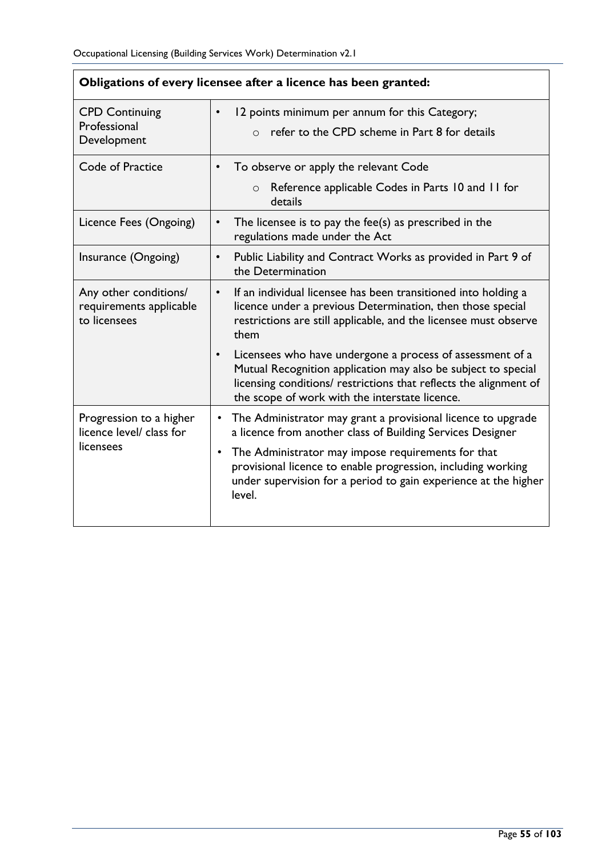| Obligations of every licensee after a licence has been granted:  |                                                                                                                                                                                                                                                   |
|------------------------------------------------------------------|---------------------------------------------------------------------------------------------------------------------------------------------------------------------------------------------------------------------------------------------------|
| <b>CPD Continuing</b><br>Professional<br>Development             | 12 points minimum per annum for this Category;<br>refer to the CPD scheme in Part 8 for details<br>$\bigcap$                                                                                                                                      |
| Code of Practice                                                 | To observe or apply the relevant Code                                                                                                                                                                                                             |
|                                                                  | Reference applicable Codes in Parts 10 and 11 for<br>$\circ$<br>details                                                                                                                                                                           |
| Licence Fees (Ongoing)                                           | The licensee is to pay the fee(s) as prescribed in the<br>regulations made under the Act                                                                                                                                                          |
| Insurance (Ongoing)                                              | Public Liability and Contract Works as provided in Part 9 of<br>the Determination                                                                                                                                                                 |
| Any other conditions/<br>requirements applicable<br>to licensees | If an individual licensee has been transitioned into holding a<br>$\bullet$<br>licence under a previous Determination, then those special<br>restrictions are still applicable, and the licensee must observe<br>them                             |
|                                                                  | Licensees who have undergone a process of assessment of a<br>Mutual Recognition application may also be subject to special<br>licensing conditions/ restrictions that reflects the alignment of<br>the scope of work with the interstate licence. |
| Progression to a higher<br>licence level/ class for<br>licensees | The Administrator may grant a provisional licence to upgrade<br>a licence from another class of Building Services Designer                                                                                                                        |
|                                                                  | The Administrator may impose requirements for that<br>provisional licence to enable progression, including working<br>under supervision for a period to gain experience at the higher<br>level.                                                   |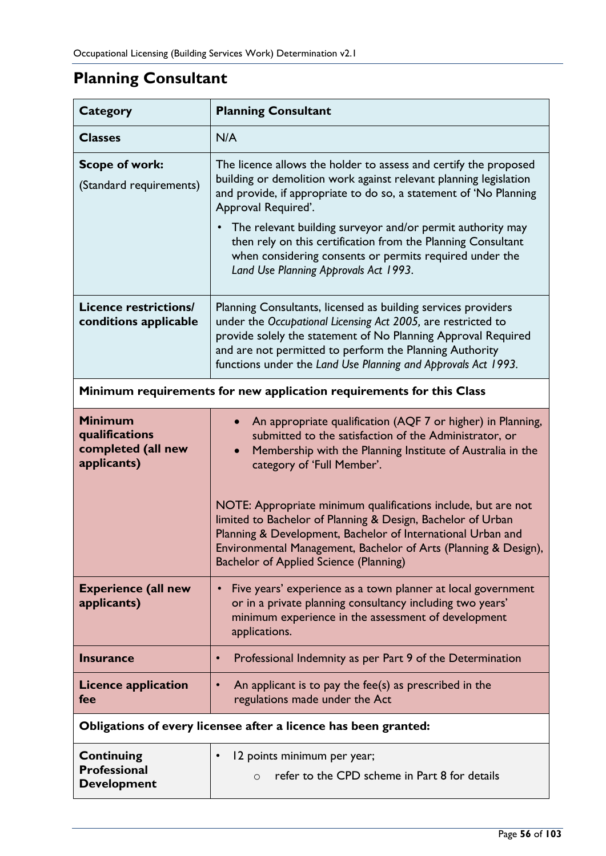# **Planning Consultant**

| <b>Category</b>                                                       | <b>Planning Consultant</b>                                                                                                                                                                                                                                                                                                                                                                                                                                                                                                    |  |
|-----------------------------------------------------------------------|-------------------------------------------------------------------------------------------------------------------------------------------------------------------------------------------------------------------------------------------------------------------------------------------------------------------------------------------------------------------------------------------------------------------------------------------------------------------------------------------------------------------------------|--|
| <b>Classes</b>                                                        | N/A                                                                                                                                                                                                                                                                                                                                                                                                                                                                                                                           |  |
| <b>Scope of work:</b><br>(Standard requirements)                      | The licence allows the holder to assess and certify the proposed<br>building or demolition work against relevant planning legislation<br>and provide, if appropriate to do so, a statement of 'No Planning<br>Approval Required'.<br>The relevant building surveyor and/or permit authority may<br>then rely on this certification from the Planning Consultant<br>when considering consents or permits required under the<br>Land Use Planning Approvals Act 1993.                                                           |  |
| <b>Licence restrictions/</b><br>conditions applicable                 | Planning Consultants, licensed as building services providers<br>under the Occupational Licensing Act 2005, are restricted to<br>provide solely the statement of No Planning Approval Required<br>and are not permitted to perform the Planning Authority<br>functions under the Land Use Planning and Approvals Act 1993.                                                                                                                                                                                                    |  |
| Minimum requirements for new application requirements for this Class  |                                                                                                                                                                                                                                                                                                                                                                                                                                                                                                                               |  |
| <b>Minimum</b><br>qualifications<br>completed (all new<br>applicants) | An appropriate qualification (AQF 7 or higher) in Planning,<br>submitted to the satisfaction of the Administrator, or<br>Membership with the Planning Institute of Australia in the<br>category of 'Full Member'.<br>NOTE: Appropriate minimum qualifications include, but are not<br>limited to Bachelor of Planning & Design, Bachelor of Urban<br>Planning & Development, Bachelor of International Urban and<br>Environmental Management, Bachelor of Arts (Planning & Design),<br>Bachelor of Applied Science (Planning) |  |
| <b>Experience (all new</b><br>applicants)                             | Five years' experience as a town planner at local government<br>$\bullet$<br>or in a private planning consultancy including two years'<br>minimum experience in the assessment of development<br>applications.                                                                                                                                                                                                                                                                                                                |  |
| <b>Insurance</b>                                                      | Professional Indemnity as per Part 9 of the Determination<br>$\bullet$                                                                                                                                                                                                                                                                                                                                                                                                                                                        |  |
| <b>Licence application</b><br>fee                                     | An applicant is to pay the fee(s) as prescribed in the<br>$\bullet$<br>regulations made under the Act                                                                                                                                                                                                                                                                                                                                                                                                                         |  |
|                                                                       | Obligations of every licensee after a licence has been granted:                                                                                                                                                                                                                                                                                                                                                                                                                                                               |  |
| <b>Continuing</b><br><b>Professional</b><br><b>Development</b>        | 12 points minimum per year;<br>$\bullet$<br>refer to the CPD scheme in Part 8 for details<br>$\circ$                                                                                                                                                                                                                                                                                                                                                                                                                          |  |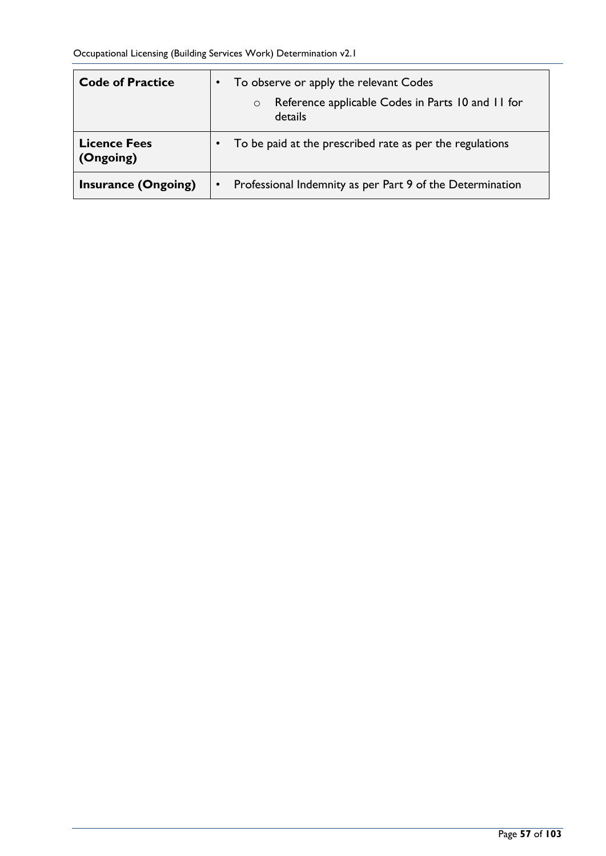| <b>Code of Practice</b>          |           | To observe or apply the relevant Codes                                  |
|----------------------------------|-----------|-------------------------------------------------------------------------|
|                                  |           | Reference applicable Codes in Parts 10 and 11 for<br>$\circ$<br>details |
| <b>Licence Fees</b><br>(Ongoing) |           | To be paid at the prescribed rate as per the regulations                |
| <b>Insurance (Ongoing)</b>       | $\bullet$ | Professional Indemnity as per Part 9 of the Determination               |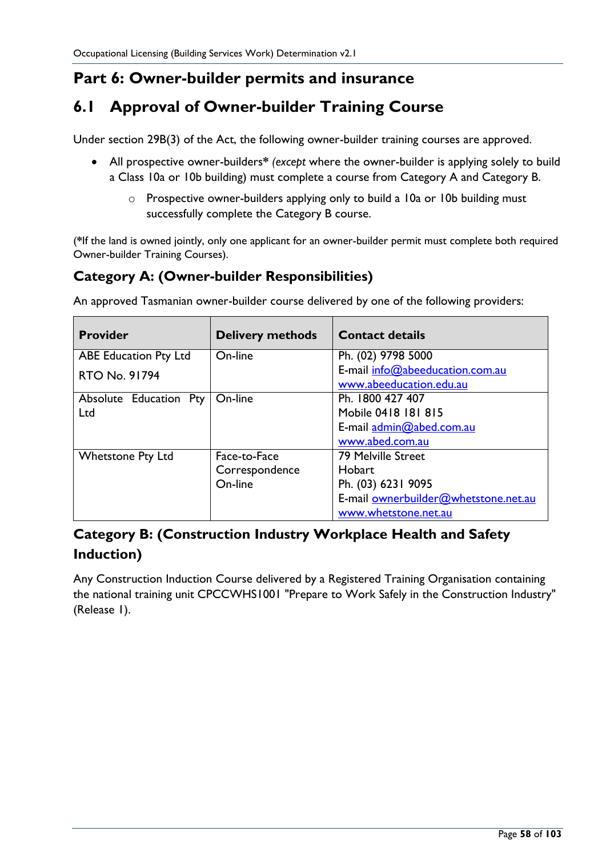## **Part 6: Owner-builder permits and insurance**

## **6.1 Approval of Owner-builder Training Course**

Under section 29B(3) of the Act, the following owner-builder training courses are approved.

- All prospective owner-builders**\*** *(except* where the owner-builder is applying solely to build a Class 10a or 10b building) must complete a course from Category A and Category B.
	- o Prospective owner-builders applying only to build a 10a or 10b building must successfully complete the Category B course.

(**\***If the land is owned jointly, only one applicant for an owner-builder permit must complete both required Owner-builder Training Courses).

### **Category A: (Owner-builder Responsibilities)**

**Provider Delivery methods Contact details** ABE Education Pty Ltd RTO No. 91794 On-line Ph. (02) 9798 5000 E-mail [info@abeeducation.com.au](mailto:info@abeeducation.com.au) [www.abeeducation.edu.au](http://www.abeeducation.edu.au/) Absolute Education Pty Ltd On-line Ph. 1800 427 407 Mobile 0418 181 815 E-mail [admin@abed.com.au](mailto:admin@abed.com.au) [www.abed.com.au](http://www.abed.com.au/) Whetstone Pty Ltd Face-to-Face **Correspondence** On-line 79 Melville Street **Hobart** Ph. (03) 6231 9095 E-mail ownerbuilder@whetstone.net.au www.whetstone.net.au

An approved Tasmanian owner-builder course delivered by one of the following providers:

## **Category B: (Construction Industry Workplace Health and Safety Induction)**

Any Construction Induction Course delivered by a Registered Training Organisation containing the national training unit CPCCWHS1001 "Prepare to Work Safely in the Construction Industry" (Release 1).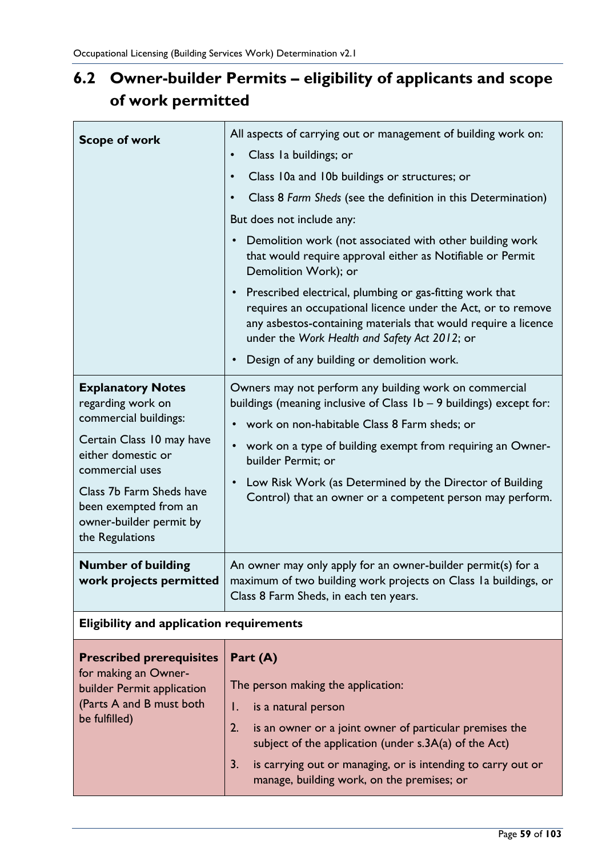# **6.2 Owner-builder Permits – eligibility of applicants and scope of work permitted**

| <b>Scope of work</b>                                                                                                                                                                                                                            | All aspects of carrying out or management of building work on:<br>Class Ia buildings; or<br>$\bullet$<br>Class 10a and 10b buildings or structures; or<br>$\bullet$<br>Class 8 Farm Sheds (see the definition in this Determination)<br>$\bullet$<br>But does not include any:<br>Demolition work (not associated with other building work<br>$\bullet$<br>that would require approval either as Notifiable or Permit<br>Demolition Work); or<br>Prescribed electrical, plumbing or gas-fitting work that<br>$\bullet$<br>requires an occupational licence under the Act, or to remove |
|-------------------------------------------------------------------------------------------------------------------------------------------------------------------------------------------------------------------------------------------------|----------------------------------------------------------------------------------------------------------------------------------------------------------------------------------------------------------------------------------------------------------------------------------------------------------------------------------------------------------------------------------------------------------------------------------------------------------------------------------------------------------------------------------------------------------------------------------------|
|                                                                                                                                                                                                                                                 | any asbestos-containing materials that would require a licence<br>under the Work Health and Safety Act 2012; or<br>Design of any building or demolition work.<br>$\bullet$                                                                                                                                                                                                                                                                                                                                                                                                             |
| <b>Explanatory Notes</b><br>regarding work on<br>commercial buildings:<br>Certain Class 10 may have<br>either domestic or<br>commercial uses<br>Class 7b Farm Sheds have<br>been exempted from an<br>owner-builder permit by<br>the Regulations | Owners may not perform any building work on commercial<br>buildings (meaning inclusive of Class 1b - 9 buildings) except for:<br>work on non-habitable Class 8 Farm sheds; or<br>$\bullet$<br>work on a type of building exempt from requiring an Owner-<br>$\bullet$<br>builder Permit; or<br>Low Risk Work (as Determined by the Director of Building<br>$\bullet$<br>Control) that an owner or a competent person may perform.                                                                                                                                                      |
| <b>Number of building</b><br>work projects permitted                                                                                                                                                                                            | An owner may only apply for an owner-builder permit(s) for a<br>maximum of two building work projects on Class I a buildings, or<br>Class 8 Farm Sheds, in each ten years.                                                                                                                                                                                                                                                                                                                                                                                                             |
| <b>Eligibility and application requirements</b>                                                                                                                                                                                                 |                                                                                                                                                                                                                                                                                                                                                                                                                                                                                                                                                                                        |
| <b>Prescribed prerequisites</b><br>for making an Owner-<br>builder Permit application<br>(Parts A and B must both<br>be fulfilled)                                                                                                              | Part (A)<br>The person making the application:<br>Ι.<br>is a natural person<br>2.<br>is an owner or a joint owner of particular premises the<br>subject of the application (under s.3A(a) of the Act)<br>is carrying out or managing, or is intending to carry out or<br>3.<br>manage, building work, on the premises; or                                                                                                                                                                                                                                                              |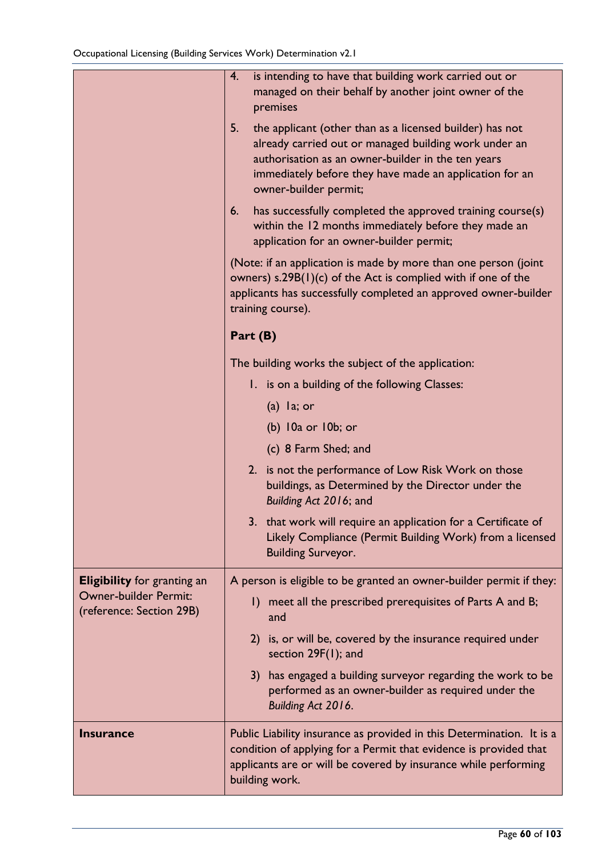|                                                   | is intending to have that building work carried out or<br>4.<br>managed on their behalf by another joint owner of the<br>premises                                                                                                                                 |
|---------------------------------------------------|-------------------------------------------------------------------------------------------------------------------------------------------------------------------------------------------------------------------------------------------------------------------|
|                                                   | 5.<br>the applicant (other than as a licensed builder) has not<br>already carried out or managed building work under an<br>authorisation as an owner-builder in the ten years<br>immediately before they have made an application for an<br>owner-builder permit; |
|                                                   | has successfully completed the approved training course(s)<br>6.<br>within the 12 months immediately before they made an<br>application for an owner-builder permit;                                                                                              |
|                                                   | (Note: if an application is made by more than one person (joint<br>owners) $s.29B(1)(c)$ of the Act is complied with if one of the<br>applicants has successfully completed an approved owner-builder<br>training course).                                        |
|                                                   | Part (B)                                                                                                                                                                                                                                                          |
|                                                   | The building works the subject of the application:                                                                                                                                                                                                                |
|                                                   | 1. is on a building of the following Classes:                                                                                                                                                                                                                     |
|                                                   | $(a)$ la; or                                                                                                                                                                                                                                                      |
|                                                   | $(b)$ $10a$ or $10b$ ; or                                                                                                                                                                                                                                         |
|                                                   | (c) 8 Farm Shed; and                                                                                                                                                                                                                                              |
|                                                   | 2. is not the performance of Low Risk Work on those<br>buildings, as Determined by the Director under the<br>Building Act 2016; and                                                                                                                               |
|                                                   | 3. that work will require an application for a Certificate of<br>Likely Compliance (Permit Building Work) from a licensed<br><b>Building Surveyor.</b>                                                                                                            |
| <b>Eligibility</b> for granting an                | A person is eligible to be granted an owner-builder permit if they:                                                                                                                                                                                               |
| Owner-builder Permit:<br>(reference: Section 29B) | meet all the prescribed prerequisites of Parts A and B;<br>$\mathsf{I}$<br>and                                                                                                                                                                                    |
|                                                   | is, or will be, covered by the insurance required under<br>2)<br>section 29F(1); and                                                                                                                                                                              |
|                                                   | has engaged a building surveyor regarding the work to be<br>3)<br>performed as an owner-builder as required under the<br>Building Act 2016.                                                                                                                       |
| <b>Insurance</b>                                  | Public Liability insurance as provided in this Determination. It is a<br>condition of applying for a Permit that evidence is provided that<br>applicants are or will be covered by insurance while performing<br>building work.                                   |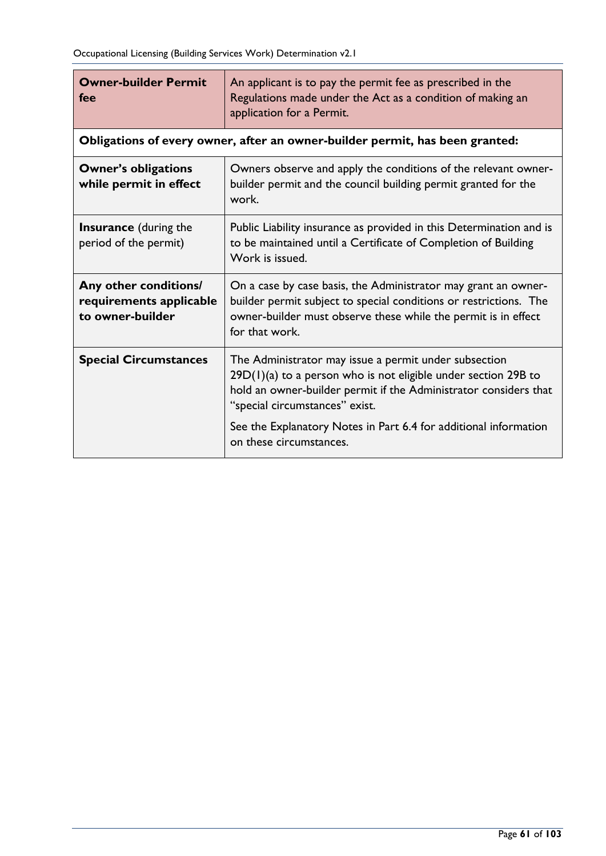| <b>Owner-builder Permit</b><br>fee                                   | An applicant is to pay the permit fee as prescribed in the<br>Regulations made under the Act as a condition of making an<br>application for a Permit.                                                                                                                                               |
|----------------------------------------------------------------------|-----------------------------------------------------------------------------------------------------------------------------------------------------------------------------------------------------------------------------------------------------------------------------------------------------|
|                                                                      | Obligations of every owner, after an owner-builder permit, has been granted:                                                                                                                                                                                                                        |
| <b>Owner's obligations</b><br>while permit in effect                 | Owners observe and apply the conditions of the relevant owner-<br>builder permit and the council building permit granted for the<br>work.                                                                                                                                                           |
| <b>Insurance</b> (during the<br>period of the permit)                | Public Liability insurance as provided in this Determination and is<br>to be maintained until a Certificate of Completion of Building<br>Work is issued.                                                                                                                                            |
| Any other conditions/<br>requirements applicable<br>to owner-builder | On a case by case basis, the Administrator may grant an owner-<br>builder permit subject to special conditions or restrictions. The<br>owner-builder must observe these while the permit is in effect<br>for that work.                                                                             |
| <b>Special Circumstances</b>                                         | The Administrator may issue a permit under subsection<br>$29D(1)(a)$ to a person who is not eligible under section 29B to<br>hold an owner-builder permit if the Administrator considers that<br>"special circumstances" exist.<br>See the Explanatory Notes in Part 6.4 for additional information |
|                                                                      | on these circumstances.                                                                                                                                                                                                                                                                             |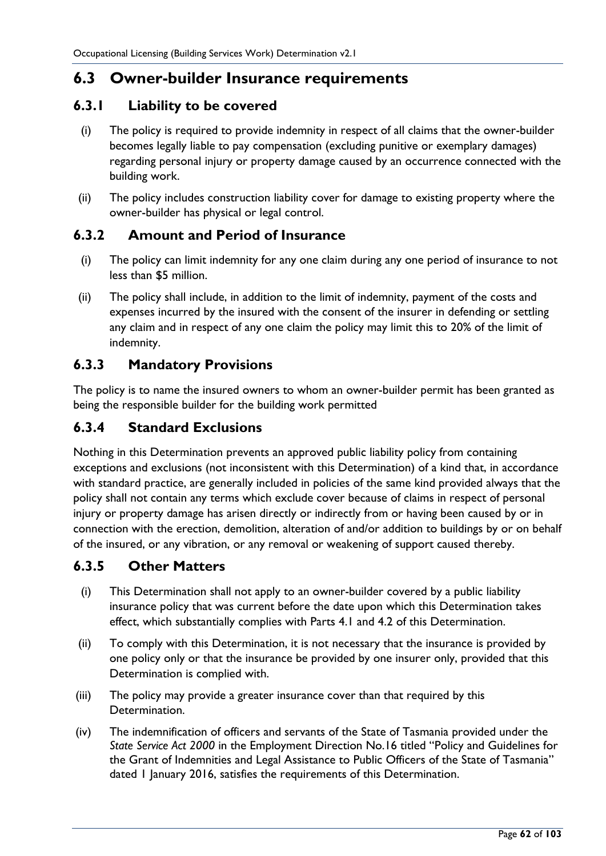### **6.3 Owner-builder Insurance requirements**

#### **6.3.1 Liability to be covered**

- (i) The policy is required to provide indemnity in respect of all claims that the owner-builder becomes legally liable to pay compensation (excluding punitive or exemplary damages) regarding personal injury or property damage caused by an occurrence connected with the building work.
- (ii) The policy includes construction liability cover for damage to existing property where the owner-builder has physical or legal control.

#### **6.3.2 Amount and Period of Insurance**

- (i) The policy can limit indemnity for any one claim during any one period of insurance to not less than \$5 million.
- (ii) The policy shall include, in addition to the limit of indemnity, payment of the costs and expenses incurred by the insured with the consent of the insurer in defending or settling any claim and in respect of any one claim the policy may limit this to 20% of the limit of indemnity.

#### **6.3.3 Mandatory Provisions**

The policy is to name the insured owners to whom an owner-builder permit has been granted as being the responsible builder for the building work permitted

### **6.3.4 Standard Exclusions**

Nothing in this Determination prevents an approved public liability policy from containing exceptions and exclusions (not inconsistent with this Determination) of a kind that, in accordance with standard practice, are generally included in policies of the same kind provided always that the policy shall not contain any terms which exclude cover because of claims in respect of personal injury or property damage has arisen directly or indirectly from or having been caused by or in connection with the erection, demolition, alteration of and/or addition to buildings by or on behalf of the insured, or any vibration, or any removal or weakening of support caused thereby.

#### **6.3.5 Other Matters**

- (i) This Determination shall not apply to an owner-builder covered by a public liability insurance policy that was current before the date upon which this Determination takes effect, which substantially complies with Parts 4.1 and 4.2 of this Determination.
- (ii) To comply with this Determination, it is not necessary that the insurance is provided by one policy only or that the insurance be provided by one insurer only, provided that this Determination is complied with.
- (iii) The policy may provide a greater insurance cover than that required by this Determination.
- (iv) The indemnification of officers and servants of the State of Tasmania provided under the *State Service Act 2000* in the Employment Direction No.16 titled "Policy and Guidelines for the Grant of Indemnities and Legal Assistance to Public Officers of the State of Tasmania" dated 1 January 2016, satisfies the requirements of this Determination.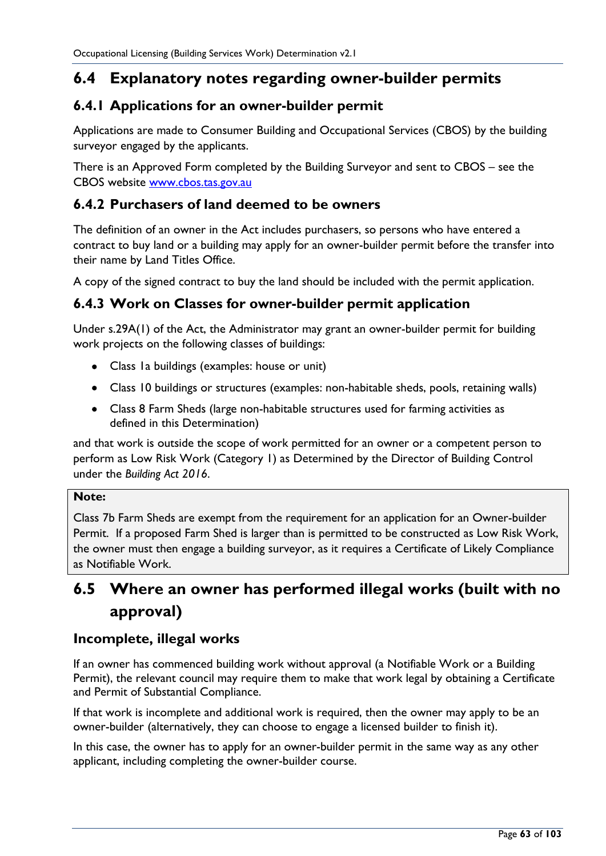## **6.4 Explanatory notes regarding owner-builder permits**

### **6.4.1 Applications for an owner-builder permit**

Applications are made to Consumer Building and Occupational Services (CBOS) by the building surveyor engaged by the applicants.

There is an Approved Form completed by the Building Surveyor and sent to CBOS – see the CBOS website [www.cbos.tas.gov.au](http://www.cbos.tas.gov.au/)

#### **6.4.2 Purchasers of land deemed to be owners**

The definition of an owner in the Act includes purchasers, so persons who have entered a contract to buy land or a building may apply for an owner-builder permit before the transfer into their name by Land Titles Office.

A copy of the signed contract to buy the land should be included with the permit application.

#### **6.4.3 Work on Classes for owner-builder permit application**

Under s.29A(1) of the Act, the Administrator may grant an owner-builder permit for building work projects on the following classes of buildings:

- Class 1a buildings (examples: house or unit)
- Class 10 buildings or structures (examples: non-habitable sheds, pools, retaining walls)
- Class 8 Farm Sheds (large non-habitable structures used for farming activities as defined in this Determination)

and that work is outside the scope of work permitted for an owner or a competent person to perform as Low Risk Work (Category 1) as Determined by the Director of Building Control under the *Building Act 2016*.

#### **Note:**

Class 7b Farm Sheds are exempt from the requirement for an application for an Owner-builder Permit. If a proposed Farm Shed is larger than is permitted to be constructed as Low Risk Work, the owner must then engage a building surveyor, as it requires a Certificate of Likely Compliance as Notifiable Work.

## **6.5 Where an owner has performed illegal works (built with no approval)**

#### **Incomplete, illegal works**

If an owner has commenced building work without approval (a Notifiable Work or a Building Permit), the relevant council may require them to make that work legal by obtaining a Certificate and Permit of Substantial Compliance.

If that work is incomplete and additional work is required, then the owner may apply to be an owner-builder (alternatively, they can choose to engage a licensed builder to finish it).

In this case, the owner has to apply for an owner-builder permit in the same way as any other applicant, including completing the owner-builder course.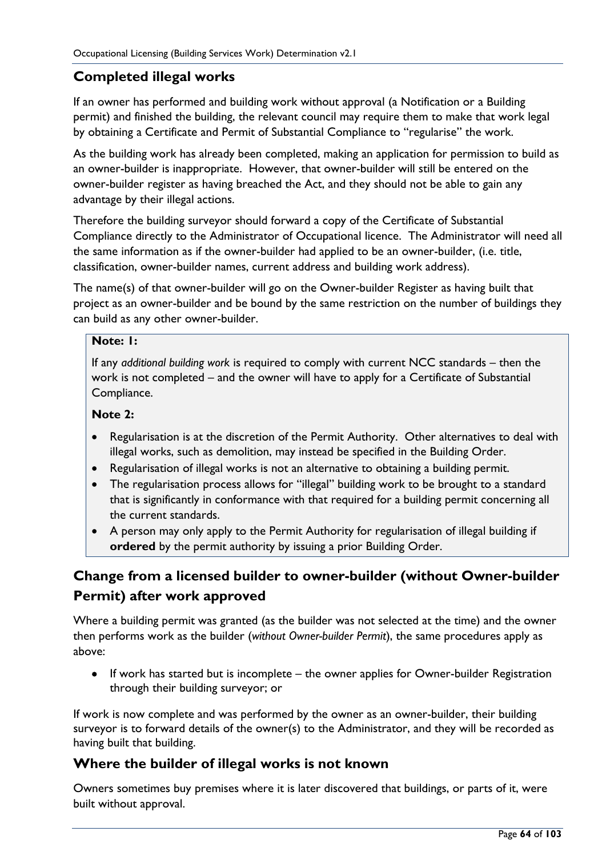### **Completed illegal works**

If an owner has performed and building work without approval (a Notification or a Building permit) and finished the building, the relevant council may require them to make that work legal by obtaining a Certificate and Permit of Substantial Compliance to "regularise" the work.

As the building work has already been completed, making an application for permission to build as an owner-builder is inappropriate. However, that owner-builder will still be entered on the owner-builder register as having breached the Act, and they should not be able to gain any advantage by their illegal actions.

Therefore the building surveyor should forward a copy of the Certificate of Substantial Compliance directly to the Administrator of Occupational licence. The Administrator will need all the same information as if the owner-builder had applied to be an owner-builder, (i.e. title, classification, owner-builder names, current address and building work address).

The name(s) of that owner-builder will go on the Owner-builder Register as having built that project as an owner-builder and be bound by the same restriction on the number of buildings they can build as any other owner-builder.

#### **Note: 1:**

If any *additional building work* is required to comply with current NCC standards – then the work is not completed – and the owner will have to apply for a Certificate of Substantial Compliance.

#### **Note 2:**

- Regularisation is at the discretion of the Permit Authority. Other alternatives to deal with illegal works, such as demolition, may instead be specified in the Building Order.
- Regularisation of illegal works is not an alternative to obtaining a building permit.
- The regularisation process allows for "illegal" building work to be brought to a standard that is significantly in conformance with that required for a building permit concerning all the current standards.
- A person may only apply to the Permit Authority for regularisation of illegal building if **ordered** by the permit authority by issuing a prior Building Order.

### **Change from a licensed builder to owner-builder (without Owner-builder Permit) after work approved**

Where a building permit was granted (as the builder was not selected at the time) and the owner then performs work as the builder (*without Owner-builder Permit*), the same procedures apply as above:

• If work has started but is incomplete – the owner applies for Owner-builder Registration through their building surveyor; or

If work is now complete and was performed by the owner as an owner-builder, their building surveyor is to forward details of the owner(s) to the Administrator, and they will be recorded as having built that building.

#### **Where the builder of illegal works is not known**

Owners sometimes buy premises where it is later discovered that buildings, or parts of it, were built without approval.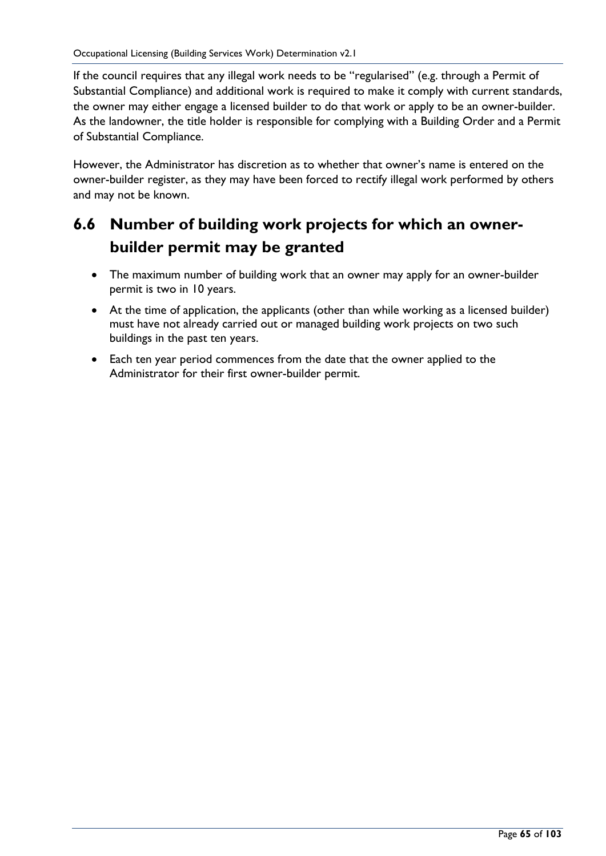If the council requires that any illegal work needs to be "regularised" (e.g. through a Permit of Substantial Compliance) and additional work is required to make it comply with current standards, the owner may either engage a licensed builder to do that work or apply to be an owner-builder. As the landowner, the title holder is responsible for complying with a Building Order and a Permit of Substantial Compliance.

However, the Administrator has discretion as to whether that owner's name is entered on the owner-builder register, as they may have been forced to rectify illegal work performed by others and may not be known.

## **6.6 Number of building work projects for which an ownerbuilder permit may be granted**

- The maximum number of building work that an owner may apply for an owner-builder permit is two in 10 years.
- At the time of application, the applicants (other than while working as a licensed builder) must have not already carried out or managed building work projects on two such buildings in the past ten years.
- Each ten year period commences from the date that the owner applied to the Administrator for their first owner-builder permit.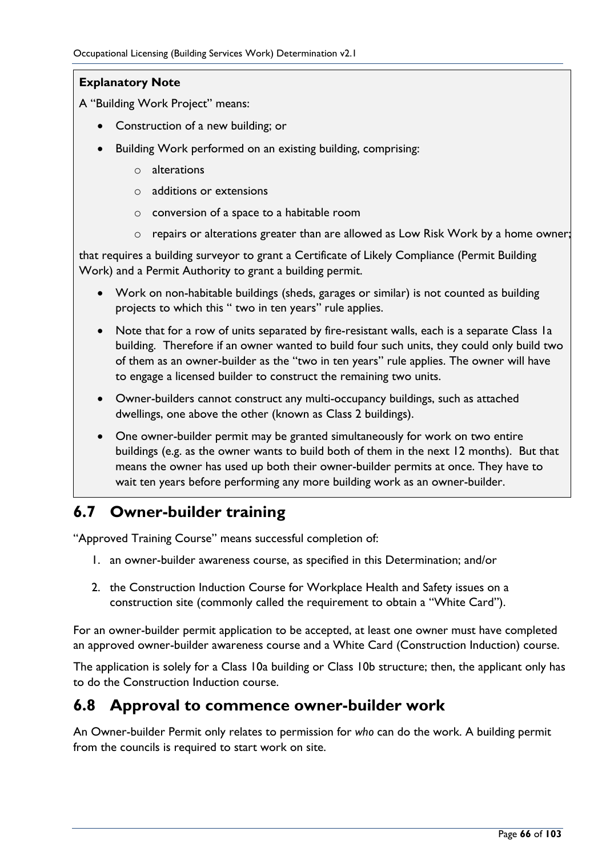#### **Explanatory Note**

A "Building Work Project" means:

- Construction of a new building; or
- Building Work performed on an existing building, comprising:
	- o alterations
	- o additions or extensions
	- o conversion of a space to a habitable room
	- o repairs or alterations greater than are allowed as Low Risk Work by a home owner;

that requires a building surveyor to grant a Certificate of Likely Compliance (Permit Building Work) and a Permit Authority to grant a building permit.

- Work on non-habitable buildings (sheds, garages or similar) is not counted as building projects to which this " two in ten years" rule applies.
- Note that for a row of units separated by fire-resistant walls, each is a separate Class Ia building. Therefore if an owner wanted to build four such units, they could only build two of them as an owner-builder as the "two in ten years" rule applies. The owner will have to engage a licensed builder to construct the remaining two units.
- Owner-builders cannot construct any multi-occupancy buildings, such as attached dwellings, one above the other (known as Class 2 buildings).
- One owner-builder permit may be granted simultaneously for work on two entire buildings (e.g. as the owner wants to build both of them in the next 12 months). But that means the owner has used up both their owner-builder permits at once. They have to wait ten years before performing any more building work as an owner-builder.

## **6.7 Owner-builder training**

"Approved Training Course" means successful completion of:

- 1. an owner-builder awareness course, as specified in this Determination; and/or
- 2. the Construction Induction Course for Workplace Health and Safety issues on a construction site (commonly called the requirement to obtain a "White Card").

For an owner-builder permit application to be accepted, at least one owner must have completed an approved owner-builder awareness course and a White Card (Construction Induction) course.

The application is solely for a Class 10a building or Class 10b structure; then, the applicant only has to do the Construction Induction course.

### **6.8 Approval to commence owner-builder work**

An Owner-builder Permit only relates to permission for *who* can do the work. A building permit from the councils is required to start work on site.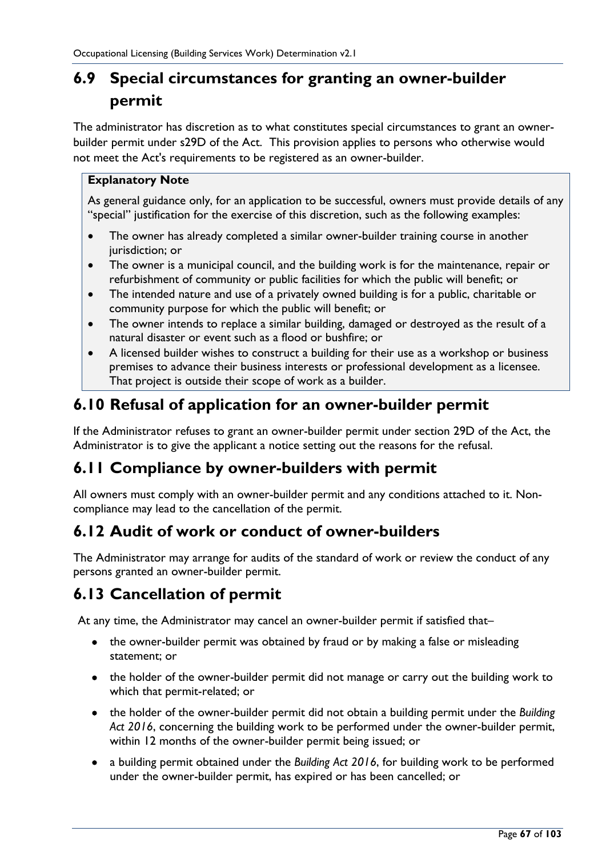# **6.9 Special circumstances for granting an owner-builder permit**

The administrator has discretion as to what constitutes special circumstances to grant an ownerbuilder permit under s29D of the Act. This provision applies to persons who otherwise would not meet the Act's requirements to be registered as an owner-builder.

#### **Explanatory Note**

As general guidance only, for an application to be successful, owners must provide details of any "special" justification for the exercise of this discretion, such as the following examples:

- The owner has already completed a similar owner-builder training course in another jurisdiction; or
- The owner is a municipal council, and the building work is for the maintenance, repair or refurbishment of community or public facilities for which the public will benefit; or
- The intended nature and use of a privately owned building is for a public, charitable or community purpose for which the public will benefit; or
- The owner intends to replace a similar building, damaged or destroyed as the result of a natural disaster or event such as a flood or bushfire; or
- A licensed builder wishes to construct a building for their use as a workshop or business premises to advance their business interests or professional development as a licensee. That project is outside their scope of work as a builder.

## **6.10 Refusal of application for an owner-builder permit**

If the Administrator refuses to grant an owner-builder permit under section 29D of the Act, the Administrator is to give the applicant a notice setting out the reasons for the refusal.

## **6.11 Compliance by owner-builders with permit**

All owners must comply with an owner-builder permit and any conditions attached to it. Noncompliance may lead to the cancellation of the permit.

## **6.12 Audit of work or conduct of owner-builders**

The Administrator may arrange for audits of the standard of work or review the conduct of any persons granted an owner-builder permit.

## **6.13 Cancellation of permit**

At any time, the Administrator may cancel an owner-builder permit if satisfied that–

- the owner-builder permit was obtained by fraud or by making a false or misleading statement; or
- the holder of the owner-builder permit did not manage or carry out the building work to which that permit-related; or
- the holder of the owner-builder permit did not obtain a building permit under the *Building Act 2016*, concerning the building work to be performed under the owner-builder permit, within 12 months of the owner-builder permit being issued; or
- a building permit obtained under the *Building Act 2016*, for building work to be performed under the owner-builder permit, has expired or has been cancelled; or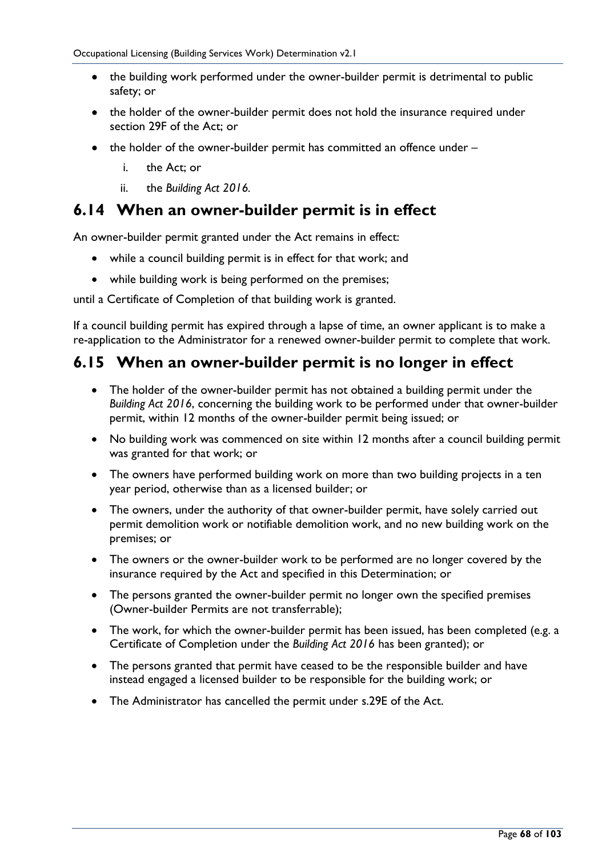- the building work performed under the owner-builder permit is detrimental to public safety; or
- the holder of the owner-builder permit does not hold the insurance required under section 29F of the Act; or
- the holder of the owner-builder permit has committed an offence under
	- i. the Act; or
	- ii. the *Building Act 2016.*

### **6.14 When an owner-builder permit is in effect**

An owner-builder permit granted under the Act remains in effect:

- while a council building permit is in effect for that work; and
- while building work is being performed on the premises;

until a Certificate of Completion of that building work is granted.

If a council building permit has expired through a lapse of time, an owner applicant is to make a re-application to the Administrator for a renewed owner-builder permit to complete that work.

### **6.15 When an owner-builder permit is no longer in effect**

- The holder of the owner-builder permit has not obtained a building permit under the *Building Act 2016*, concerning the building work to be performed under that owner-builder permit, within 12 months of the owner-builder permit being issued; or
- No building work was commenced on site within 12 months after a council building permit was granted for that work; or
- The owners have performed building work on more than two building projects in a ten year period, otherwise than as a licensed builder; or
- The owners, under the authority of that owner-builder permit, have solely carried out permit demolition work or notifiable demolition work, and no new building work on the premises; or
- The owners or the owner-builder work to be performed are no longer covered by the insurance required by the Act and specified in this Determination; or
- The persons granted the owner-builder permit no longer own the specified premises (Owner-builder Permits are not transferrable);
- The work, for which the owner-builder permit has been issued, has been completed (e.g. a Certificate of Completion under the *Building Act 2016* has been granted); or
- The persons granted that permit have ceased to be the responsible builder and have instead engaged a licensed builder to be responsible for the building work; or
- The Administrator has cancelled the permit under s.29E of the Act.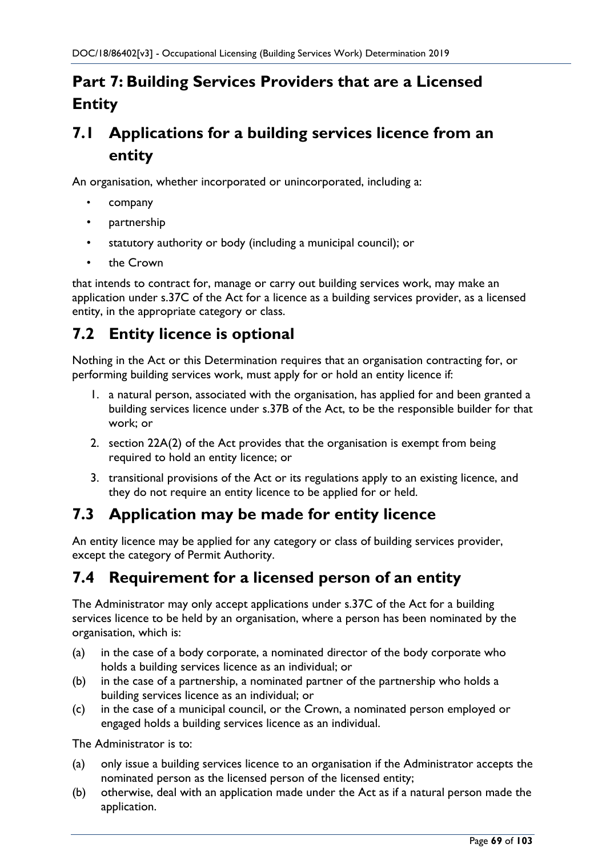# **Part 7: Building Services Providers that are a Licensed Entity**

# **7.1 Applications for a building services licence from an entity**

An organisation, whether incorporated or unincorporated, including a:

- company
- partnership
- statutory authority or body (including a municipal council); or
- the Crown

that intends to contract for, manage or carry out building services work, may make an application under s.37C of the Act for a licence as a building services provider, as a licensed entity, in the appropriate category or class.

## **7.2 Entity licence is optional**

Nothing in the Act or this Determination requires that an organisation contracting for, or performing building services work, must apply for or hold an entity licence if:

- 1. a natural person, associated with the organisation, has applied for and been granted a building services licence under s.37B of the Act, to be the responsible builder for that work; or
- 2. section 22A(2) of the Act provides that the organisation is exempt from being required to hold an entity licence; or
- 3. transitional provisions of the Act or its regulations apply to an existing licence, and they do not require an entity licence to be applied for or held.

## **7.3 Application may be made for entity licence**

An entity licence may be applied for any category or class of building services provider, except the category of Permit Authority.

## **7.4 Requirement for a licensed person of an entity**

The Administrator may only accept applications under s.37C of the Act for a building services licence to be held by an organisation, where a person has been nominated by the organisation, which is:

- (a) in the case of a body corporate, a nominated director of the body corporate who holds a building services licence as an individual; or
- (b) in the case of a partnership, a nominated partner of the partnership who holds a building services licence as an individual; or
- (c) in the case of a municipal council, or the Crown, a nominated person employed or engaged holds a building services licence as an individual.

The Administrator is to:

- (a) only issue a building services licence to an organisation if the Administrator accepts the nominated person as the licensed person of the licensed entity;
- (b) otherwise, deal with an application made under the Act as if a natural person made the application.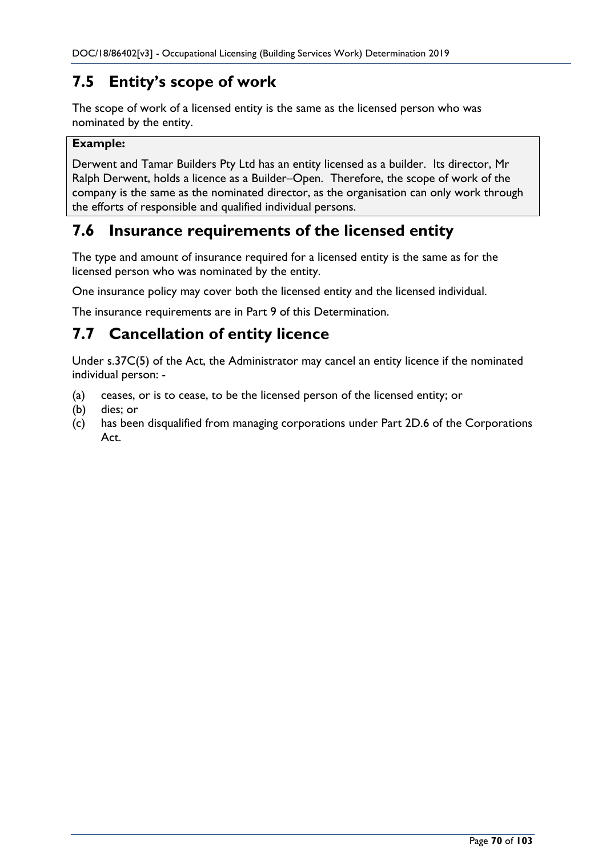## **7.5 Entity's scope of work**

The scope of work of a licensed entity is the same as the licensed person who was nominated by the entity.

#### **Example:**

Derwent and Tamar Builders Pty Ltd has an entity licensed as a builder. Its director, Mr Ralph Derwent, holds a licence as a Builder–Open. Therefore, the scope of work of the company is the same as the nominated director, as the organisation can only work through the efforts of responsible and qualified individual persons.

## **7.6 Insurance requirements of the licensed entity**

The type and amount of insurance required for a licensed entity is the same as for the licensed person who was nominated by the entity.

One insurance policy may cover both the licensed entity and the licensed individual.

The insurance requirements are in Part 9 of this Determination.

## **7.7 Cancellation of entity licence**

Under s.37C(5) of the Act, the Administrator may cancel an entity licence if the nominated individual person: -

- (a) ceases, or is to cease, to be the licensed person of the licensed entity; or
- (b) dies; or
- (c) has been disqualified from managing corporations under Part 2D.6 of the Corporations Act.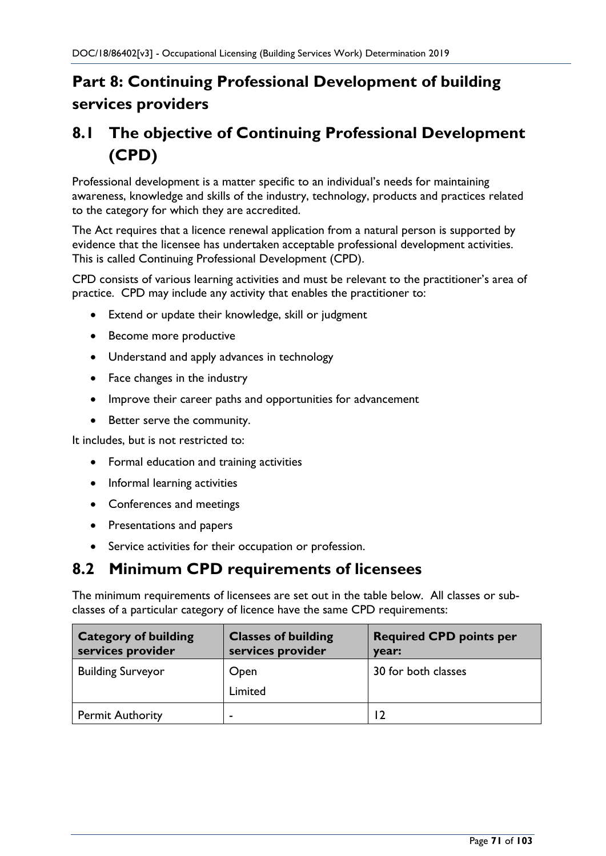# **Part 8: Continuing Professional Development of building services providers**

# **8.1 The objective of Continuing Professional Development (CPD)**

Professional development is a matter specific to an individual's needs for maintaining awareness, knowledge and skills of the industry, technology, products and practices related to the category for which they are accredited.

The Act requires that a licence renewal application from a natural person is supported by evidence that the licensee has undertaken acceptable professional development activities. This is called Continuing Professional Development (CPD).

CPD consists of various learning activities and must be relevant to the practitioner's area of practice. CPD may include any activity that enables the practitioner to:

- Extend or update their knowledge, skill or judgment
- Become more productive
- Understand and apply advances in technology
- Face changes in the industry
- Improve their career paths and opportunities for advancement
- Better serve the community.

It includes, but is not restricted to:

- Formal education and training activities
- Informal learning activities
- Conferences and meetings
- Presentations and papers
- Service activities for their occupation or profession.

### **8.2 Minimum CPD requirements of licensees**

The minimum requirements of licensees are set out in the table below. All classes or subclasses of a particular category of licence have the same CPD requirements:

| <b>Category of building</b><br>services provider | <b>Classes of building</b><br>services provider | <b>Required CPD points per</b><br>year: |
|--------------------------------------------------|-------------------------------------------------|-----------------------------------------|
| <b>Building Surveyor</b>                         | Open<br>Limited                                 | 30 for both classes                     |
| <b>Permit Authority</b>                          | -                                               | 12                                      |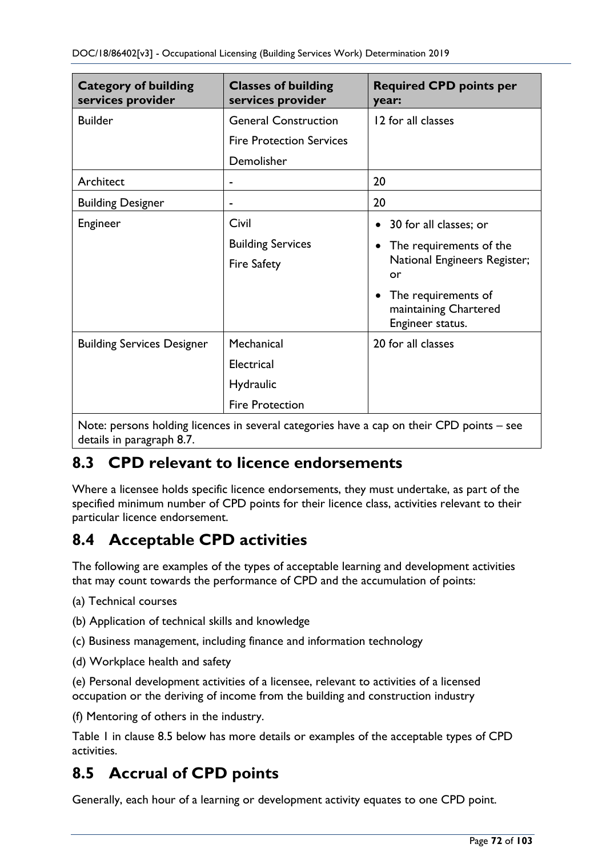| <b>Category of building</b><br>services provider | <b>Classes of building</b><br>services provider | <b>Required CPD points per</b><br>year:                                       |
|--------------------------------------------------|-------------------------------------------------|-------------------------------------------------------------------------------|
| <b>Builder</b>                                   | <b>General Construction</b>                     | 12 for all classes                                                            |
|                                                  | <b>Fire Protection Services</b>                 |                                                                               |
|                                                  | Demolisher                                      |                                                                               |
| Architect                                        |                                                 | 20                                                                            |
| <b>Building Designer</b>                         | -                                               | 20                                                                            |
| Engineer                                         | Civil                                           | 30 for all classes; or<br>$\bullet$                                           |
|                                                  | <b>Building Services</b>                        | The requirements of the<br>$\bullet$<br>National Engineers Register;<br>or    |
|                                                  | <b>Fire Safety</b>                              |                                                                               |
|                                                  |                                                 | The requirements of<br>$\bullet$<br>maintaining Chartered<br>Engineer status. |
| <b>Building Services Designer</b>                | Mechanical                                      | 20 for all classes                                                            |
|                                                  | Electrical                                      |                                                                               |
|                                                  | <b>Hydraulic</b>                                |                                                                               |
|                                                  | <b>Fire Protection</b>                          |                                                                               |

Note: persons holding licences in several categories have a cap on their CPD points – see details in paragraph 8.7.

## **8.3 CPD relevant to licence endorsements**

Where a licensee holds specific licence endorsements, they must undertake, as part of the specified minimum number of CPD points for their licence class, activities relevant to their particular licence endorsement.

## **8.4 Acceptable CPD activities**

The following are examples of the types of acceptable learning and development activities that may count towards the performance of CPD and the accumulation of points:

- (a) Technical courses
- (b) Application of technical skills and knowledge
- (c) Business management, including finance and information technology
- (d) Workplace health and safety

(e) Personal development activities of a licensee, relevant to activities of a licensed occupation or the deriving of income from the building and construction industry

(f) Mentoring of others in the industry.

Table 1 in clause 8.5 below has more details or examples of the acceptable types of CPD activities.

## **8.5 Accrual of CPD points**

Generally, each hour of a learning or development activity equates to one CPD point.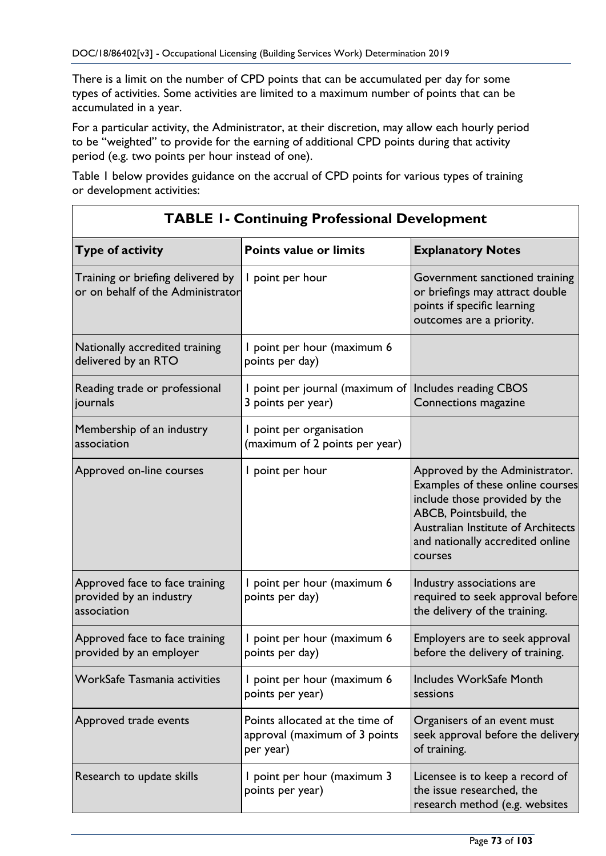There is a limit on the number of CPD points that can be accumulated per day for some types of activities. Some activities are limited to a maximum number of points that can be accumulated in a year.

For a particular activity, the Administrator, at their discretion, may allow each hourly period to be "weighted" to provide for the earning of additional CPD points during that activity period (e.g. two points per hour instead of one).

Table 1 below provides guidance on the accrual of CPD points for various types of training or development activities:

| Type of activity                                                         | <b>Points value or limits</b>                                                 | <b>Explanatory Notes</b>                                                                                                                                                                                           |  |
|--------------------------------------------------------------------------|-------------------------------------------------------------------------------|--------------------------------------------------------------------------------------------------------------------------------------------------------------------------------------------------------------------|--|
| Training or briefing delivered by<br>or on behalf of the Administrator   | I point per hour                                                              | Government sanctioned training<br>or briefings may attract double<br>points if specific learning<br>outcomes are a priority.                                                                                       |  |
| Nationally accredited training<br>delivered by an RTO                    | I point per hour (maximum 6<br>points per day)                                |                                                                                                                                                                                                                    |  |
| Reading trade or professional<br>journals                                | I point per journal (maximum of   Includes reading CBOS<br>3 points per year) | Connections magazine                                                                                                                                                                                               |  |
| Membership of an industry<br>association                                 | I point per organisation<br>(maximum of 2 points per year)                    |                                                                                                                                                                                                                    |  |
| Approved on-line courses                                                 | I point per hour                                                              | Approved by the Administrator.<br>Examples of these online courses<br>include those provided by the<br>ABCB, Pointsbuild, the<br>Australian Institute of Architects<br>and nationally accredited online<br>courses |  |
| Approved face to face training<br>provided by an industry<br>association | I point per hour (maximum 6<br>points per day)                                | Industry associations are<br>required to seek approval before<br>the delivery of the training.                                                                                                                     |  |
| Approved face to face training<br>provided by an employer                | point per hour (maximum 6<br>points per day)                                  | Employers are to seek approval<br>before the delivery of training.                                                                                                                                                 |  |
| WorkSafe Tasmania activities                                             | I point per hour (maximum 6<br>points per year)                               | Includes WorkSafe Month<br>sessions                                                                                                                                                                                |  |
| Approved trade events                                                    | Points allocated at the time of<br>approval (maximum of 3 points<br>per year) | Organisers of an event must<br>seek approval before the delivery<br>of training.                                                                                                                                   |  |
| Research to update skills                                                | I point per hour (maximum 3<br>points per year)                               | Licensee is to keep a record of<br>the issue researched, the<br>research method (e.g. websites                                                                                                                     |  |

### **TABLE 1- Continuing Professional Development**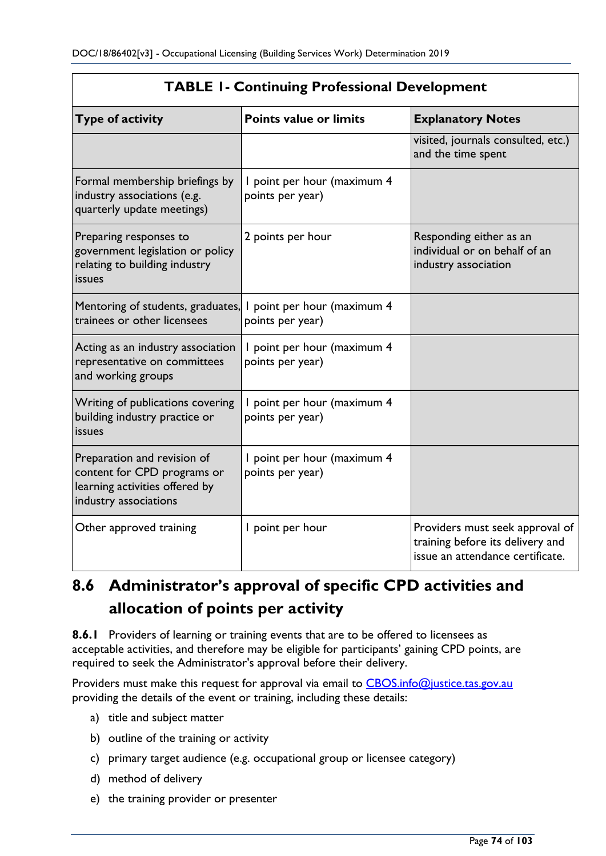| <b>TABLE 1- Continuing Professional Development</b>                                                                   |                                                    |                                                                                                         |  |
|-----------------------------------------------------------------------------------------------------------------------|----------------------------------------------------|---------------------------------------------------------------------------------------------------------|--|
| <b>Type of activity</b>                                                                                               | <b>Points value or limits</b>                      | <b>Explanatory Notes</b>                                                                                |  |
|                                                                                                                       |                                                    | visited, journals consulted, etc.)<br>and the time spent                                                |  |
| Formal membership briefings by<br>industry associations (e.g.<br>quarterly update meetings)                           | I point per hour (maximum 4<br>points per year)    |                                                                                                         |  |
| Preparing responses to<br>government legislation or policy<br>relating to building industry<br>issues                 | 2 points per hour                                  | Responding either as an<br>individual or on behalf of an<br>industry association                        |  |
| Mentoring of students, graduates,<br>trainees or other licensees                                                      | point per hour (maximum 4<br>L<br>points per year) |                                                                                                         |  |
| Acting as an industry association<br>representative on committees<br>and working groups                               | point per hour (maximum 4<br>points per year)      |                                                                                                         |  |
| Writing of publications covering<br>building industry practice or<br>issues                                           | I point per hour (maximum 4<br>points per year)    |                                                                                                         |  |
| Preparation and revision of<br>content for CPD programs or<br>learning activities offered by<br>industry associations | point per hour (maximum 4<br>points per year)      |                                                                                                         |  |
| Other approved training                                                                                               | I point per hour                                   | Providers must seek approval of<br>training before its delivery and<br>issue an attendance certificate. |  |

## **TABLE 1- Continuing Professional Development**

# **8.6 Administrator's approval of specific CPD activities and allocation of points per activity**

**8.6.1** Providers of learning or training events that are to be offered to licensees as acceptable activities, and therefore may be eligible for participants' gaining CPD points, are required to seek the Administrator's approval before their delivery.

Providers must make this request for approval via email to [CBOS.info@justice.tas.gov.au](mailto:CBOS.info@justice.tas.gov.au) providing the details of the event or training, including these details:

- a) title and subject matter
- b) outline of the training or activity
- c) primary target audience (e.g. occupational group or licensee category)
- d) method of delivery
- e) the training provider or presenter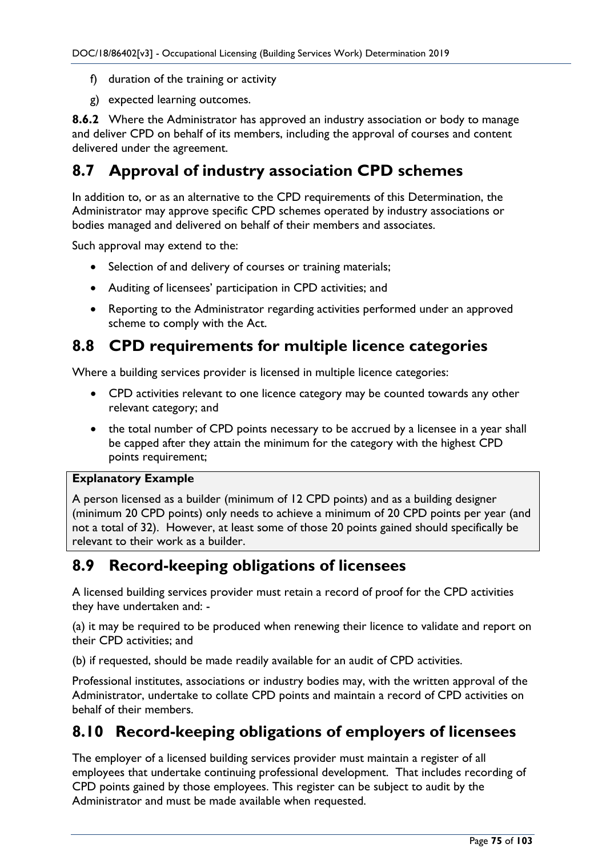- f) duration of the training or activity
- g) expected learning outcomes.

**8.6.2** Where the Administrator has approved an industry association or body to manage and deliver CPD on behalf of its members, including the approval of courses and content delivered under the agreement.

## **8.7 Approval of industry association CPD schemes**

In addition to, or as an alternative to the CPD requirements of this Determination, the Administrator may approve specific CPD schemes operated by industry associations or bodies managed and delivered on behalf of their members and associates.

Such approval may extend to the:

- Selection of and delivery of courses or training materials;
- Auditing of licensees' participation in CPD activities; and
- Reporting to the Administrator regarding activities performed under an approved scheme to comply with the Act.

## **8.8 CPD requirements for multiple licence categories**

Where a building services provider is licensed in multiple licence categories:

- CPD activities relevant to one licence category may be counted towards any other relevant category; and
- the total number of CPD points necessary to be accrued by a licensee in a year shall be capped after they attain the minimum for the category with the highest CPD points requirement;

### **Explanatory Example**

A person licensed as a builder (minimum of 12 CPD points) and as a building designer (minimum 20 CPD points) only needs to achieve a minimum of 20 CPD points per year (and not a total of 32). However, at least some of those 20 points gained should specifically be relevant to their work as a builder.

## **8.9 Record-keeping obligations of licensees**

A licensed building services provider must retain a record of proof for the CPD activities they have undertaken and: -

(a) it may be required to be produced when renewing their licence to validate and report on their CPD activities; and

(b) if requested, should be made readily available for an audit of CPD activities.

Professional institutes, associations or industry bodies may, with the written approval of the Administrator, undertake to collate CPD points and maintain a record of CPD activities on behalf of their members.

## **8.10 Record-keeping obligations of employers of licensees**

The employer of a licensed building services provider must maintain a register of all employees that undertake continuing professional development. That includes recording of CPD points gained by those employees. This register can be subject to audit by the Administrator and must be made available when requested.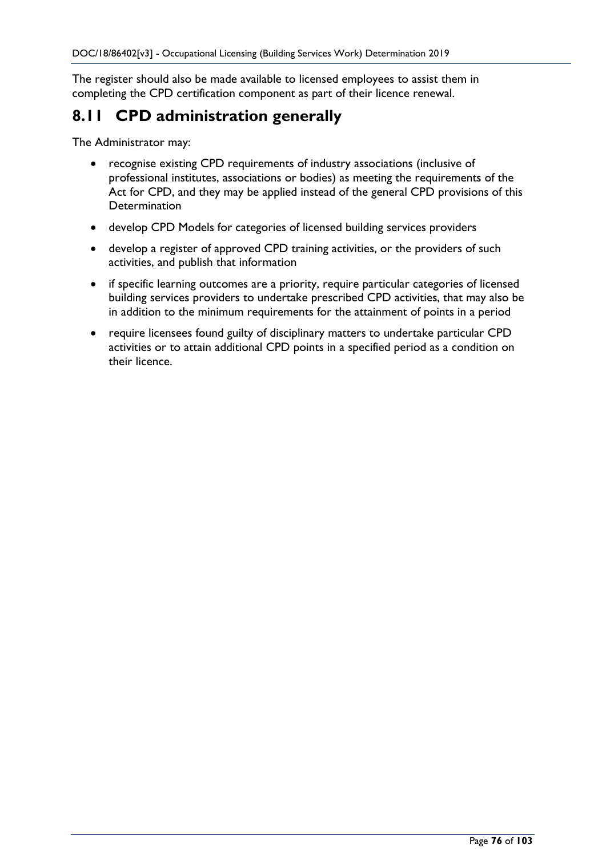The register should also be made available to licensed employees to assist them in completing the CPD certification component as part of their licence renewal.

## **8.11 CPD administration generally**

The Administrator may:

- recognise existing CPD requirements of industry associations (inclusive of professional institutes, associations or bodies) as meeting the requirements of the Act for CPD, and they may be applied instead of the general CPD provisions of this **Determination**
- develop CPD Models for categories of licensed building services providers
- develop a register of approved CPD training activities, or the providers of such activities, and publish that information
- if specific learning outcomes are a priority, require particular categories of licensed building services providers to undertake prescribed CPD activities, that may also be in addition to the minimum requirements for the attainment of points in a period
- require licensees found guilty of disciplinary matters to undertake particular CPD activities or to attain additional CPD points in a specified period as a condition on their licence.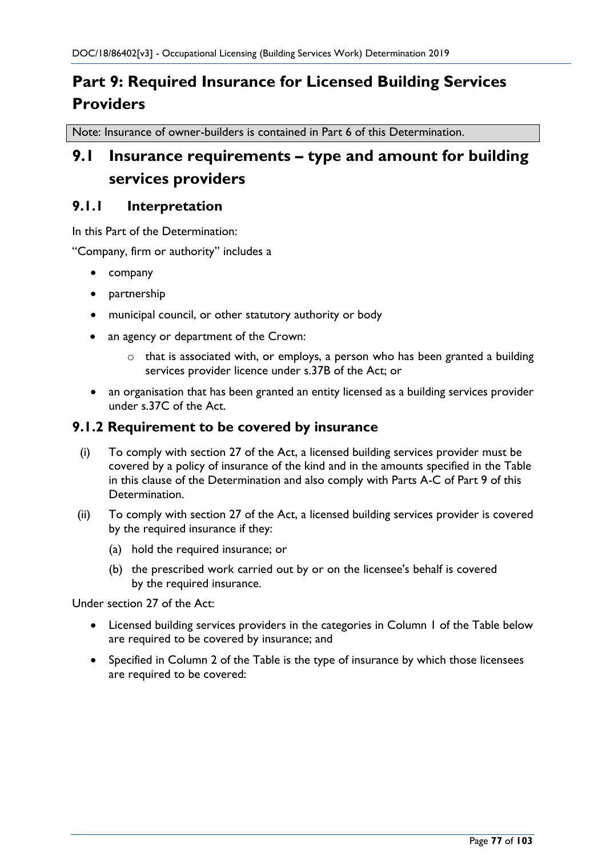# **Part 9: Required Insurance for Licensed Building Services Providers**

Note: Insurance of owner-builders is contained in Part 6 of this Determination.

## **9.1 Insurance requirements – type and amount for building services providers**

### **9.1.1 Interpretation**

In this Part of the Determination:

"Company, firm or authority" includes a

- company
- partnership
- municipal council, or other statutory authority or body
- an agency or department of the Crown:
	- $\circ$  that is associated with, or employs, a person who has been granted a building services provider licence under s.37B of the Act; or
- an organisation that has been granted an entity licensed as a building services provider under s.37C of the Act.

### **9.1.2 Requirement to be covered by insurance**

- (i) To comply with section 27 of the Act, a licensed building services provider must be covered by a policy of insurance of the kind and in the amounts specified in the Table in this clause of the Determination and also comply with Parts A-C of Part 9 of this Determination.
- (ii) To comply with section 27 of the Act, a licensed building services provider is covered by the required insurance if they:
	- (a) hold the required insurance; or
	- (b) the prescribed work carried out by or on the licensee's behalf is covered by the required insurance.

Under section 27 of the Act:

- Licensed building services providers in the categories in Column 1 of the Table below are required to be covered by insurance; and
- Specified in Column 2 of the Table is the type of insurance by which those licensees are required to be covered: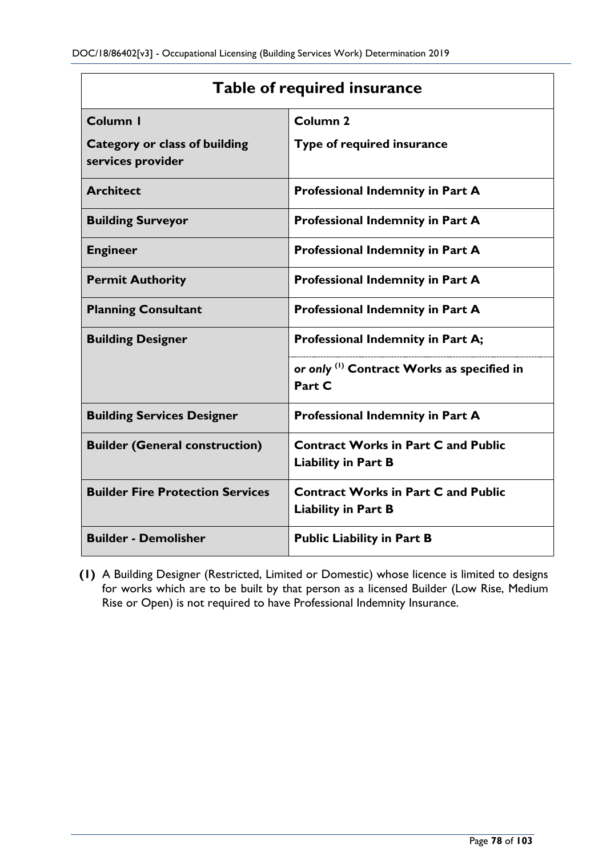| <b>Table of required insurance</b>                        |                                                                          |  |  |
|-----------------------------------------------------------|--------------------------------------------------------------------------|--|--|
| Column I                                                  | Column <sub>2</sub>                                                      |  |  |
| <b>Category or class of building</b><br>services provider | Type of required insurance                                               |  |  |
| <b>Architect</b>                                          | Professional Indemnity in Part A                                         |  |  |
| <b>Building Surveyor</b>                                  | Professional Indemnity in Part A                                         |  |  |
| <b>Engineer</b>                                           | <b>Professional Indemnity in Part A</b>                                  |  |  |
| <b>Permit Authority</b>                                   | Professional Indemnity in Part A                                         |  |  |
| <b>Planning Consultant</b>                                | Professional Indemnity in Part A                                         |  |  |
| <b>Building Designer</b>                                  | Professional Indemnity in Part A;                                        |  |  |
|                                                           | or only <sup>(1)</sup> Contract Works as specified in<br>Part C          |  |  |
| <b>Building Services Designer</b>                         | Professional Indemnity in Part A                                         |  |  |
| <b>Builder (General construction)</b>                     | <b>Contract Works in Part C and Public</b><br><b>Liability in Part B</b> |  |  |
| <b>Builder Fire Protection Services</b>                   | <b>Contract Works in Part C and Public</b><br><b>Liability in Part B</b> |  |  |
| <b>Builder - Demolisher</b>                               | <b>Public Liability in Part B</b>                                        |  |  |

**(1)** A Building Designer (Restricted, Limited or Domestic) whose licence is limited to designs for works which are to be built by that person as a licensed Builder (Low Rise, Medium Rise or Open) is not required to have Professional Indemnity Insurance.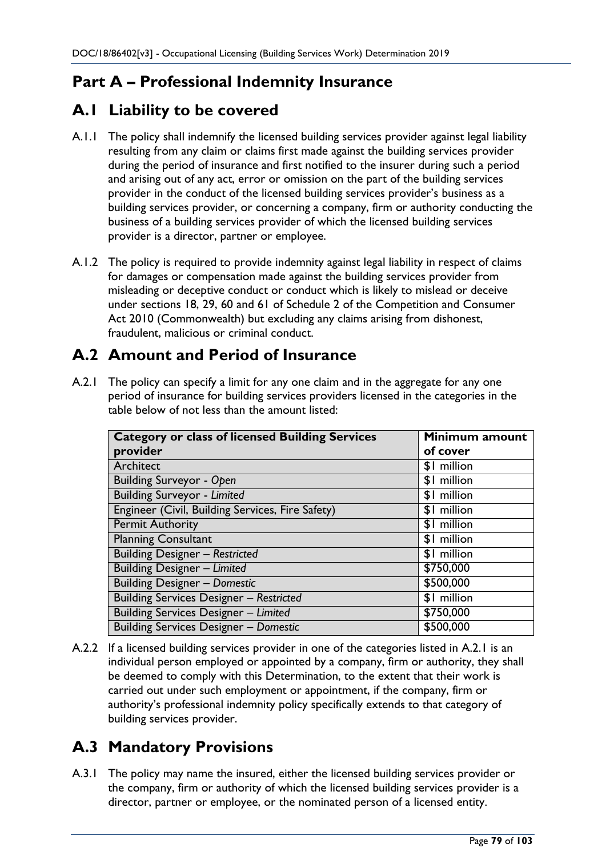## **Part A – Professional Indemnity Insurance**

## **A.1 Liability to be covered**

- A.1.1 The policy shall indemnify the licensed building services provider against legal liability resulting from any claim or claims first made against the building services provider during the period of insurance and first notified to the insurer during such a period and arising out of any act, error or omission on the part of the building services provider in the conduct of the licensed building services provider's business as a building services provider, or concerning a company, firm or authority conducting the business of a building services provider of which the licensed building services provider is a director, partner or employee.
- A.1.2 The policy is required to provide indemnity against legal liability in respect of claims for damages or compensation made against the building services provider from misleading or deceptive conduct or conduct which is likely to mislead or deceive under sections 18, 29, 60 and 61 of Schedule 2 of the Competition and Consumer Act 2010 (Commonwealth) but excluding any claims arising from dishonest, fraudulent, malicious or criminal conduct.

## **A.2 Amount and Period of Insurance**

A.2.1 The policy can specify a limit for any one claim and in the aggregate for any one period of insurance for building services providers licensed in the categories in the table below of not less than the amount listed:

| <b>Category or class of licensed Building Services</b> | Minimum amount |
|--------------------------------------------------------|----------------|
| provider                                               | of cover       |
| Architect                                              | \$1 million    |
| <b>Building Surveyor - Open</b>                        | \$1 million    |
| <b>Building Surveyor - Limited</b>                     | \$1 million    |
| Engineer (Civil, Building Services, Fire Safety)       | \$1 million    |
| <b>Permit Authority</b>                                | \$1 million    |
| <b>Planning Consultant</b>                             | \$1 million    |
| <b>Building Designer - Restricted</b>                  | \$1 million    |
| <b>Building Designer - Limited</b>                     | \$750,000      |
| <b>Building Designer - Domestic</b>                    | \$500,000      |
| <b>Building Services Designer - Restricted</b>         | \$1 million    |
| <b>Building Services Designer - Limited</b>            | \$750,000      |
| <b>Building Services Designer - Domestic</b>           | \$500,000      |

A.2.2 If a licensed building services provider in one of the categories listed in A.2.1 is an individual person employed or appointed by a company, firm or authority, they shall be deemed to comply with this Determination, to the extent that their work is carried out under such employment or appointment, if the company, firm or authority's professional indemnity policy specifically extends to that category of building services provider.

## **A.3 Mandatory Provisions**

A.3.1 The policy may name the insured, either the licensed building services provider or the company, firm or authority of which the licensed building services provider is a director, partner or employee, or the nominated person of a licensed entity.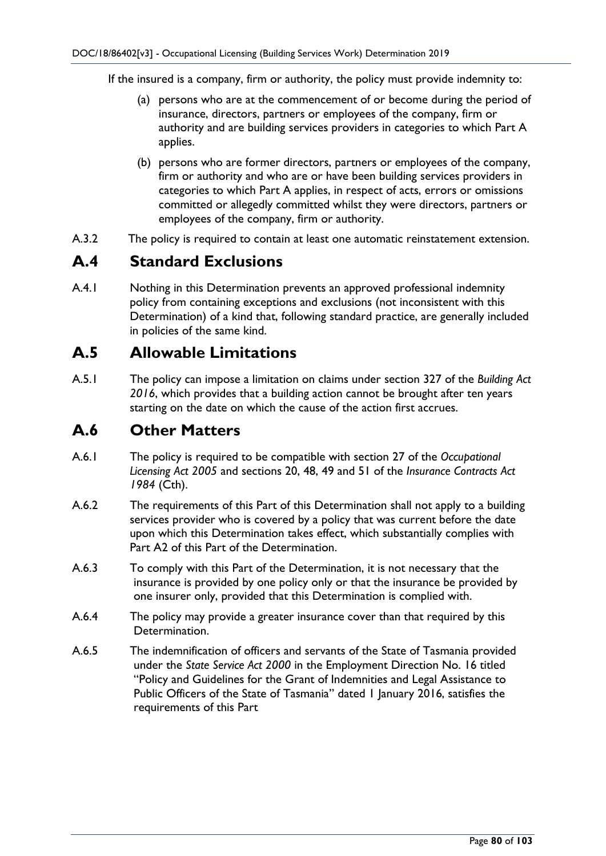If the insured is a company, firm or authority, the policy must provide indemnity to:

- (a) persons who are at the commencement of or become during the period of insurance, directors, partners or employees of the company, firm or authority and are building services providers in categories to which Part A applies.
- (b) persons who are former directors, partners or employees of the company, firm or authority and who are or have been building services providers in categories to which Part A applies, in respect of acts, errors or omissions committed or allegedly committed whilst they were directors, partners or employees of the company, firm or authority.
- A.3.2 The policy is required to contain at least one automatic reinstatement extension.

## **A.4 Standard Exclusions**

A.4.1 Nothing in this Determination prevents an approved professional indemnity policy from containing exceptions and exclusions (not inconsistent with this Determination) of a kind that, following standard practice, are generally included in policies of the same kind.

## **A.5 Allowable Limitations**

A.5.1 The policy can impose a limitation on claims under section 327 of the *Building Act 2016*, which provides that a building action cannot be brought after ten years starting on the date on which the cause of the action first accrues.

## **A.6 Other Matters**

- A.6.1 The policy is required to be compatible with section 27 of the *Occupational Licensing Act 2005* and sections 20, 48, 49 and 51 of the *Insurance Contracts Act 1984* (Cth).
- A.6.2 The requirements of this Part of this Determination shall not apply to a building services provider who is covered by a policy that was current before the date upon which this Determination takes effect, which substantially complies with Part A2 of this Part of the Determination.
- A.6.3 To comply with this Part of the Determination, it is not necessary that the insurance is provided by one policy only or that the insurance be provided by one insurer only, provided that this Determination is complied with.
- A.6.4 The policy may provide a greater insurance cover than that required by this Determination.
- A.6.5 The indemnification of officers and servants of the State of Tasmania provided under the *State Service Act 2000* in the Employment Direction No. 16 titled "Policy and Guidelines for the Grant of Indemnities and Legal Assistance to Public Officers of the State of Tasmania" dated 1 January 2016, satisfies the requirements of this Part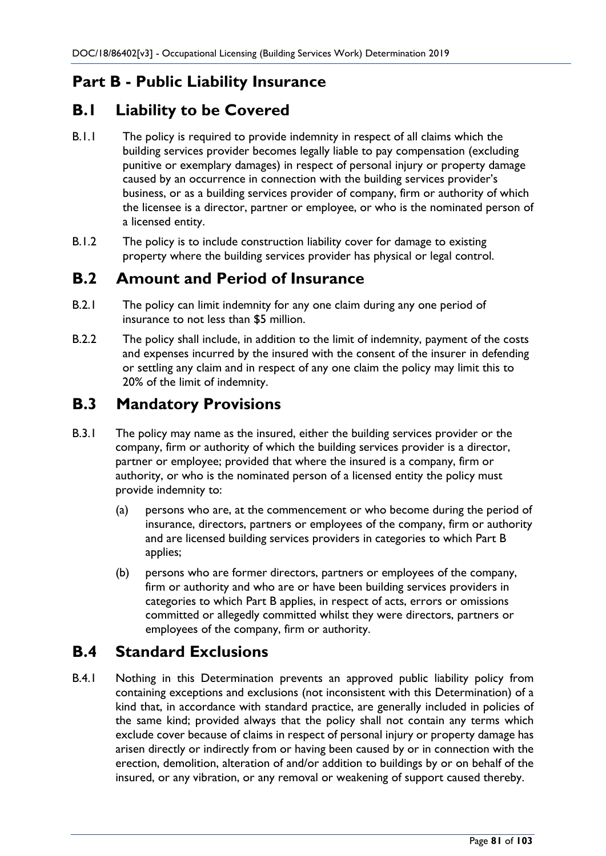## **Part B - Public Liability Insurance**

## **B.1 Liability to be Covered**

- B.1.1 The policy is required to provide indemnity in respect of all claims which the building services provider becomes legally liable to pay compensation (excluding punitive or exemplary damages) in respect of personal injury or property damage caused by an occurrence in connection with the building services provider's business, or as a building services provider of company, firm or authority of which the licensee is a director, partner or employee, or who is the nominated person of a licensed entity.
- B.1.2 The policy is to include construction liability cover for damage to existing property where the building services provider has physical or legal control.

## **B.2 Amount and Period of Insurance**

- B.2.1 The policy can limit indemnity for any one claim during any one period of insurance to not less than \$5 million.
- B.2.2 The policy shall include, in addition to the limit of indemnity, payment of the costs and expenses incurred by the insured with the consent of the insurer in defending or settling any claim and in respect of any one claim the policy may limit this to 20% of the limit of indemnity.

## **B.3 Mandatory Provisions**

- B.3.1 The policy may name as the insured, either the building services provider or the company, firm or authority of which the building services provider is a director, partner or employee; provided that where the insured is a company, firm or authority, or who is the nominated person of a licensed entity the policy must provide indemnity to:
	- (a) persons who are, at the commencement or who become during the period of insurance, directors, partners or employees of the company, firm or authority and are licensed building services providers in categories to which Part B applies;
	- (b) persons who are former directors, partners or employees of the company, firm or authority and who are or have been building services providers in categories to which Part B applies, in respect of acts, errors or omissions committed or allegedly committed whilst they were directors, partners or employees of the company, firm or authority.

## **B.4 Standard Exclusions**

B.4.1 Nothing in this Determination prevents an approved public liability policy from containing exceptions and exclusions (not inconsistent with this Determination) of a kind that, in accordance with standard practice, are generally included in policies of the same kind; provided always that the policy shall not contain any terms which exclude cover because of claims in respect of personal injury or property damage has arisen directly or indirectly from or having been caused by or in connection with the erection, demolition, alteration of and/or addition to buildings by or on behalf of the insured, or any vibration, or any removal or weakening of support caused thereby.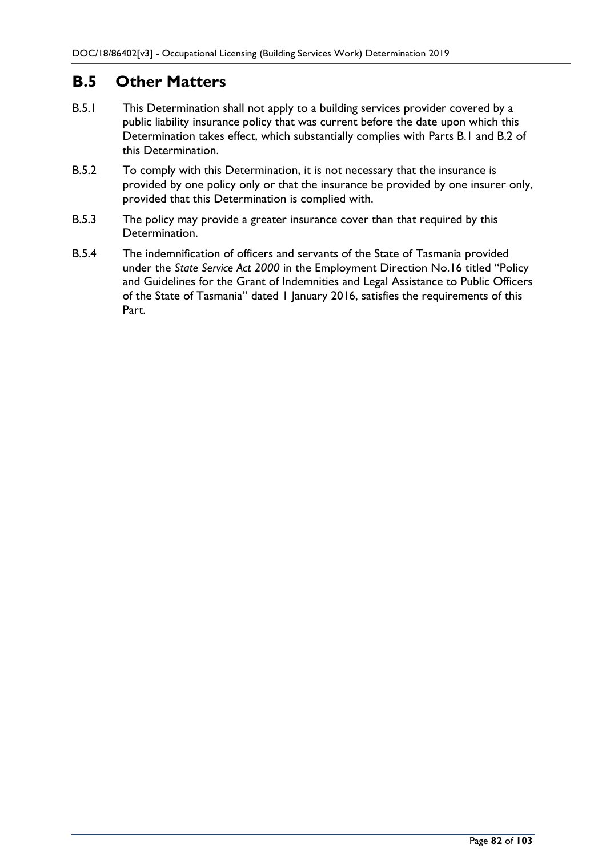## **B.5 Other Matters**

- B.5.1 This Determination shall not apply to a building services provider covered by a public liability insurance policy that was current before the date upon which this Determination takes effect, which substantially complies with Parts B.1 and B.2 of this Determination.
- B.5.2 To comply with this Determination, it is not necessary that the insurance is provided by one policy only or that the insurance be provided by one insurer only, provided that this Determination is complied with.
- B.5.3 The policy may provide a greater insurance cover than that required by this Determination.
- B.5.4 The indemnification of officers and servants of the State of Tasmania provided under the *State Service Act 2000* in the Employment Direction No.16 titled "Policy and Guidelines for the Grant of Indemnities and Legal Assistance to Public Officers of the State of Tasmania" dated 1 January 2016, satisfies the requirements of this Part.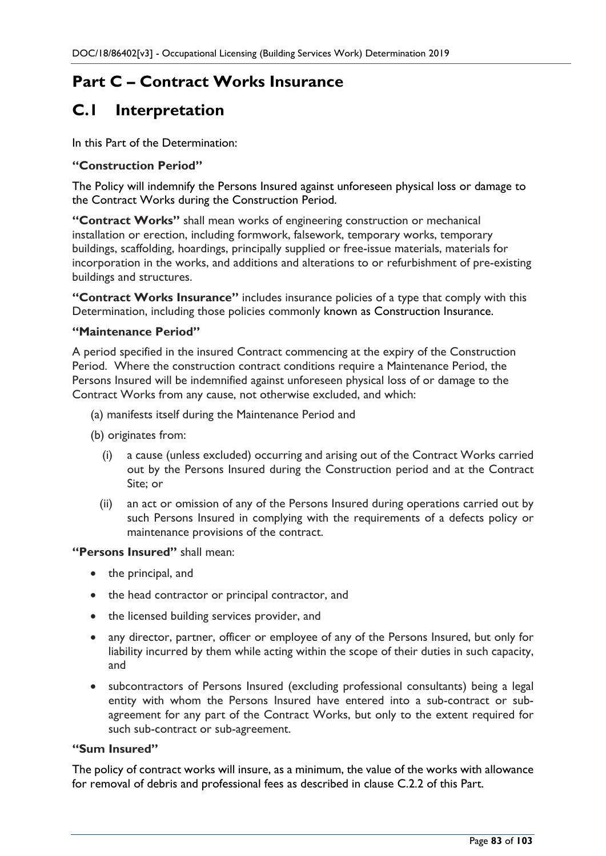## **Part C – Contract Works Insurance**

## **C.1 Interpretation**

In this Part of the Determination:

### **"Construction Period"**

The Policy will indemnify the Persons Insured against unforeseen physical loss or damage to the Contract Works during the Construction Period.

**"Contract Works"** shall mean works of engineering construction or mechanical installation or erection, including formwork, falsework, temporary works, temporary buildings, scaffolding, hoardings, principally supplied or free-issue materials, materials for incorporation in the works, and additions and alterations to or refurbishment of pre-existing buildings and structures.

**"Contract Works Insurance"** includes insurance policies of a type that comply with this Determination, including those policies commonly known as Construction Insurance.

### **"Maintenance Period"**

A period specified in the insured Contract commencing at the expiry of the Construction Period. Where the construction contract conditions require a Maintenance Period, the Persons Insured will be indemnified against unforeseen physical loss of or damage to the Contract Works from any cause, not otherwise excluded, and which:

- (a) manifests itself during the Maintenance Period and
- (b) originates from:
	- (i) a cause (unless excluded) occurring and arising out of the Contract Works carried out by the Persons Insured during the Construction period and at the Contract Site; or
	- (ii) an act or omission of any of the Persons Insured during operations carried out by such Persons Insured in complying with the requirements of a defects policy or maintenance provisions of the contract.

### **"Persons Insured"** shall mean:

- the principal, and
- the head contractor or principal contractor, and
- the licensed building services provider, and
- any director, partner, officer or employee of any of the Persons Insured, but only for liability incurred by them while acting within the scope of their duties in such capacity, and
- subcontractors of Persons Insured (excluding professional consultants) being a legal entity with whom the Persons Insured have entered into a sub-contract or subagreement for any part of the Contract Works, but only to the extent required for such sub-contract or sub-agreement.

#### **"Sum Insured"**

The policy of contract works will insure, as a minimum, the value of the works with allowance for removal of debris and professional fees as described in clause C.2.2 of this Part.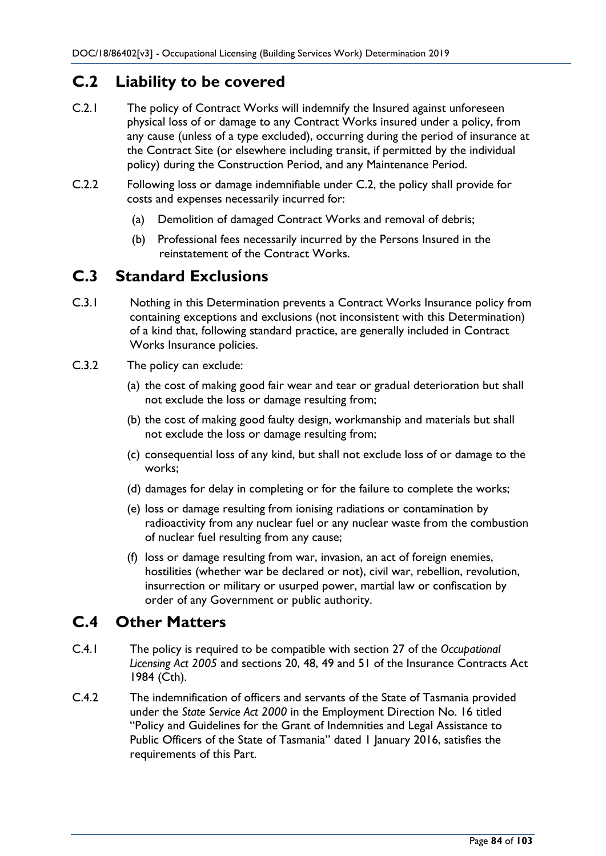## **C.2 Liability to be covered**

- C.2.1 The policy of Contract Works will indemnify the Insured against unforeseen physical loss of or damage to any Contract Works insured under a policy, from any cause (unless of a type excluded), occurring during the period of insurance at the Contract Site (or elsewhere including transit, if permitted by the individual policy) during the Construction Period, and any Maintenance Period.
- C.2.2 Following loss or damage indemnifiable under C.2, the policy shall provide for costs and expenses necessarily incurred for:
	- (a) Demolition of damaged Contract Works and removal of debris;
	- (b) Professional fees necessarily incurred by the Persons Insured in the reinstatement of the Contract Works.

## **C.3 Standard Exclusions**

- C.3.1 Nothing in this Determination prevents a Contract Works Insurance policy from containing exceptions and exclusions (not inconsistent with this Determination) of a kind that, following standard practice, are generally included in Contract Works Insurance policies.
- C.3.2 The policy can exclude:
	- (a) the cost of making good fair wear and tear or gradual deterioration but shall not exclude the loss or damage resulting from;
	- (b) the cost of making good faulty design, workmanship and materials but shall not exclude the loss or damage resulting from;
	- (c) consequential loss of any kind, but shall not exclude loss of or damage to the works;
	- (d) damages for delay in completing or for the failure to complete the works;
	- (e) loss or damage resulting from ionising radiations or contamination by radioactivity from any nuclear fuel or any nuclear waste from the combustion of nuclear fuel resulting from any cause;
	- (f) loss or damage resulting from war, invasion, an act of foreign enemies, hostilities (whether war be declared or not), civil war, rebellion, revolution, insurrection or military or usurped power, martial law or confiscation by order of any Government or public authority.

## **C.4 Other Matters**

- C.4.1 The policy is required to be compatible with section 27 of the *Occupational Licensing Act 2005* and sections 20, 48, 49 and 51 of the Insurance Contracts Act 1984 (Cth).
- C.4.2 The indemnification of officers and servants of the State of Tasmania provided under the *State Service Act 2000* in the Employment Direction No. 16 titled "Policy and Guidelines for the Grant of Indemnities and Legal Assistance to Public Officers of the State of Tasmania" dated 1 January 2016, satisfies the requirements of this Part.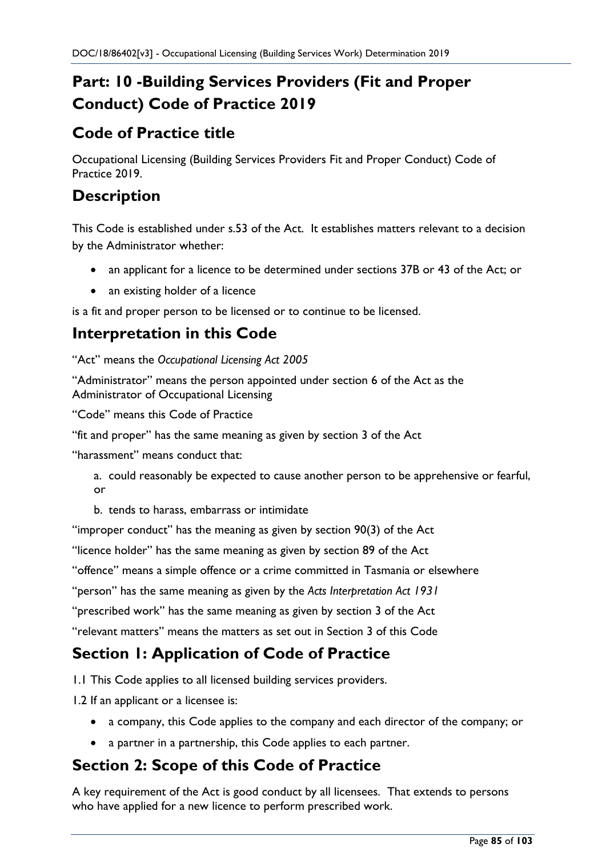# **Part: 10 -Building Services Providers (Fit and Proper Conduct) Code of Practice 2019**

## **Code of Practice title**

Occupational Licensing (Building Services Providers Fit and Proper Conduct) Code of Practice 2019.

## **Description**

This Code is established under s.53 of the Act. It establishes matters relevant to a decision by the Administrator whether:

- an applicant for a licence to be determined under sections 37B or 43 of the Act; or
- an existing holder of a licence

is a fit and proper person to be licensed or to continue to be licensed.

## **Interpretation in this Code**

"Act" means the *Occupational Licensing Act 2005*

"Administrator" means the person appointed under section 6 of the Act as the Administrator of Occupational Licensing

"Code" means this Code of Practice

"fit and proper" has the same meaning as given by section 3 of the Act

"harassment" means conduct that:

a. could reasonably be expected to cause another person to be apprehensive or fearful, or

b. tends to harass, embarrass or intimidate

"improper conduct" has the meaning as given by section 90(3) of the Act

"licence holder" has the same meaning as given by section 89 of the Act

"offence" means a simple offence or a crime committed in Tasmania or elsewhere

"person" has the same meaning as given by the *Acts Interpretation Act 1931*

"prescribed work" has the same meaning as given by section 3 of the Act

"relevant matters" means the matters as set out in Section 3 of this Code

## **Section 1: Application of Code of Practice**

1.1 This Code applies to all licensed building services providers.

1.2 If an applicant or a licensee is:

- a company, this Code applies to the company and each director of the company; or
- a partner in a partnership, this Code applies to each partner.

## **Section 2: Scope of this Code of Practice**

A key requirement of the Act is good conduct by all licensees. That extends to persons who have applied for a new licence to perform prescribed work.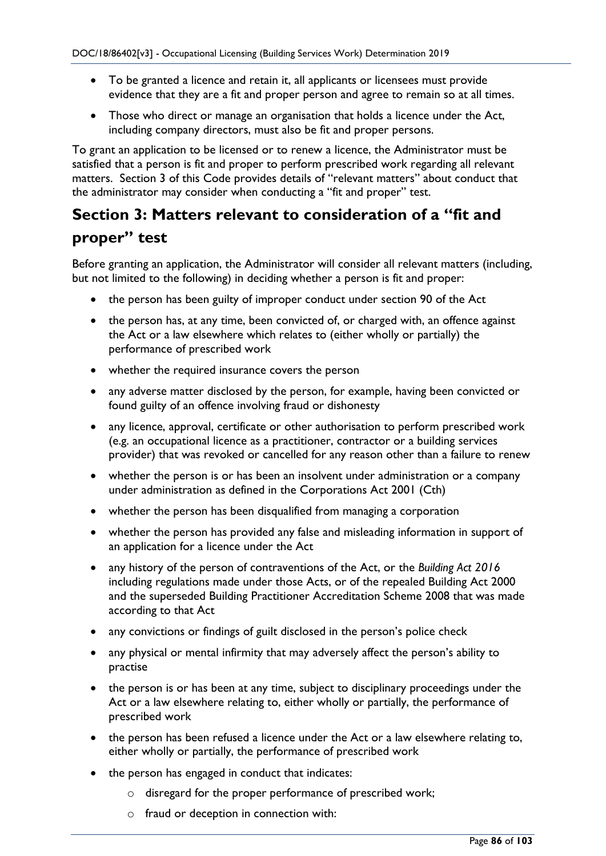- To be granted a licence and retain it, all applicants or licensees must provide evidence that they are a fit and proper person and agree to remain so at all times.
- Those who direct or manage an organisation that holds a licence under the Act, including company directors, must also be fit and proper persons.

To grant an application to be licensed or to renew a licence, the Administrator must be satisfied that a person is fit and proper to perform prescribed work regarding all relevant matters. Section 3 of this Code provides details of "relevant matters" about conduct that the administrator may consider when conducting a "fit and proper" test.

# **Section 3: Matters relevant to consideration of a "fit and proper" test**

Before granting an application, the Administrator will consider all relevant matters (including, but not limited to the following) in deciding whether a person is fit and proper:

- the person has been guilty of improper conduct under section 90 of the Act
- the person has, at any time, been convicted of, or charged with, an offence against the Act or a law elsewhere which relates to (either wholly or partially) the performance of prescribed work
- whether the required insurance covers the person
- any adverse matter disclosed by the person, for example, having been convicted or found guilty of an offence involving fraud or dishonesty
- any licence, approval, certificate or other authorisation to perform prescribed work (e.g. an occupational licence as a practitioner, contractor or a building services provider) that was revoked or cancelled for any reason other than a failure to renew
- whether the person is or has been an insolvent under administration or a company under administration as defined in the Corporations Act 2001 (Cth)
- whether the person has been disqualified from managing a corporation
- whether the person has provided any false and misleading information in support of an application for a licence under the Act
- any history of the person of contraventions of the Act, or the *Building Act 2016* including regulations made under those Acts, or of the repealed Building Act 2000 and the superseded Building Practitioner Accreditation Scheme 2008 that was made according to that Act
- any convictions or findings of guilt disclosed in the person's police check
- any physical or mental infirmity that may adversely affect the person's ability to practise
- the person is or has been at any time, subject to disciplinary proceedings under the Act or a law elsewhere relating to, either wholly or partially, the performance of prescribed work
- the person has been refused a licence under the Act or a law elsewhere relating to, either wholly or partially, the performance of prescribed work
- the person has engaged in conduct that indicates:
	- o disregard for the proper performance of prescribed work;
	- o fraud or deception in connection with: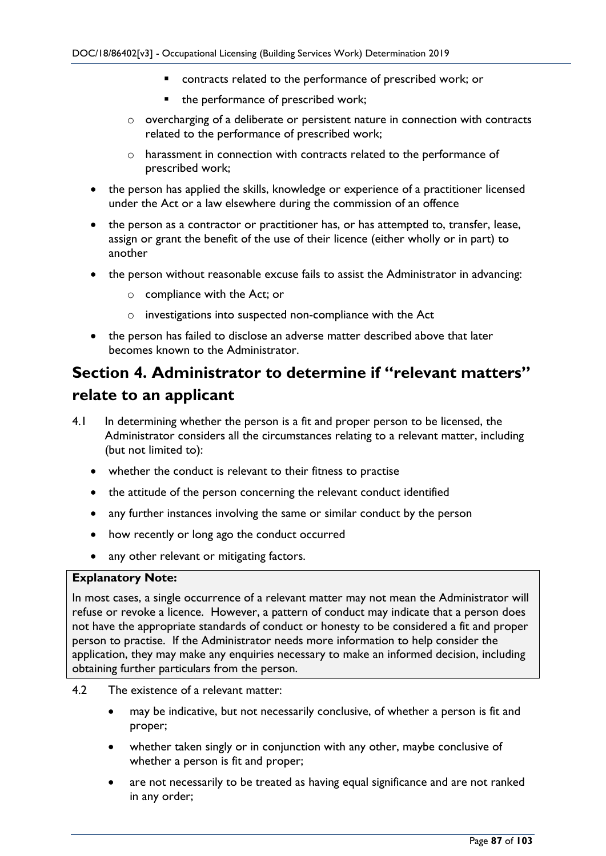- contracts related to the performance of prescribed work; or
- the performance of prescribed work;
- $\circ$  overcharging of a deliberate or persistent nature in connection with contracts related to the performance of prescribed work;
- o harassment in connection with contracts related to the performance of prescribed work;
- the person has applied the skills, knowledge or experience of a practitioner licensed under the Act or a law elsewhere during the commission of an offence
- the person as a contractor or practitioner has, or has attempted to, transfer, lease, assign or grant the benefit of the use of their licence (either wholly or in part) to another
- the person without reasonable excuse fails to assist the Administrator in advancing:
	- o compliance with the Act; or
	- o investigations into suspected non-compliance with the Act
- the person has failed to disclose an adverse matter described above that later becomes known to the Administrator.

## **Section 4. Administrator to determine if "relevant matters" relate to an applicant**

- 4.1 In determining whether the person is a fit and proper person to be licensed, the Administrator considers all the circumstances relating to a relevant matter, including (but not limited to):
	- whether the conduct is relevant to their fitness to practise
	- the attitude of the person concerning the relevant conduct identified
	- any further instances involving the same or similar conduct by the person
	- how recently or long ago the conduct occurred
	- any other relevant or mitigating factors.

### **Explanatory Note:**

In most cases, a single occurrence of a relevant matter may not mean the Administrator will refuse or revoke a licence. However, a pattern of conduct may indicate that a person does not have the appropriate standards of conduct or honesty to be considered a fit and proper person to practise. If the Administrator needs more information to help consider the application, they may make any enquiries necessary to make an informed decision, including obtaining further particulars from the person.

- 4.2 The existence of a relevant matter:
	- may be indicative, but not necessarily conclusive, of whether a person is fit and proper;
	- whether taken singly or in conjunction with any other, maybe conclusive of whether a person is fit and proper;
	- are not necessarily to be treated as having equal significance and are not ranked in any order;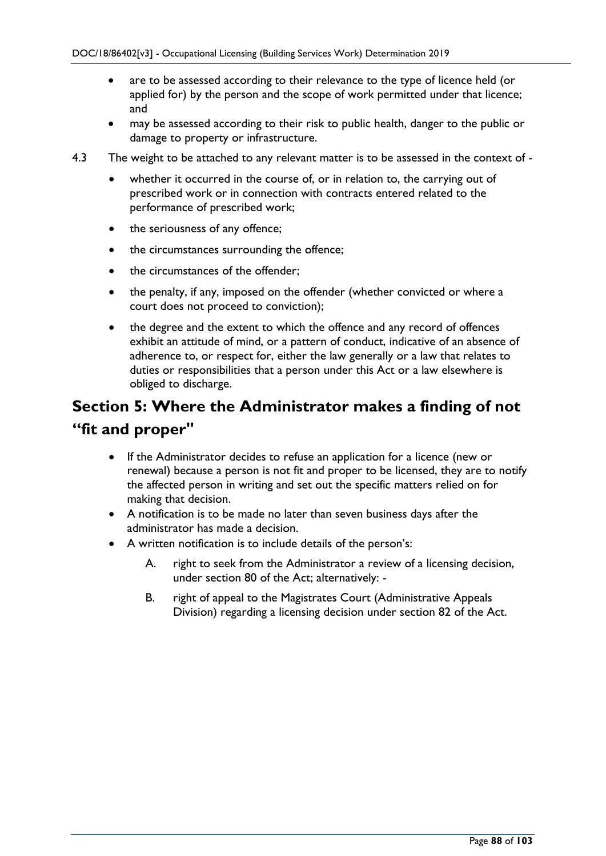- are to be assessed according to their relevance to the type of licence held (or applied for) by the person and the scope of work permitted under that licence; and
- may be assessed according to their risk to public health, danger to the public or damage to property or infrastructure.
- 4.3 The weight to be attached to any relevant matter is to be assessed in the context of
	- whether it occurred in the course of, or in relation to, the carrying out of prescribed work or in connection with contracts entered related to the performance of prescribed work;
	- the seriousness of any offence;
	- the circumstances surrounding the offence;
	- the circumstances of the offender:
	- the penalty, if any, imposed on the offender (whether convicted or where a court does not proceed to conviction);
	- the degree and the extent to which the offence and any record of offences exhibit an attitude of mind, or a pattern of conduct, indicative of an absence of adherence to, or respect for, either the law generally or a law that relates to duties or responsibilities that a person under this Act or a law elsewhere is obliged to discharge.

# **Section 5: Where the Administrator makes a finding of not "fit and proper"**

- If the Administrator decides to refuse an application for a licence (new or renewal) because a person is not fit and proper to be licensed, they are to notify the affected person in writing and set out the specific matters relied on for making that decision.
- A notification is to be made no later than seven business days after the administrator has made a decision.
- A written notification is to include details of the person's:
	- A. right to seek from the Administrator a review of a licensing decision, under section 80 of the Act; alternatively: -
	- B. right of appeal to the Magistrates Court (Administrative Appeals Division) regarding a licensing decision under section 82 of the Act.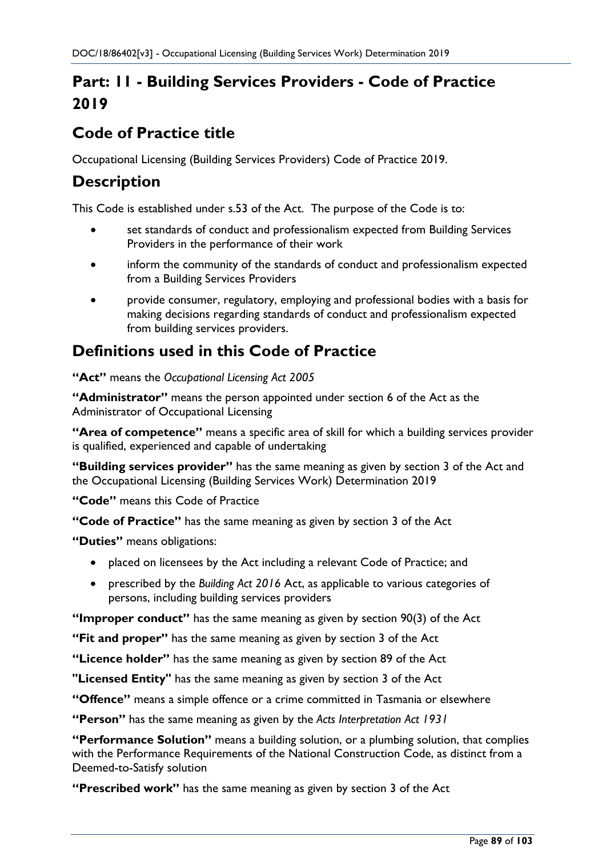# **Part: 11 - Building Services Providers - Code of Practice 2019**

## **Code of Practice title**

Occupational Licensing (Building Services Providers) Code of Practice 2019.

## **Description**

This Code is established under s.53 of the Act. The purpose of the Code is to:

- set standards of conduct and professionalism expected from Building Services Providers in the performance of their work
- inform the community of the standards of conduct and professionalism expected from a Building Services Providers
- provide consumer, regulatory, employing and professional bodies with a basis for making decisions regarding standards of conduct and professionalism expected from building services providers.

## **Definitions used in this Code of Practice**

**"Act"** means the *Occupational Licensing Act 2005*

**"Administrator"** means the person appointed under section 6 of the Act as the Administrator of Occupational Licensing

**"Area of competence"** means a specific area of skill for which a building services provider is qualified, experienced and capable of undertaking

**"Building services provider"** has the same meaning as given by section 3 of the Act and the Occupational Licensing (Building Services Work) Determination 2019

**"Code"** means this Code of Practice

**"Code of Practice"** has the same meaning as given by section 3 of the Act

**"Duties"** means obligations:

- placed on licensees by the Act including a relevant Code of Practice; and
- prescribed by the *Building Act 2016* Act, as applicable to various categories of persons, including building services providers

**"Improper conduct"** has the same meaning as given by section 90(3) of the Act

**"Fit and proper"** has the same meaning as given by section 3 of the Act

**"Licence holder"** has the same meaning as given by section 89 of the Act

**"Licensed Entity"** has the same meaning as given by section 3 of the Act

**"Offence"** means a simple offence or a crime committed in Tasmania or elsewhere

**"Person"** has the same meaning as given by the *Acts Interpretation Act 1931*

**"Performance Solution"** means a building solution, or a plumbing solution, that complies with the Performance Requirements of the National Construction Code, as distinct from a Deemed-to-Satisfy solution

**"Prescribed work"** has the same meaning as given by section 3 of the Act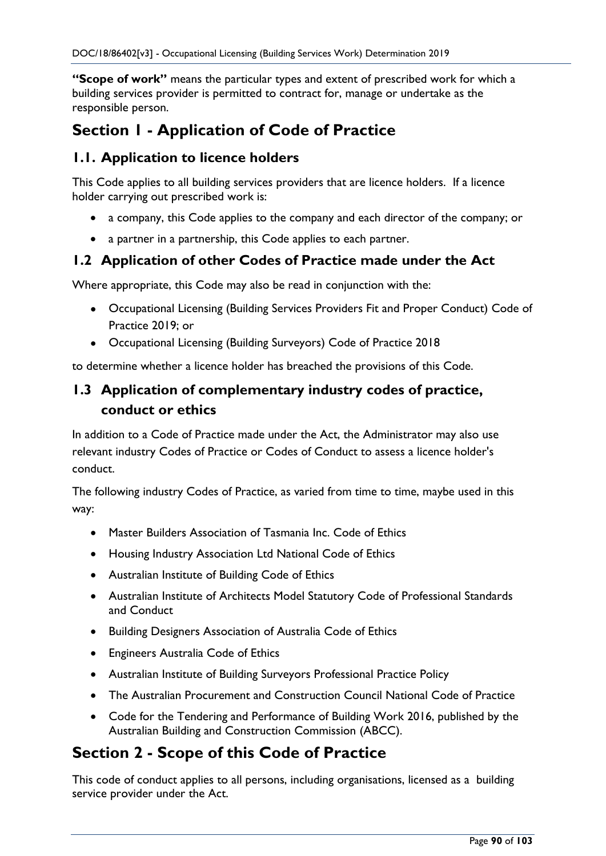**"Scope of work"** means the particular types and extent of prescribed work for which a building services provider is permitted to contract for, manage or undertake as the responsible person.

## **Section 1 - Application of Code of Practice**

## **1.1. Application to licence holders**

This Code applies to all building services providers that are licence holders. If a licence holder carrying out prescribed work is:

- a company, this Code applies to the company and each director of the company; or
- a partner in a partnership, this Code applies to each partner.

### **1.2 Application of other Codes of Practice made under the Act**

Where appropriate, this Code may also be read in conjunction with the:

- Occupational Licensing (Building Services Providers Fit and Proper Conduct) Code of Practice 2019; or
- Occupational Licensing (Building Surveyors) Code of Practice 2018

to determine whether a licence holder has breached the provisions of this Code.

## **1.3 Application of complementary industry codes of practice, conduct or ethics**

In addition to a Code of Practice made under the Act, the Administrator may also use relevant industry Codes of Practice or Codes of Conduct to assess a licence holder's conduct.

The following industry Codes of Practice, as varied from time to time, maybe used in this way:

- Master Builders Association of Tasmania Inc. Code of Ethics
- Housing Industry Association Ltd National Code of Ethics
- Australian Institute of Building Code of Ethics
- Australian Institute of Architects Model Statutory Code of Professional Standards and Conduct
- Building Designers Association of Australia Code of Ethics
- Engineers Australia Code of Ethics
- Australian Institute of Building Surveyors Professional Practice Policy
- The Australian Procurement and Construction Council National Code of Practice
- Code for the Tendering and Performance of Building Work 2016, published by the Australian Building and Construction Commission (ABCC).

## **Section 2 - Scope of this Code of Practice**

This code of conduct applies to all persons, including organisations, licensed as a building service provider under the Act.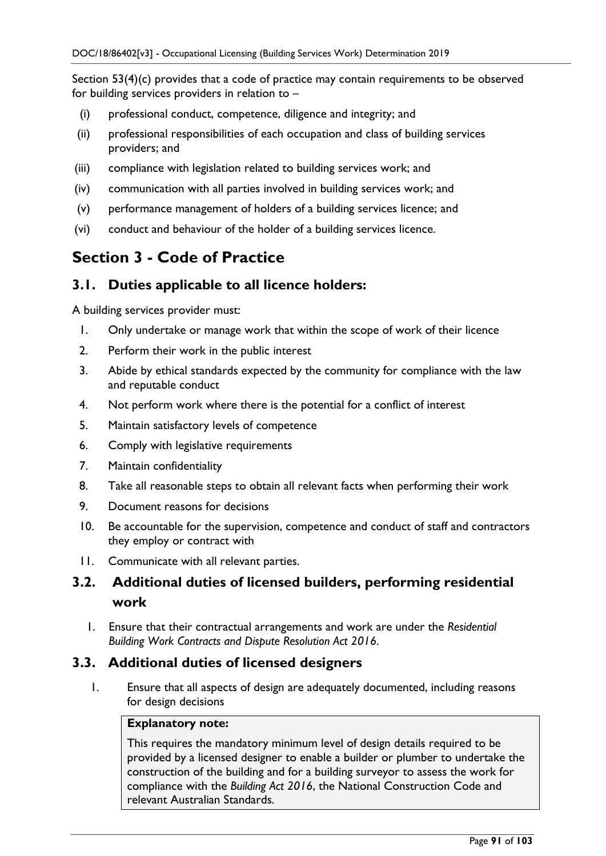Section 53(4)(c) provides that a code of practice may contain requirements to be observed for building services providers in relation to –

- (i) professional conduct, competence, diligence and integrity; and
- (ii) professional responsibilities of each occupation and class of building services providers; and
- (iii) compliance with legislation related to building services work; and
- (iv) communication with all parties involved in building services work; and
- (v) performance management of holders of a building services licence; and
- (vi) conduct and behaviour of the holder of a building services licence.

## **Section 3 - Code of Practice**

### **3.1. Duties applicable to all licence holders:**

A building services provider must:

- 1. Only undertake or manage work that within the scope of work of their licence
- 2. Perform their work in the public interest
- 3. Abide by ethical standards expected by the community for compliance with the law and reputable conduct
- 4. Not perform work where there is the potential for a conflict of interest
- 5. Maintain satisfactory levels of competence
- 6. Comply with legislative requirements
- 7. Maintain confidentiality
- 8. Take all reasonable steps to obtain all relevant facts when performing their work
- 9. Document reasons for decisions
- 10. Be accountable for the supervision, competence and conduct of staff and contractors they employ or contract with
- 11. Communicate with all relevant parties.

### **3.2. Additional duties of licensed builders, performing residential work**

1. Ensure that their contractual arrangements and work are under the *Residential Building Work Contracts and Dispute Resolution Act 2016*.

### **3.3. Additional duties of licensed designers**

1. Ensure that all aspects of design are adequately documented, including reasons for design decisions

#### **Explanatory note:**

This requires the mandatory minimum level of design details required to be provided by a licensed designer to enable a builder or plumber to undertake the construction of the building and for a building surveyor to assess the work for compliance with the *Building Act 2016*, the National Construction Code and relevant Australian Standards.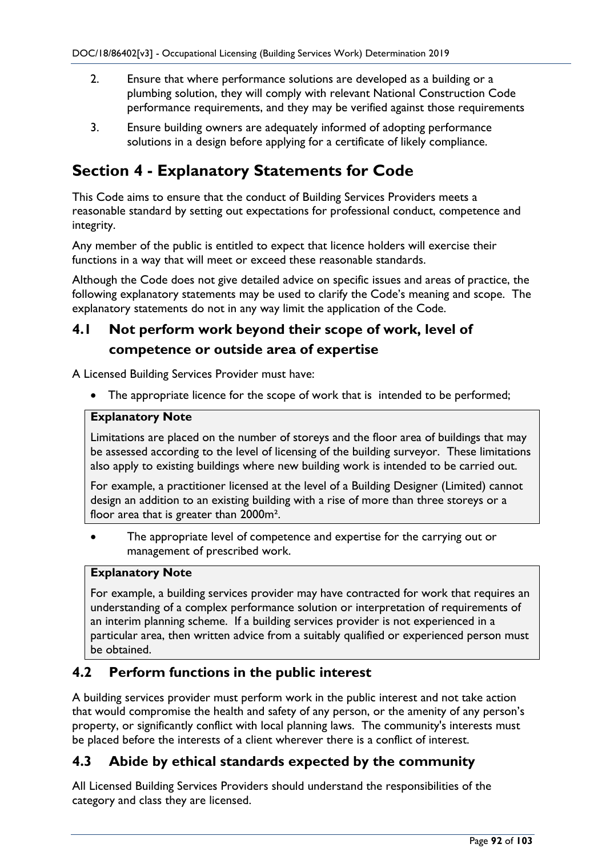- 2. Ensure that where performance solutions are developed as a building or a plumbing solution, they will comply with relevant National Construction Code performance requirements, and they may be verified against those requirements
- 3. Ensure building owners are adequately informed of adopting performance solutions in a design before applying for a certificate of likely compliance.

## **Section 4 - Explanatory Statements for Code**

This Code aims to ensure that the conduct of Building Services Providers meets a reasonable standard by setting out expectations for professional conduct, competence and integrity.

Any member of the public is entitled to expect that licence holders will exercise their functions in a way that will meet or exceed these reasonable standards.

Although the Code does not give detailed advice on specific issues and areas of practice, the following explanatory statements may be used to clarify the Code's meaning and scope. The explanatory statements do not in any way limit the application of the Code.

## **4.1 Not perform work beyond their scope of work, level of competence or outside area of expertise**

A Licensed Building Services Provider must have:

• The appropriate licence for the scope of work that is intended to be performed;

### **Explanatory Note**

Limitations are placed on the number of storeys and the floor area of buildings that may be assessed according to the level of licensing of the building surveyor. These limitations also apply to existing buildings where new building work is intended to be carried out.

For example, a practitioner licensed at the level of a Building Designer (Limited) cannot design an addition to an existing building with a rise of more than three storeys or a floor area that is greater than 2000m².

The appropriate level of competence and expertise for the carrying out or management of prescribed work.

#### **Explanatory Note**

For example, a building services provider may have contracted for work that requires an understanding of a complex performance solution or interpretation of requirements of an interim planning scheme. If a building services provider is not experienced in a particular area, then written advice from a suitably qualified or experienced person must be obtained.

### **4.2 Perform functions in the public interest**

A building services provider must perform work in the public interest and not take action that would compromise the health and safety of any person, or the amenity of any person's property, or significantly conflict with local planning laws. The community's interests must be placed before the interests of a client wherever there is a conflict of interest.

### **4.3 Abide by ethical standards expected by the community**

All Licensed Building Services Providers should understand the responsibilities of the category and class they are licensed.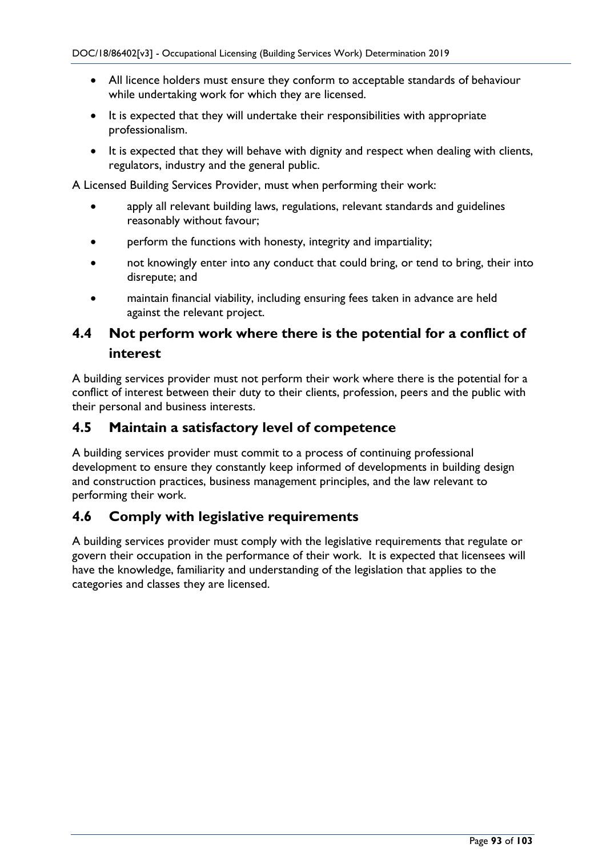- All licence holders must ensure they conform to acceptable standards of behaviour while undertaking work for which they are licensed.
- It is expected that they will undertake their responsibilities with appropriate professionalism.
- It is expected that they will behave with dignity and respect when dealing with clients, regulators, industry and the general public.

A Licensed Building Services Provider, must when performing their work:

- apply all relevant building laws, regulations, relevant standards and guidelines reasonably without favour;
- perform the functions with honesty, integrity and impartiality;
- not knowingly enter into any conduct that could bring, or tend to bring, their into disrepute; and
- maintain financial viability, including ensuring fees taken in advance are held against the relevant project.

## **4.4 Not perform work where there is the potential for a conflict of interest**

A building services provider must not perform their work where there is the potential for a conflict of interest between their duty to their clients, profession, peers and the public with their personal and business interests.

### **4.5 Maintain a satisfactory level of competence**

A building services provider must commit to a process of continuing professional development to ensure they constantly keep informed of developments in building design and construction practices, business management principles, and the law relevant to performing their work.

### **4.6 Comply with legislative requirements**

A building services provider must comply with the legislative requirements that regulate or govern their occupation in the performance of their work. It is expected that licensees will have the knowledge, familiarity and understanding of the legislation that applies to the categories and classes they are licensed.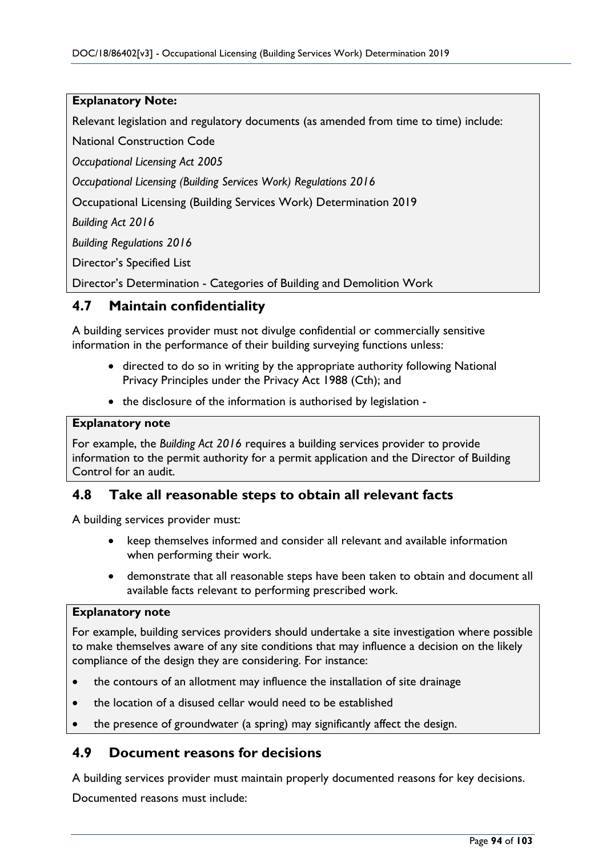#### **Explanatory Note:**

Relevant legislation and regulatory documents (as amended from time to time) include:

National Construction Code

*Occupational Licensing Act 2005*

*Occupational Licensing (Building Services Work) Regulations 2016*

Occupational Licensing (Building Services Work) Determination 2019

*Building Act 2016*

*Building Regulations 2016*

Director's Specified List

Director's Determination - Categories of Building and Demolition Work

### **4.7 Maintain confidentiality**

A building services provider must not divulge confidential or commercially sensitive information in the performance of their building surveying functions unless:

- directed to do so in writing by the appropriate authority following National Privacy Principles under the Privacy Act 1988 (Cth); and
- the disclosure of the information is authorised by legislation -

#### **Explanatory note**

For example, the *Building Act 2016* requires a building services provider to provide information to the permit authority for a permit application and the Director of Building Control for an audit.

### **4.8 Take all reasonable steps to obtain all relevant facts**

A building services provider must:

- keep themselves informed and consider all relevant and available information when performing their work.
- demonstrate that all reasonable steps have been taken to obtain and document all available facts relevant to performing prescribed work.

#### **Explanatory note**

For example, building services providers should undertake a site investigation where possible to make themselves aware of any site conditions that may influence a decision on the likely compliance of the design they are considering. For instance:

- the contours of an allotment may influence the installation of site drainage
- the location of a disused cellar would need to be established
- the presence of groundwater (a spring) may significantly affect the design.

### **4.9 Document reasons for decisions**

A building services provider must maintain properly documented reasons for key decisions. Documented reasons must include: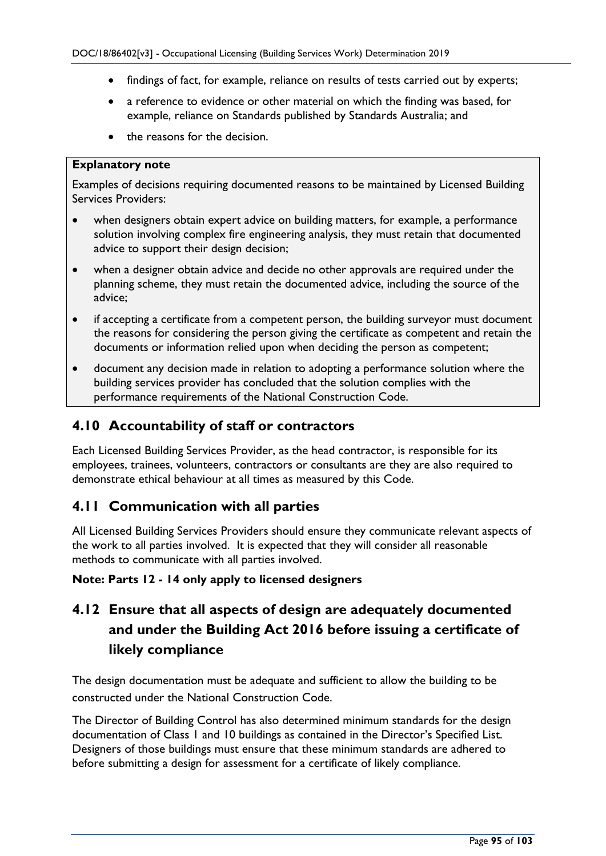- findings of fact, for example, reliance on results of tests carried out by experts;
- a reference to evidence or other material on which the finding was based, for example, reliance on Standards published by Standards Australia; and
- the reasons for the decision.

#### **Explanatory note**

Examples of decisions requiring documented reasons to be maintained by Licensed Building Services Providers:

- when designers obtain expert advice on building matters, for example, a performance solution involving complex fire engineering analysis, they must retain that documented advice to support their design decision;
- when a designer obtain advice and decide no other approvals are required under the planning scheme, they must retain the documented advice, including the source of the advice;
- if accepting a certificate from a competent person, the building surveyor must document the reasons for considering the person giving the certificate as competent and retain the documents or information relied upon when deciding the person as competent;
- document any decision made in relation to adopting a performance solution where the building services provider has concluded that the solution complies with the performance requirements of the National Construction Code.

### **4.10 Accountability of staff or contractors**

Each Licensed Building Services Provider, as the head contractor, is responsible for its employees, trainees, volunteers, contractors or consultants are they are also required to demonstrate ethical behaviour at all times as measured by this Code.

### **4.11 Communication with all parties**

All Licensed Building Services Providers should ensure they communicate relevant aspects of the work to all parties involved. It is expected that they will consider all reasonable methods to communicate with all parties involved.

### **Note: Parts 12 - 14 only apply to licensed designers**

## **4.12 Ensure that all aspects of design are adequately documented and under the Building Act 2016 before issuing a certificate of likely compliance**

The design documentation must be adequate and sufficient to allow the building to be constructed under the National Construction Code.

The Director of Building Control has also determined minimum standards for the design documentation of Class 1 and 10 buildings as contained in the Director's Specified List. Designers of those buildings must ensure that these minimum standards are adhered to before submitting a design for assessment for a certificate of likely compliance.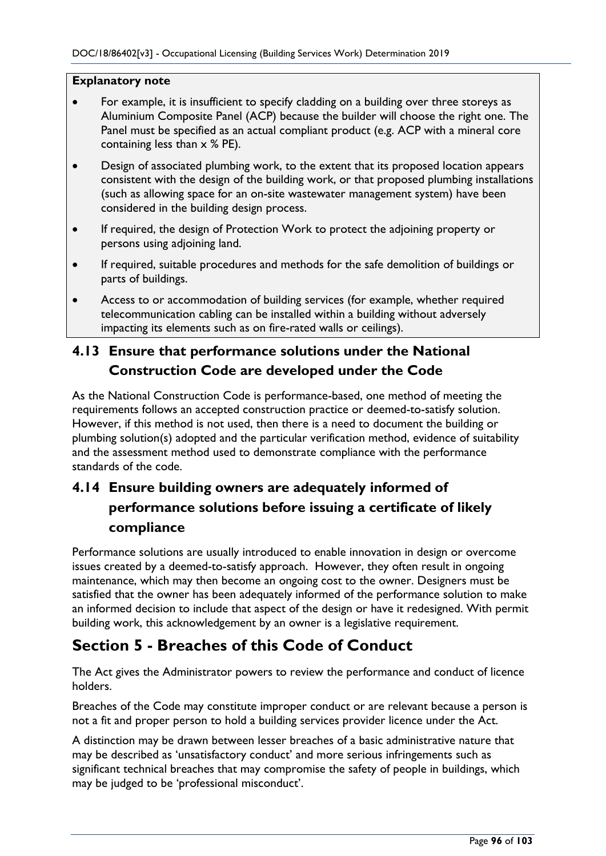### **Explanatory note**

- For example, it is insufficient to specify cladding on a building over three storeys as Aluminium Composite Panel (ACP) because the builder will choose the right one. The Panel must be specified as an actual compliant product (e.g. ACP with a mineral core containing less than  $\times$  % PE).
- Design of associated plumbing work, to the extent that its proposed location appears consistent with the design of the building work, or that proposed plumbing installations (such as allowing space for an on-site wastewater management system) have been considered in the building design process.
- If required, the design of Protection Work to protect the adjoining property or persons using adjoining land.
- If required, suitable procedures and methods for the safe demolition of buildings or parts of buildings.
- Access to or accommodation of building services (for example, whether required telecommunication cabling can be installed within a building without adversely impacting its elements such as on fire-rated walls or ceilings).

## **4.13 Ensure that performance solutions under the National Construction Code are developed under the Code**

As the National Construction Code is performance-based, one method of meeting the requirements follows an accepted construction practice or deemed-to-satisfy solution. However, if this method is not used, then there is a need to document the building or plumbing solution(s) adopted and the particular verification method, evidence of suitability and the assessment method used to demonstrate compliance with the performance standards of the code.

## **4.14 Ensure building owners are adequately informed of performance solutions before issuing a certificate of likely compliance**

Performance solutions are usually introduced to enable innovation in design or overcome issues created by a deemed-to-satisfy approach. However, they often result in ongoing maintenance, which may then become an ongoing cost to the owner. Designers must be satisfied that the owner has been adequately informed of the performance solution to make an informed decision to include that aspect of the design or have it redesigned. With permit building work, this acknowledgement by an owner is a legislative requirement.

## **Section 5 - Breaches of this Code of Conduct**

The Act gives the Administrator powers to review the performance and conduct of licence holders.

Breaches of the Code may constitute improper conduct or are relevant because a person is not a fit and proper person to hold a building services provider licence under the Act.

A distinction may be drawn between lesser breaches of a basic administrative nature that may be described as 'unsatisfactory conduct' and more serious infringements such as significant technical breaches that may compromise the safety of people in buildings, which may be judged to be 'professional misconduct'.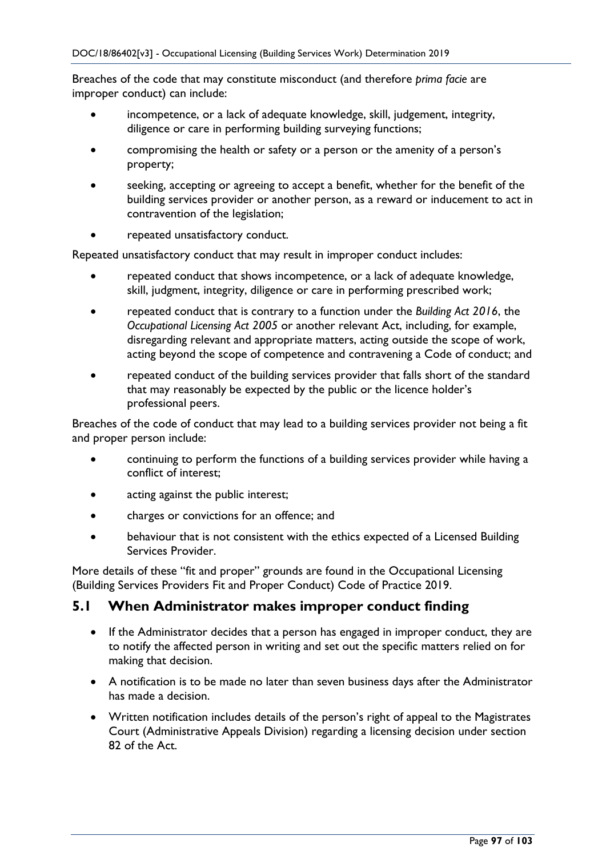Breaches of the code that may constitute misconduct (and therefore *prima facie* are improper conduct) can include:

- incompetence, or a lack of adequate knowledge, skill, judgement, integrity, diligence or care in performing building surveying functions;
- compromising the health or safety or a person or the amenity of a person's property;
- seeking, accepting or agreeing to accept a benefit, whether for the benefit of the building services provider or another person, as a reward or inducement to act in contravention of the legislation;
- repeated unsatisfactory conduct.

Repeated unsatisfactory conduct that may result in improper conduct includes:

- repeated conduct that shows incompetence, or a lack of adequate knowledge, skill, judgment, integrity, diligence or care in performing prescribed work;
- repeated conduct that is contrary to a function under the *Building Act 2016*, the *Occupational Licensing Act 2005* or another relevant Act, including, for example, disregarding relevant and appropriate matters, acting outside the scope of work, acting beyond the scope of competence and contravening a Code of conduct; and
- repeated conduct of the building services provider that falls short of the standard that may reasonably be expected by the public or the licence holder's professional peers.

Breaches of the code of conduct that may lead to a building services provider not being a fit and proper person include:

- continuing to perform the functions of a building services provider while having a conflict of interest;
- acting against the public interest;
- charges or convictions for an offence; and
- behaviour that is not consistent with the ethics expected of a Licensed Building Services Provider.

More details of these "fit and proper" grounds are found in the Occupational Licensing (Building Services Providers Fit and Proper Conduct) Code of Practice 2019.

### **5.1 When Administrator makes improper conduct finding**

- If the Administrator decides that a person has engaged in improper conduct, they are to notify the affected person in writing and set out the specific matters relied on for making that decision.
- A notification is to be made no later than seven business days after the Administrator has made a decision.
- Written notification includes details of the person's right of appeal to the Magistrates Court (Administrative Appeals Division) regarding a licensing decision under section 82 of the Act.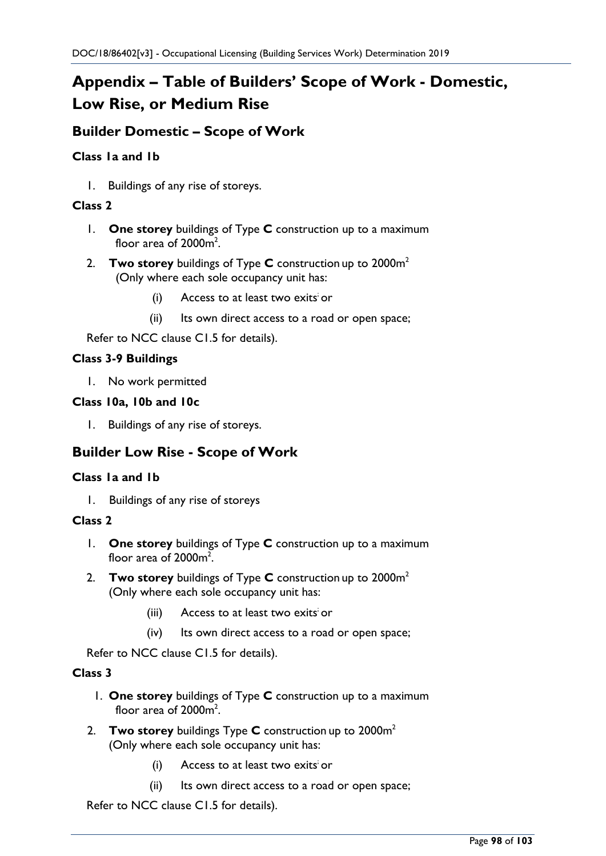# **Appendix – Table of Builders' Scope of Work - Domestic, Low Rise, or Medium Rise**

### **Builder Domestic – Scope of Work**

### **Class 1a and 1b**

1. Buildings of any rise of storeys.

### **Class 2**

- 1. **One storey** buildings of Type **C** construction up to a maximum floor area of  $2000<sup>2</sup>$ .
- 2. **Two storey** buildings of Type **C** construction up to 2000m2 (Only where each sole occupancy unit has:
	- (i) Access to at least two exits or
	- (ii) Its own direct access to a road or open space;

Refer to NCC clause C1.5 for details).

### **Class 3-9 Buildings**

1. No work permitted

### **Class 10a, 10b and 10c**

1. Buildings of any rise of storeys.

### **Builder Low Rise - Scope of Work**

### **Class 1a and 1b**

1. Buildings of any rise of storeys

### **Class 2**

- 1. **One storey** buildings of Type **C** construction up to a maximum floor area of  $2000<sup>2</sup>$ .
- 2. **Two storey** buildings of Type **C** construction up to 2000m2 (Only where each sole occupancy unit has:
	- (iii) Access to at least two exits or
	- (iv) Its own direct access to a road or open space;

Refer to NCC clause C1.5 for details).

#### **Class 3**

- 1. **One storey** buildings of Type **C** construction up to a maximum floor area of  $2000<sup>m²</sup>$ .
- 2. **Two storey** buildings Type **C** construction up to 2000m2 (Only where each sole occupancy unit has:
	- (i) Access to at least two exits or
	- (ii) Its own direct access to a road or open space;

Refer to NCC clause C1.5 for details).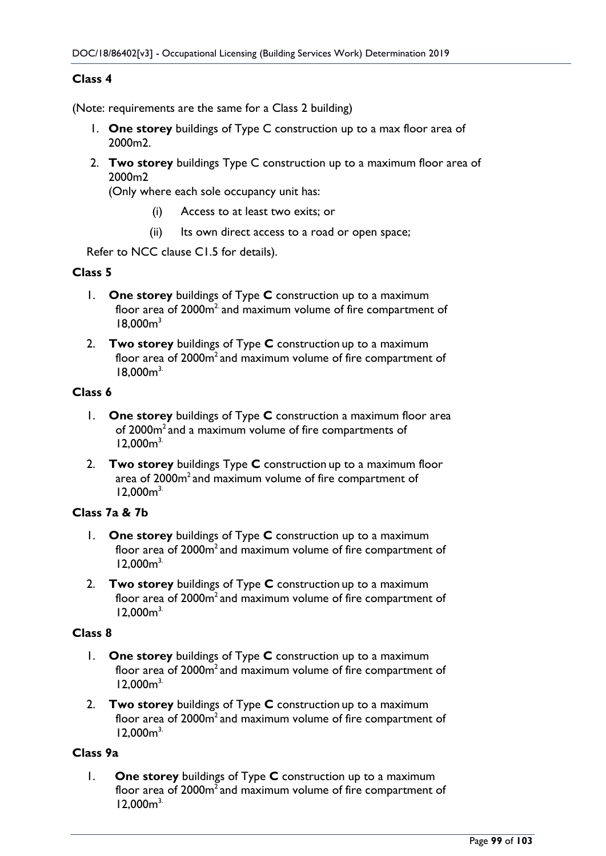### **Class 4**

(Note: requirements are the same for a Class 2 building)

- 1. **One storey** buildings of Type C construction up to a max floor area of 2000m2.
- 2. **Two storey** buildings Type C construction up to a maximum floor area of 2000m2

(Only where each sole occupancy unit has:

- (i) Access to at least two exits; or
- (ii) Its own direct access to a road or open space;

Refer to NCC clause C1.5 for details).

#### **Class 5**

- 1. **One storey** buildings of Type **C** construction up to a maximum floor area of  $2000<sup>m²</sup>$  and maximum volume of fire compartment of  $18,000<sup>3</sup>$
- 2. **Two storey** buildings of Type **C** construction up to a maximum floor area of 2000m<sup>2</sup> and maximum volume of fire compartment of  $18.000<sup>3</sup>$

#### **Class 6**

- 1. **One storey** buildings of Type **C** construction a maximum floor area of 2000m2 and a maximum volume of fire compartments of  $12,000m^{3}$
- 2. **Two storey** buildings Type **C** construction up to a maximum floor area of 2000m<sup>2</sup> and maximum volume of fire compartment of  $12,000m^{3}$

### **Class 7a & 7b**

- 1. **One storey** buildings of Type **C** construction up to a maximum floor area of 2000m<sup>2</sup> and maximum volume of fire compartment of  $12,000m^{3}$
- 2. **Two storey** buildings of Type **C** construction up to a maximum floor area of  $2000m<sup>2</sup>$  and maximum volume of fire compartment of  $12,000<sup>3</sup>$

#### **Class 8**

- 1. **One storey** buildings of Type **C** construction up to a maximum floor area of  $2000m<sup>2</sup>$  and maximum volume of fire compartment of  $12,000m^{3}$
- 2. **Two storey** buildings of Type **C** construction up to a maximum floor area of 2000m<sup>2</sup> and maximum volume of fire compartment of  $12,000m^3$

### **Class 9a**

1. **One storey** buildings of Type **C** construction up to a maximum floor area of  $2000m<sup>2</sup>$  and maximum volume of fire compartment of  $12,000m^3$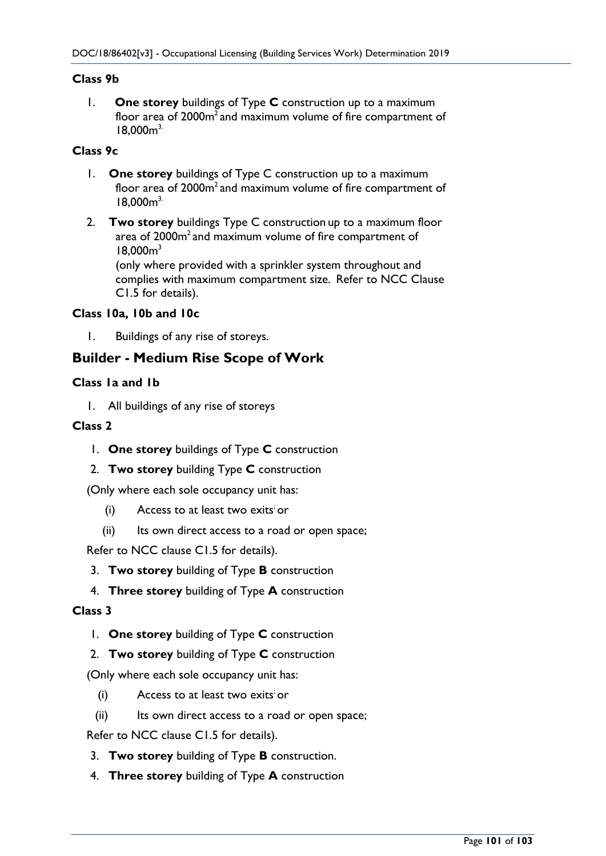### **Class 9b**

1. **One storey** buildings of Type **C** construction up to a maximum floor area of 2000m<sup>2</sup> and maximum volume of fire compartment of  $18,000<sup>3</sup>$ 

### **Class 9c**

- 1. **One storey** buildings of Type C construction up to a maximum floor area of 2000m<sup>2</sup> and maximum volume of fire compartment of  $18,000<sup>3</sup>$
- 2. **Two storey** buildings Type C construction up to a maximum floor area of 2000m<sup>2</sup> and maximum volume of fire compartment of  $18,000<sup>3</sup>$ (only where provided with a sprinkler system throughout and

complies with maximum compartment size. Refer to NCC Clause C1.5 for details).

#### **Class 10a, 10b and 10c**

1. Buildings of any rise of storeys.

### **Builder - Medium Rise Scope of Work**

#### **Class 1a and 1b**

1. All buildings of any rise of storeys

#### **Class 2**

- 1. **One storey** buildings of Type **C** construction
- 2. **Two storey** building Type **C** construction

(Only where each sole occupancy unit has:

- $(i)$  Access to at least two exits or
- (ii) Its own direct access to a road or open space;

Refer to NCC clause C1.5 for details).

- 3. **Two storey** building of Type **B** construction
- 4. **Three storey** building of Type **A** construction

#### **Class 3**

- 1. **One storey** building of Type **C** construction
- 2. **Two storey** building of Type **C** construction

(Only where each sole occupancy unit has:

- $(i)$  Access to at least two exits or
- (ii) Its own direct access to a road or open space;

Refer to NCC clause C1.5 for details).

- 3. **Two storey** building of Type **B** construction.
- 4. **Three storey** building of Type **A** construction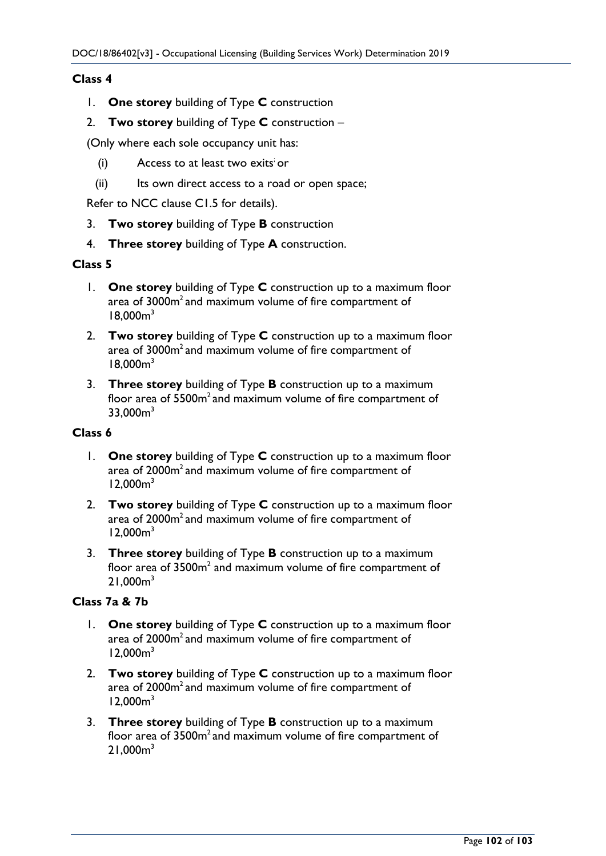### **Class 4**

- 1. **One storey** building of Type **C** construction
- 2. **Two storey** building of Type **C** construction –

(Only where each sole occupancy unit has:

- $(i)$  Access to at least two exits or
- (ii) Its own direct access to a road or open space;

Refer to NCC clause C1.5 for details).

- 3. **Two storey** building of Type **B** construction
- 4. **Three storey** building of Type **A** construction.

#### **Class 5**

- 1. **One storey** building of Type **C** construction up to a maximum floor area of 3000m<sup>2</sup> and maximum volume of fire compartment of  $18.000<sup>3</sup>$
- 2. **Two storey** building of Type **C** construction up to a maximum floor area of 3000m<sup>2</sup> and maximum volume of fire compartment of  $18.000<sup>3</sup>$
- 3. **Three storey** building of Type **B** construction up to a maximum floor area of 5500m<sup>2</sup> and maximum volume of fire compartment of  $33,000<sup>3</sup>$

### **Class 6**

- 1. **One storey** building of Type **C** construction up to a maximum floor area of 2000m<sup>2</sup> and maximum volume of fire compartment of  $12,000<sup>3</sup>$
- 2. **Two storey** building of Type **C** construction up to a maximum floor area of 2000m<sup>2</sup> and maximum volume of fire compartment of  $12,000m^3$
- 3. **Three storey** building of Type **B** construction up to a maximum floor area of 3500m<sup>2</sup> and maximum volume of fire compartment of 21.000m<sup>3</sup>

### **Class 7a & 7b**

- 1. **One storey** building of Type **C** construction up to a maximum floor area of 2000m<sup>2</sup> and maximum volume of fire compartment of  $12,000<sup>3</sup>$
- 2. **Two storey** building of Type **C** construction up to a maximum floor area of 2000m<sup>2</sup> and maximum volume of fire compartment of  $12,000m<sup>3</sup>$
- 3. **Three storey** building of Type **B** construction up to a maximum floor area of  $3500m<sup>2</sup>$  and maximum volume of fire compartment of  $21,000<sup>3</sup>$